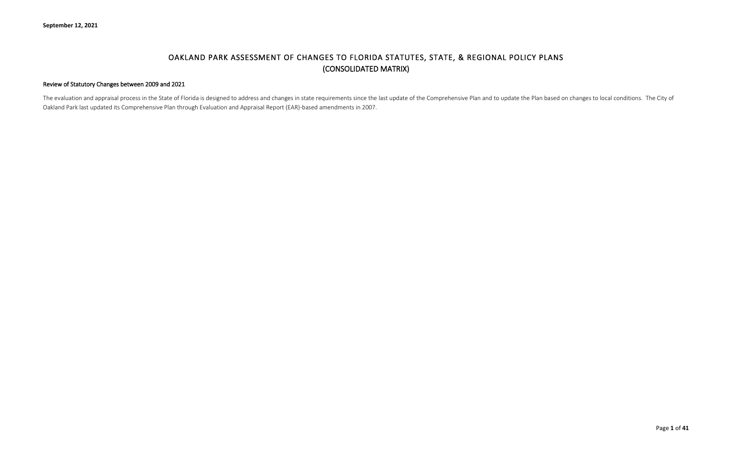# OAKLAND PARK ASSESSMENT OF CHANGES TO FLORIDA STATUTES, STATE, & REGIONAL POLICY PLANS (CONSOLIDATED MATRIX)

#### Review of Statutory Changes between 2009 and 2021

The evaluation and appraisal process in the State of Florida is designed to address and changes in state requirements since the last update of the Comprehensive Plan and to update the Plan based on changes to local conditi Oakland Park last updated its Comprehensive Plan through Evaluation and Appraisal Report (EAR)-based amendments in 2007.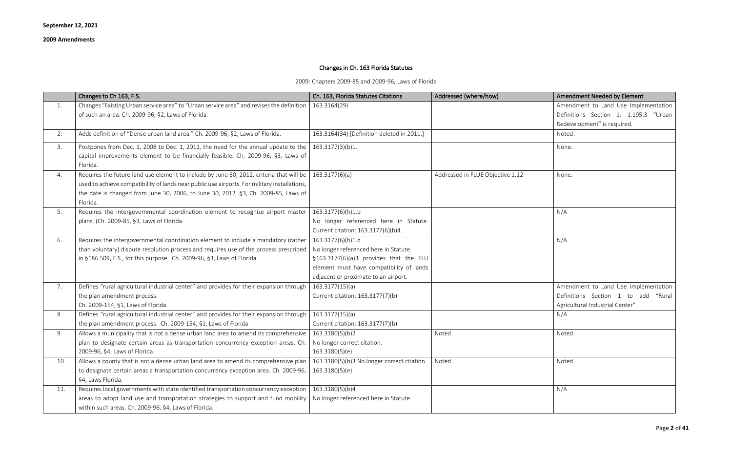# Changes in Ch. 163 Florida Statutes

2009: Chapters 2009-85 and 2009-96, Laws of Florida

|     | Changes to Ch 163, F.S.                                                                                                                                                                                                                                                                                    | Ch. 163, Florida Statutes Citations                 | Addressed (where/how)            | Amendment Needed by Element           |
|-----|------------------------------------------------------------------------------------------------------------------------------------------------------------------------------------------------------------------------------------------------------------------------------------------------------------|-----------------------------------------------------|----------------------------------|---------------------------------------|
| 1.  | Changes "Existing Urban service area" to "Urban service area" and revises the definition                                                                                                                                                                                                                   | 163.3164(29)                                        |                                  | Amendment to Land Use Implementation  |
|     | of such an area. Ch. 2009-96, §2, Laws of Florida.                                                                                                                                                                                                                                                         |                                                     |                                  | Definitions Section 1: 1.195.3 "Urban |
|     |                                                                                                                                                                                                                                                                                                            |                                                     |                                  | Redevelopment" is required.           |
| 2.  | Adds definition of "Dense urban land area." Ch. 2009-96, §2, Laws of Florida.                                                                                                                                                                                                                              | 163.3164(34) [Definition deleted in 2011.]          |                                  | Noted.                                |
| 3.  | Postpones from Dec. 1, 2008 to Dec. 1, 2011, the need for the annual update to the $\vert$ 163.3177(3)(b)1.<br>capital improvements element to be financially feasible. Ch. 2009-96, §3, Laws of<br>Florida.                                                                                               |                                                     |                                  | None.                                 |
| 4.  | Requires the future land use element to include by June 30, 2012, criteria that will be   163.3177(6)(a)<br>used to achieve compatibility of lands near public use airports. For military installations,<br>the date is changed from June 30, 2006, to June 30, 2012. §3, Ch. 2009-85, Laws of<br>Florida. |                                                     | Addressed in FLUE Objective 1.12 | None.                                 |
| 5.  | Requires the intergovernmental coordination element to recognize airport master                                                                                                                                                                                                                            | 163.3177(6)(h)1.b                                   |                                  | N/A                                   |
|     | plans. (Ch. 2009-85, §3, Laws of Florida.                                                                                                                                                                                                                                                                  | No longer referenced here in Statute.               |                                  |                                       |
|     |                                                                                                                                                                                                                                                                                                            | Current citation: 163.3177(6)(b)4.                  |                                  |                                       |
| 6.  | Requires the intergovernmental coordination element to include a mandatory (rather                                                                                                                                                                                                                         | 163.3177(6)(h)1.d                                   |                                  | N/A                                   |
|     | than voluntary) dispute resolution process and requires use of the process prescribed                                                                                                                                                                                                                      | No longer referenced here in Statute.               |                                  |                                       |
|     | in §186.509, F.S., for this purpose. Ch. 2009-96, §3, Laws of Florida                                                                                                                                                                                                                                      | §163.3177(6)(a)3 provides that the FLU              |                                  |                                       |
|     |                                                                                                                                                                                                                                                                                                            | element must have compatibility of lands            |                                  |                                       |
|     |                                                                                                                                                                                                                                                                                                            | adjacent or proximate to an airport.                |                                  |                                       |
| 7.  | Defines "rural agricultural industrial center" and provides for their expansion through                                                                                                                                                                                                                    | 163.3177(15)(a)                                     |                                  | Amendment to Land Use Implementation  |
|     | the plan amendment process.                                                                                                                                                                                                                                                                                | Current citation: 163.3177(7)(b)                    |                                  | Definitions Section 1 to add "Rural   |
|     | Ch. 2009-154, §1, Laws of Florida                                                                                                                                                                                                                                                                          |                                                     |                                  | Agricultural Industrial Center"       |
| 8.  | Defines "rural agricultural industrial center" and provides for their expansion through                                                                                                                                                                                                                    | 163.3177(15)(a)                                     |                                  | N/A                                   |
|     | the plan amendment process. Ch. 2009-154, §1, Laws of Florida                                                                                                                                                                                                                                              | Current citation: 163.3177(7)(b)                    |                                  |                                       |
| 9.  | Allows a municipality that is not a dense urban land area to amend its comprehensive                                                                                                                                                                                                                       | 163.3180(5)(b)2                                     | Noted.                           | Noted.                                |
|     | plan to designate certain areas as transportation concurrency exception areas. Ch.                                                                                                                                                                                                                         | No longer correct citation.                         |                                  |                                       |
|     | 2009-96, §4, Laws of Florida.                                                                                                                                                                                                                                                                              | 163.3180(5)(e)                                      |                                  |                                       |
| 10. | Allows a county that is not a dense urban land area to amend its comprehensive plan                                                                                                                                                                                                                        | $\vert$ 163.3180(5)(b)3 No longer correct citation. | Noted.                           | Noted.                                |
|     | to designate certain areas a transportation concurrency exception area. Ch. 2009-96,                                                                                                                                                                                                                       | 163.3180(5)(e)                                      |                                  |                                       |
|     | §4, Laws Florida.                                                                                                                                                                                                                                                                                          |                                                     |                                  |                                       |
| 11. | Requires local governments with state identified transportation concurrency exception                                                                                                                                                                                                                      | 163.3180(5)(b)4                                     |                                  | N/A                                   |
|     | areas to adopt land use and transportation strategies to support and fund mobility                                                                                                                                                                                                                         | No longer referenced here in Statute                |                                  |                                       |
|     | within such areas. Ch. 2009-96, §4, Laws of Florida.                                                                                                                                                                                                                                                       |                                                     |                                  |                                       |

| Amendment Needed by Element                                                                                    |
|----------------------------------------------------------------------------------------------------------------|
| Amendment to Land Use Implementation<br>Definitions Section 1: 1.195.3 "Urban<br>Redevelopment" is required.   |
| Noted.                                                                                                         |
| None.                                                                                                          |
| None.                                                                                                          |
| N/A                                                                                                            |
| N/A                                                                                                            |
| Amendment to Land Use Implementation<br>Definitions Section 1 to add "Rural<br>Agricultural Industrial Center" |
| N/A                                                                                                            |
| Noted.                                                                                                         |
| Noted.                                                                                                         |
| N/A                                                                                                            |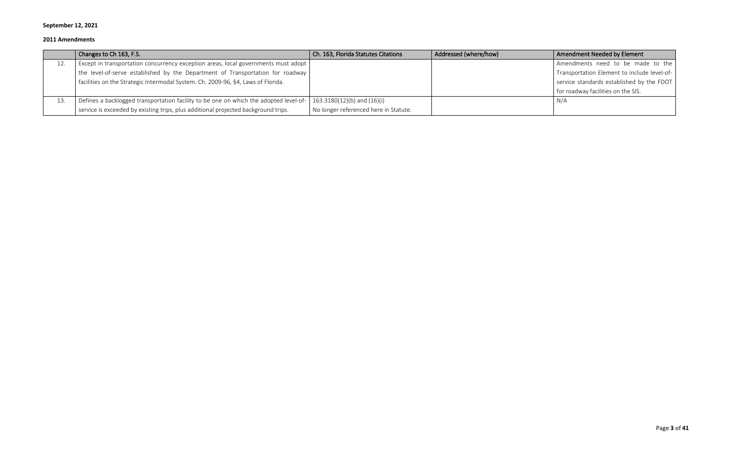|     | Changes to Ch 163, F.S.                                                               | Ch. 163, Florida Statutes Citations   | Addressed (where/how) | Amendment Needed by Element                 |
|-----|---------------------------------------------------------------------------------------|---------------------------------------|-----------------------|---------------------------------------------|
| 12. | Except in transportation concurrency exception areas, local governments must adopt    |                                       |                       | Amendments need to be made to the           |
|     | the level-of-serve established by the Department of Transportation for roadway        |                                       |                       | Transportation Element to include level-of- |
|     | facilities on the Strategic Intermodal System. Ch. 2009-96, §4, Laws of Florida.      |                                       |                       | service standards established by the FDOT   |
|     |                                                                                       |                                       |                       | for roadway facilities on the SIS.          |
| 13. | Defines a backlogged transportation facility to be one on which the adopted level-of- | 163.3180(12)(b) and (16)(i)           |                       | N/A                                         |
|     | service is exceeded by existing trips, plus additional projected background trips.    | No longer referenced here in Statute. |                       |                                             |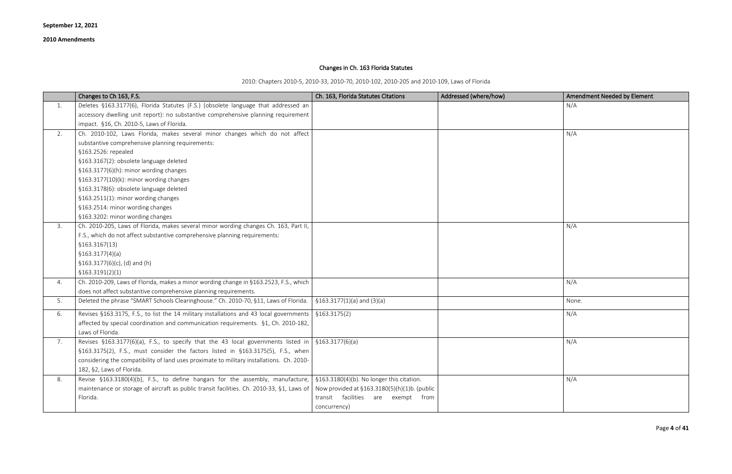# Changes in Ch. 163 Florida Statutes

2010: Chapters 2010-5, 2010-33, 2010-70, 2010-102, 2010-205 and 2010-109, Laws of Florida

|    | Changes to Ch 163, F.S.                                                                                  | Ch. 163, Florida Statutes Citations          | Addressed (where/how) | <b>Amendment Needed by Element</b> |
|----|----------------------------------------------------------------------------------------------------------|----------------------------------------------|-----------------------|------------------------------------|
| 1. | Deletes §163.3177(6), Florida Statutes (F.S.) (obsolete language that addressed an                       |                                              |                       | N/A                                |
|    | accessory dwelling unit report): no substantive comprehensive planning requirement                       |                                              |                       |                                    |
|    | impact. §16, Ch. 2010-5, Laws of Florida.                                                                |                                              |                       |                                    |
| 2. | Ch. 2010-102, Laws Florida, makes several minor changes which do not affect                              |                                              |                       | N/A                                |
|    | substantive comprehensive planning requirements:                                                         |                                              |                       |                                    |
|    | §163.2526: repealed                                                                                      |                                              |                       |                                    |
|    | §163.3167(2): obsolete language deleted                                                                  |                                              |                       |                                    |
|    | §163.3177(6)(h): minor wording changes                                                                   |                                              |                       |                                    |
|    | $$163.3177(10)(k):$ minor wording changes                                                                |                                              |                       |                                    |
|    | §163.3178(6): obsolete language deleted                                                                  |                                              |                       |                                    |
|    | §163.2511(1): minor wording changes                                                                      |                                              |                       |                                    |
|    | §163.2514: minor wording changes                                                                         |                                              |                       |                                    |
|    | §163.3202: minor wording changes                                                                         |                                              |                       |                                    |
| 3. | Ch. 2010-205, Laws of Florida, makes several minor wording changes Ch. 163, Part II,                     |                                              |                       | N/A                                |
|    | F.S., which do not affect substantive comprehensive planning requirements:                               |                                              |                       |                                    |
|    | \$163.3167(13)                                                                                           |                                              |                       |                                    |
|    | \$163.3177(4)(a)                                                                                         |                                              |                       |                                    |
|    | $$163.3177(6)(c)$ , (d) and (h)                                                                          |                                              |                       |                                    |
|    | \$163.3191(2)(1)                                                                                         |                                              |                       |                                    |
| 4. | Ch. 2010-209, Laws of Florida, makes a minor wording change in §163.2523, F.S., which                    |                                              |                       | N/A                                |
|    | does not affect substantive comprehensive planning requirements.                                         |                                              |                       |                                    |
| 5. | Deleted the phrase "SMART Schools Clearinghouse." Ch. 2010-70, §11, Laws of Florida.                     | $$163.3177(1)(a)$ and $(3)(a)$               |                       | None.                              |
| 6. | Revises §163.3175, F.S., to list the 14 military installations and 43 local governments                  | \$163.3175(2)                                |                       | N/A                                |
|    | affected by special coordination and communication requirements. §1, Ch. 2010-182,                       |                                              |                       |                                    |
|    | Laws of Florida.                                                                                         |                                              |                       |                                    |
| 7. | Revises §163.3177(6)(a), F.S., to specify that the 43 local governments listed in $\int$ §163.3177(6)(a) |                                              |                       | N/A                                |
|    | §163.3175(2), F.S., must consider the factors listed in §163.3175(5), F.S., when                         |                                              |                       |                                    |
|    | considering the compatibility of land uses proximate to military installations. Ch. 2010-                |                                              |                       |                                    |
|    | 182, §2, Laws of Florida.                                                                                |                                              |                       |                                    |
| 8. | Revise §163.3180(4)(b), F.S., to define hangars for the assembly, manufacture,                           | §163.3180(4)(b). No longer this citation.    |                       | N/A                                |
|    | maintenance or storage of aircraft as public transit facilities. Ch. 2010-33, §1, Laws of                | Now provided at §163.3180(5)(h)(1)b. (public |                       |                                    |
|    | Florida.                                                                                                 | transit facilities are exempt from           |                       |                                    |
|    |                                                                                                          | concurrency)                                 |                       |                                    |

| Amendment Needed by Element |
|-----------------------------|
| N/A                         |
|                             |
| N/A                         |
|                             |
|                             |
|                             |
|                             |
|                             |
|                             |
|                             |
|                             |
| N/A                         |
|                             |
|                             |
|                             |
|                             |
| N/A                         |
| None.                       |
|                             |
| N/A                         |
|                             |
| N/A                         |
|                             |
|                             |
| N/A                         |
|                             |
|                             |
|                             |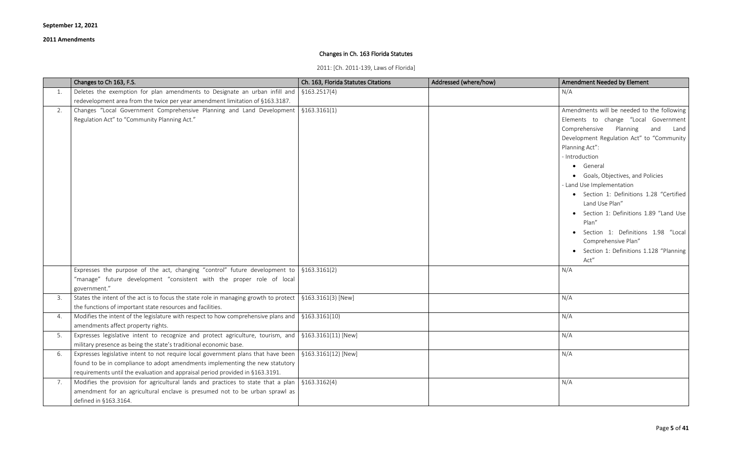# Changes in Ch. 163 Florida Statutes

2011: [Ch. 2011-139, Laws of Florida]

|    | Changes to Ch 163, F.S.                                                                                            | Ch. 163, Florida Statutes Citations | Addressed (where/how) | Amendment Needed by Element                        |
|----|--------------------------------------------------------------------------------------------------------------------|-------------------------------------|-----------------------|----------------------------------------------------|
| 1. | Deletes the exemption for plan amendments to Designate an urban infill and $\frac{1}{2}$ \$163.2517(4)             |                                     |                       | N/A                                                |
|    | redevelopment area from the twice per year amendment limitation of §163.3187.                                      |                                     |                       |                                                    |
| 2. | Changes "Local Government Comprehensive Planning and Land Development   §163.3161(1)                               |                                     |                       | Amendments will be needed to the following         |
|    | Regulation Act" to "Community Planning Act."                                                                       |                                     |                       | Elements to change "Local Government               |
|    |                                                                                                                    |                                     |                       | Comprehensive Planning<br>and<br>Land              |
|    |                                                                                                                    |                                     |                       | Development Regulation Act" to "Community          |
|    |                                                                                                                    |                                     |                       | Planning Act":                                     |
|    |                                                                                                                    |                                     |                       | - Introduction                                     |
|    |                                                                                                                    |                                     |                       | • General                                          |
|    |                                                                                                                    |                                     |                       | Goals, Objectives, and Policies<br>$\bullet$       |
|    |                                                                                                                    |                                     |                       | - Land Use Implementation                          |
|    |                                                                                                                    |                                     |                       | • Section 1: Definitions 1.28 "Certified           |
|    |                                                                                                                    |                                     |                       | Land Use Plan"                                     |
|    |                                                                                                                    |                                     |                       | Section 1: Definitions 1.89 "Land Use<br>$\bullet$ |
|    |                                                                                                                    |                                     |                       | Plan"                                              |
|    |                                                                                                                    |                                     |                       | Section 1: Definitions 1.98 "Local                 |
|    |                                                                                                                    |                                     |                       | Comprehensive Plan"                                |
|    |                                                                                                                    |                                     |                       | Section 1: Definitions 1.128 "Planning             |
|    |                                                                                                                    |                                     |                       | Act"                                               |
|    | Expresses the purpose of the act, changing "control" future development to $\frac{1}{2}$ \$163.3161(2)             |                                     |                       | N/A                                                |
|    | "manage" future development "consistent with the proper role of local                                              |                                     |                       |                                                    |
|    | government."                                                                                                       |                                     |                       |                                                    |
| 3. | States the intent of the act is to focus the state role in managing growth to protect   $\S 163.3161(3)$ [New]     |                                     |                       | N/A                                                |
|    | the functions of important state resources and facilities.                                                         |                                     |                       |                                                    |
| 4. | Modifies the intent of the legislature with respect to how comprehensive plans and $\frac{1}{5}$ \$163.3161(10)    |                                     |                       | N/A                                                |
|    | amendments affect property rights.                                                                                 |                                     |                       |                                                    |
| 5. | Expresses legislative intent to recognize and protect agriculture, tourism, and $\frac{1}{2}$ \$163.3161(11) [New] |                                     |                       | N/A                                                |
|    | military presence as being the state's traditional economic base.                                                  |                                     |                       |                                                    |
| 6. | Expresses legislative intent to not require local government plans that have been                                  | $$163.3161(12)$ [New]               |                       | N/A                                                |
|    | found to be in compliance to adopt amendments implementing the new statutory                                       |                                     |                       |                                                    |
|    | requirements until the evaluation and appraisal period provided in §163.3191.                                      |                                     |                       |                                                    |
| 7. | Modifies the provision for agricultural lands and practices to state that a plan $\frac{1}{5}$ \$163.3162(4)       |                                     |                       | N/A                                                |
|    | amendment for an agricultural enclave is presumed not to be urban sprawl as                                        |                                     |                       |                                                    |
|    | defined in §163.3164.                                                                                              |                                     |                       |                                                    |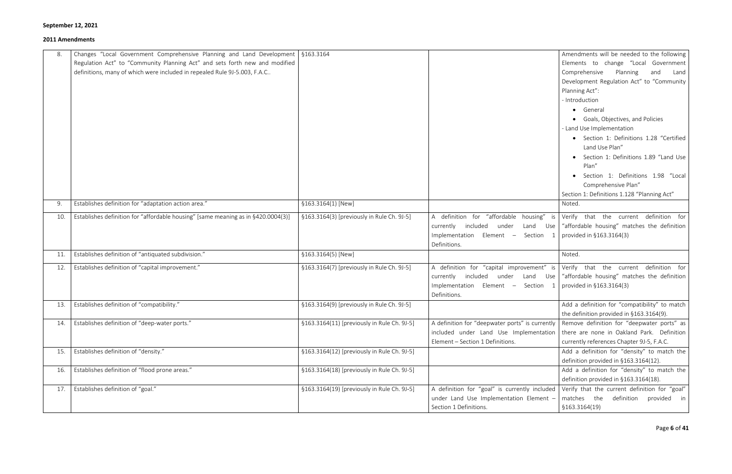|     | Changes "Local Government Comprehensive Planning and Land Development   §163.3164 |                                             |                                                 | Amendments will be needed to the following                                       |
|-----|-----------------------------------------------------------------------------------|---------------------------------------------|-------------------------------------------------|----------------------------------------------------------------------------------|
|     | Regulation Act" to "Community Planning Act" and sets forth new and modified       |                                             |                                                 | Elements to change "Local Government                                             |
|     | definitions, many of which were included in repealed Rule 9J-5.003, F.A.C         |                                             |                                                 | Comprehensive<br>Planning<br>Land<br>and                                         |
|     |                                                                                   |                                             |                                                 | Development Regulation Act" to "Community                                        |
|     |                                                                                   |                                             |                                                 | Planning Act":                                                                   |
|     |                                                                                   |                                             |                                                 | - Introduction                                                                   |
|     |                                                                                   |                                             |                                                 | • General                                                                        |
|     |                                                                                   |                                             |                                                 | Goals, Objectives, and Policies<br>$\bullet$                                     |
|     |                                                                                   |                                             |                                                 | - Land Use Implementation                                                        |
|     |                                                                                   |                                             |                                                 | • Section 1: Definitions 1.28 "Certified                                         |
|     |                                                                                   |                                             |                                                 | Land Use Plan"                                                                   |
|     |                                                                                   |                                             |                                                 | Section 1: Definitions 1.89 "Land Use                                            |
|     |                                                                                   |                                             |                                                 | Plan"                                                                            |
|     |                                                                                   |                                             |                                                 | Section 1: Definitions 1.98 "Local                                               |
|     |                                                                                   |                                             |                                                 | Comprehensive Plan"                                                              |
|     |                                                                                   |                                             |                                                 | Section 1: Definitions 1.128 "Planning Act"                                      |
| 9.  | Establishes definition for "adaptation action area."                              | §163.3164(1) [New]                          |                                                 | Noted.                                                                           |
| 10. | Establishes definition for "affordable housing" [same meaning as in §420.0004(3)] | §163.3164(3) [previously in Rule Ch. 9J-5]  | A definition for "affordable housing" is        | Verify that the current definition for                                           |
|     |                                                                                   |                                             | currently included under                        | Land Use   "affordable housing" matches the definition                           |
|     |                                                                                   |                                             | Implementation Element -<br>Section<br>-1       | provided in §163.3164(3)                                                         |
|     |                                                                                   |                                             | Definitions.                                    |                                                                                  |
| 11. | Establishes definition of "antiquated subdivision."                               | §163.3164(5) [New]                          |                                                 | Noted.                                                                           |
| 12. | Establishes definition of "capital improvement."                                  | §163.3164(7) [previously in Rule Ch. 9J-5]  |                                                 | A definition for "capital improvement" is Verify that the current definition for |
|     |                                                                                   |                                             |                                                 | currently included under Land Use "affordable housing" matches the definition    |
|     |                                                                                   |                                             | Implementation Element - Section 1              | provided in §163.3164(3)                                                         |
|     |                                                                                   |                                             | Definitions.                                    |                                                                                  |
| 13. | Establishes definition of "compatibility."                                        | §163.3164(9) [previously in Rule Ch. 9J-5]  |                                                 | Add a definition for "compatibility" to match                                    |
|     |                                                                                   |                                             |                                                 | the definition provided in §163.3164(9).                                         |
|     | Establishes definition of "deep-water ports."                                     | §163.3164(11) [previously in Rule Ch. 9J-5] | A definition for "deepwater ports" is currently | Remove definition for "deepwater ports" as                                       |
|     |                                                                                   |                                             | included under Land Use Implementation          | there are none in Oakland Park. Definition                                       |
|     |                                                                                   |                                             | Element - Section 1 Definitions.                | currently references Chapter 9J-5, F.A.C.                                        |
| 15. | Establishes definition of "density."                                              | §163.3164(12) [previously in Rule Ch. 9J-5] |                                                 | Add a definition for "density" to match the                                      |
|     |                                                                                   |                                             |                                                 | definition provided in §163.3164(12).                                            |
| 16. | Establishes definition of "flood prone areas."                                    | §163.3164(18) [previously in Rule Ch. 9J-5] |                                                 | Add a definition for "density" to match the                                      |
|     |                                                                                   |                                             |                                                 | definition provided in §163.3164(18).                                            |
| 17. | Establishes definition of "goal."                                                 | §163.3164(19) [previously in Rule Ch. 9J-5] | A definition for "goal" is currently included   | Verify that the current definition for "goal"                                    |
|     |                                                                                   |                                             | under Land Use Implementation Element -         | matches the definition provided in                                               |
|     |                                                                                   |                                             | Section 1 Definitions.                          | \$163.3164(19)                                                                   |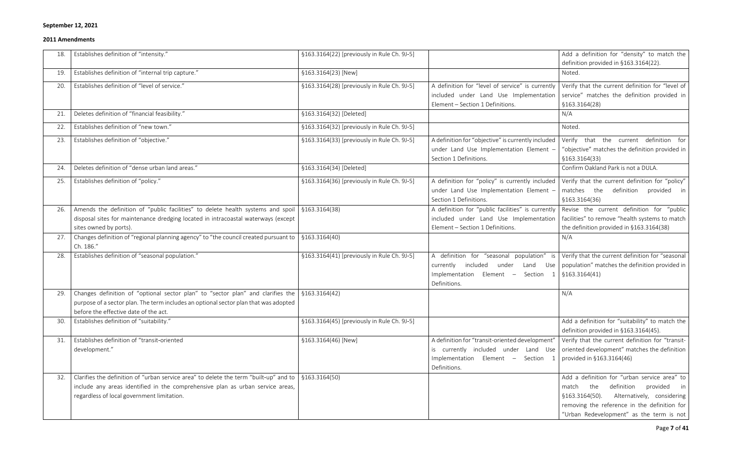| 18. | Establishes definition of "intensity."                                                                             | §163.3164(22) [previously in Rule Ch. 9J-5] |                                                    | Add a definition for "density" to match the                                                                                                                                                                                                                     |
|-----|--------------------------------------------------------------------------------------------------------------------|---------------------------------------------|----------------------------------------------------|-----------------------------------------------------------------------------------------------------------------------------------------------------------------------------------------------------------------------------------------------------------------|
|     |                                                                                                                    |                                             |                                                    | definition provided in §163.3164(22).                                                                                                                                                                                                                           |
| 19. | Establishes definition of "internal trip capture."                                                                 | §163.3164(23) [New]                         |                                                    | Noted.                                                                                                                                                                                                                                                          |
| 20. | Establishes definition of "level of service."                                                                      | §163.3164(28) [previously in Rule Ch. 9J-5] | A definition for "level of service" is currently   | Verify that the current definition for "level of                                                                                                                                                                                                                |
|     |                                                                                                                    |                                             |                                                    | included under Land Use Implementation service" matches the definition provided in                                                                                                                                                                              |
|     |                                                                                                                    |                                             | Element - Section 1 Definitions.                   | §163.3164(28)                                                                                                                                                                                                                                                   |
| 21. | Deletes definition of "financial feasibility."                                                                     | §163.3164(32) [Deleted]                     |                                                    | N/A                                                                                                                                                                                                                                                             |
| 22. | Establishes definition of "new town."                                                                              | §163.3164(32) [previously in Rule Ch. 9J-5] |                                                    | Noted.                                                                                                                                                                                                                                                          |
| 23. | Establishes definition of "objective."                                                                             | §163.3164(33) [previously in Rule Ch. 9J-5] | A definition for "objective" is currently included | Verify that the current definition for                                                                                                                                                                                                                          |
|     |                                                                                                                    |                                             | under Land Use Implementation Element -            | "objective" matches the definition provided in                                                                                                                                                                                                                  |
|     |                                                                                                                    |                                             | Section 1 Definitions.                             | §163.3164(33)                                                                                                                                                                                                                                                   |
| 24. | Deletes definition of "dense urban land areas."                                                                    | §163.3164(34) [Deleted]                     |                                                    | Confirm Oakland Park is not a DULA.                                                                                                                                                                                                                             |
| 25. | Establishes definition of "policy."                                                                                | §163.3164(36) [previously in Rule Ch. 9J-5] | A definition for "policy" is currently included    | Verify that the current definition for "policy"                                                                                                                                                                                                                 |
|     |                                                                                                                    |                                             | under Land Use Implementation Element -            | definition provided in<br>matches the                                                                                                                                                                                                                           |
|     |                                                                                                                    |                                             | Section 1 Definitions.                             | §163.3164(36)                                                                                                                                                                                                                                                   |
| 26. | Amends the definition of "public facilities" to delete health systems and spoil $\frac{1}{2}$ \$163.3164(38)       |                                             | A definition for "public facilities" is currently  | Revise the current definition for "public                                                                                                                                                                                                                       |
|     | disposal sites for maintenance dredging located in intracoastal waterways (except                                  |                                             | included under Land Use Implementation             | facilities" to remove "health systems to match                                                                                                                                                                                                                  |
|     | sites owned by ports).                                                                                             |                                             | Element - Section 1 Definitions.                   | the definition provided in §163.3164(38)                                                                                                                                                                                                                        |
| 27. | Changes definition of "regional planning agency" to "the council created pursuant to $\frac{1}{5}$ \$163.3164(40)  |                                             |                                                    | N/A                                                                                                                                                                                                                                                             |
|     | Ch. 186."                                                                                                          |                                             |                                                    |                                                                                                                                                                                                                                                                 |
| 28. | Establishes definition of "seasonal population."                                                                   | §163.3164(41) [previously in Rule Ch. 9J-5] |                                                    | A definition for "seasonal population" is Verify that the current definition for "seasonal                                                                                                                                                                      |
|     |                                                                                                                    |                                             | included<br>currently<br>under                     | Land Use   population" matches the definition provided in                                                                                                                                                                                                       |
|     |                                                                                                                    |                                             | Implementation<br>Element -<br>Section 1           | \$163.3164(41)                                                                                                                                                                                                                                                  |
|     |                                                                                                                    |                                             | Definitions.                                       |                                                                                                                                                                                                                                                                 |
| 29. | Changes definition of "optional sector plan" to "sector plan" and clarifies the $\frac{1}{2}$ \$163.3164(42)       |                                             |                                                    | N/A                                                                                                                                                                                                                                                             |
|     | purpose of a sector plan. The term includes an optional sector plan that was adopted                               |                                             |                                                    |                                                                                                                                                                                                                                                                 |
|     | before the effective date of the act.                                                                              |                                             |                                                    |                                                                                                                                                                                                                                                                 |
| 30. | Establishes definition of "suitability."                                                                           | §163.3164(45) [previously in Rule Ch. 9J-5] |                                                    | Add a definition for "suitability" to match the                                                                                                                                                                                                                 |
|     |                                                                                                                    |                                             |                                                    |                                                                                                                                                                                                                                                                 |
| 31. |                                                                                                                    |                                             |                                                    | definition provided in §163.3164(45).                                                                                                                                                                                                                           |
|     | Establishes definition of "transit-oriented                                                                        | §163.3164(46) [New]                         | A definition for "transit-oriented development"    |                                                                                                                                                                                                                                                                 |
|     | development."                                                                                                      |                                             |                                                    |                                                                                                                                                                                                                                                                 |
|     |                                                                                                                    |                                             | Element - Section 1<br>Implementation              | provided in §163.3164(46)                                                                                                                                                                                                                                       |
|     |                                                                                                                    |                                             | Definitions.                                       |                                                                                                                                                                                                                                                                 |
| 32. | Clarifies the definition of "urban service area" to delete the term "built-up" and to $\frac{1}{5}$ \$163.3164(50) |                                             |                                                    |                                                                                                                                                                                                                                                                 |
|     | include any areas identified in the comprehensive plan as urban service areas,                                     |                                             |                                                    | the<br>match                                                                                                                                                                                                                                                    |
|     | regardless of local government limitation.                                                                         |                                             |                                                    | Verify that the current definition for "transit-<br>is currently included under Land Use oriented development" matches the definition<br>Add a definition for "urban service area" to<br>definition provided in<br>Alternatively, considering<br>§163.3164(50). |
|     |                                                                                                                    |                                             |                                                    | removing the reference in the definition for<br>"Urban Redevelopment" as the term is not                                                                                                                                                                        |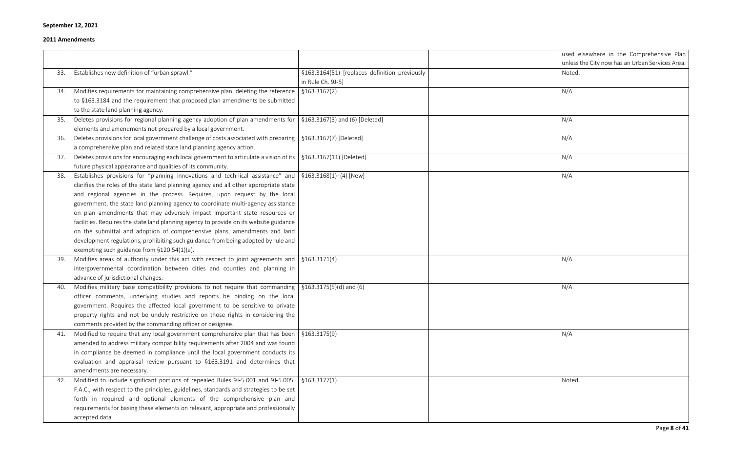| used elsewhere in the Comprehensive Plan        |
|-------------------------------------------------|
| unless the City now has an Urban Services Area. |
| Noted.                                          |
|                                                 |
| N/A                                             |
|                                                 |
|                                                 |
| N/A                                             |
|                                                 |
| N/A                                             |
|                                                 |
|                                                 |
| N/A                                             |
|                                                 |
| N/A                                             |
|                                                 |
|                                                 |
|                                                 |
|                                                 |
|                                                 |
|                                                 |
|                                                 |
|                                                 |
|                                                 |
| N/A                                             |
|                                                 |
|                                                 |
| N/A                                             |
|                                                 |
|                                                 |
|                                                 |
|                                                 |
| N/A                                             |
|                                                 |
|                                                 |
|                                                 |
|                                                 |
|                                                 |
| Noted.                                          |
|                                                 |
|                                                 |
|                                                 |
|                                                 |
|                                                 |

|     |                                                                                                                       |                                               | used 6 |
|-----|-----------------------------------------------------------------------------------------------------------------------|-----------------------------------------------|--------|
|     |                                                                                                                       |                                               | unless |
| 33. | Establishes new definition of "urban sprawl."                                                                         | §163.3164(51) [replaces definition previously | Noted. |
|     |                                                                                                                       | in Rule Ch. 9J-5]                             |        |
| 34. | Modifies requirements for maintaining comprehensive plan, deleting the reference                                      | \$163.3167(2)                                 | N/A    |
|     | to §163.3184 and the requirement that proposed plan amendments be submitted                                           |                                               |        |
|     | to the state land planning agency.                                                                                    |                                               |        |
| 35. | Deletes provisions for regional planning agency adoption of plan amendments for                                       | §163.3167(3) and (6) [Deleted]                | N/A    |
|     | elements and amendments not prepared by a local government.                                                           |                                               |        |
| 36. | Deletes provisions for local government challenge of costs associated with preparing                                  | §163.3167(7) [Deleted]                        | N/A    |
|     | a comprehensive plan and related state land planning agency action.                                                   |                                               |        |
| 37. | Deletes provisions for encouraging each local government to articulate a vision of its                                | §163.3167(11) [Deleted]                       | N/A    |
|     | future physical appearance and qualities of its community.                                                            |                                               |        |
| 38. | Establishes provisions for "planning innovations and technical assistance" and                                        | $$163.3168(1)–(4)$ [New]                      | N/A    |
|     | clarifies the roles of the state land planning agency and all other appropriate state                                 |                                               |        |
|     | and regional agencies in the process. Requires, upon request by the local                                             |                                               |        |
|     | government, the state land planning agency to coordinate multi-agency assistance                                      |                                               |        |
|     | on plan amendments that may adversely impact important state resources or                                             |                                               |        |
|     | facilities. Requires the state land planning agency to provide on its website guidance                                |                                               |        |
|     | on the submittal and adoption of comprehensive plans, amendments and land                                             |                                               |        |
|     | development regulations, prohibiting such guidance from being adopted by rule and                                     |                                               |        |
|     | exempting such guidance from §120.54(1)(a).                                                                           |                                               |        |
| 39. | Modifies areas of authority under this act with respect to joint agreements and                                       | \$163.3171(4)                                 | N/A    |
|     | intergovernmental coordination between cities and counties and planning in                                            |                                               |        |
|     | advance of jurisdictional changes.                                                                                    |                                               |        |
| 40. | Modifies military base compatibility provisions to not require that commanding $\frac{1}{5}$ \$163.3175(5)(d) and (6) |                                               | N/A    |
|     | officer comments, underlying studies and reports be binding on the local                                              |                                               |        |
|     | government. Requires the affected local government to be sensitive to private                                         |                                               |        |
|     | property rights and not be unduly restrictive on those rights in considering the                                      |                                               |        |
|     | comments provided by the commanding officer or designee.                                                              |                                               |        |
| 41. | Modified to require that any local government comprehensive plan that has been                                        | §163.3175(9)                                  | N/A    |
|     | amended to address military compatibility requirements after 2004 and was found                                       |                                               |        |
|     | in compliance be deemed in compliance until the local government conducts its                                         |                                               |        |
|     | evaluation and appraisal review pursuant to §163.3191 and determines that                                             |                                               |        |
|     | amendments are necessary.                                                                                             |                                               |        |
| 42. | Modified to include significant portions of repealed Rules 9J-5.001 and 9J-5.005,                                     | \$163.3177(1)                                 | Noted. |
|     | F.A.C., with respect to the principles, guidelines, standards and strategies to be set                                |                                               |        |
|     | forth in required and optional elements of the comprehensive plan and                                                 |                                               |        |
|     | requirements for basing these elements on relevant, appropriate and professionally                                    |                                               |        |
|     | accepted data.                                                                                                        |                                               |        |
|     |                                                                                                                       |                                               |        |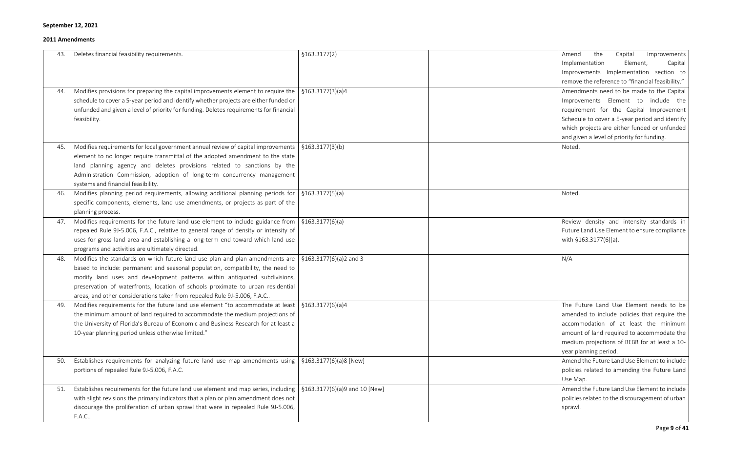| 43. | Deletes financial feasibility requirements.                                                                                                                                                                                                                                                                                                                                                                                                       | \$163.3177(2) | the<br>Capital<br>Amend<br>Improvements<br>Implementation<br>Element,<br>Capital<br>Improvements Implementation section to<br>remove the reference to "financial feasibility."                                                                                              |
|-----|---------------------------------------------------------------------------------------------------------------------------------------------------------------------------------------------------------------------------------------------------------------------------------------------------------------------------------------------------------------------------------------------------------------------------------------------------|---------------|-----------------------------------------------------------------------------------------------------------------------------------------------------------------------------------------------------------------------------------------------------------------------------|
| 44. | Modifies provisions for preparing the capital improvements element to require the $\frac{1}{2}$ \$163.3177(3)(a)4<br>schedule to cover a 5-year period and identify whether projects are either funded or<br>unfunded and given a level of priority for funding. Deletes requirements for financial<br>feasibility.                                                                                                                               |               | Amendments need to be made to the Capital<br>Improvements Element to include the<br>requirement for the Capital Improvement<br>Schedule to cover a 5-year period and identify<br>which projects are either funded or unfunded<br>and given a level of priority for funding. |
| 45. | Modifies requirements for local government annual review of capital improvements $\frac{1}{2}$ \$163.3177(3)(b)<br>element to no longer require transmittal of the adopted amendment to the state<br>land planning agency and deletes provisions related to sanctions by the<br>Administration Commission, adoption of long-term concurrency management<br>systems and financial feasibility.                                                     |               | Noted.                                                                                                                                                                                                                                                                      |
| 46. | Modifies planning period requirements, allowing additional planning periods for $\frac{1}{5}$ \$163.3177(5)(a)<br>specific components, elements, land use amendments, or projects as part of the<br>planning process.                                                                                                                                                                                                                             |               | Noted.                                                                                                                                                                                                                                                                      |
| 47. | Modifies requirements for the future land use element to include guidance from $\frac{1}{5}$ \$163.3177(6)(a)<br>repealed Rule 9J-5.006, F.A.C., relative to general range of density or intensity of<br>uses for gross land area and establishing a long-term end toward which land use<br>programs and activities are ultimately directed.                                                                                                      |               | Review density and intensity standards in<br>Future Land Use Element to ensure compliance<br>with §163.3177(6)(a).                                                                                                                                                          |
| 48. | Modifies the standards on which future land use plan and plan amendments are $\frac{1}{5}$ \$163.3177(6)(a)2 and 3<br>based to include: permanent and seasonal population, compatibility, the need to<br>modify land uses and development patterns within antiquated subdivisions,<br>preservation of waterfronts, location of schools proximate to urban residential<br>areas, and other considerations taken from repealed Rule 9J-5.006, F.A.C |               | N/A                                                                                                                                                                                                                                                                         |
| 49. | Modifies requirements for the future land use element "to accommodate at least   $$163.3177(6)(a)4$<br>the minimum amount of land required to accommodate the medium projections of<br>the University of Florida's Bureau of Economic and Business Research for at least a<br>10-year planning period unless otherwise limited."                                                                                                                  |               | The Future Land Use Element needs to be<br>amended to include policies that require the<br>accommodation of at least the minimum<br>amount of land required to accommodate the<br>medium projections of BEBR for at least a 10-<br>year planning period.                    |
| 50. | Establishes requirements for analyzing future land use map amendments using $\frac{1}{5}$ \$163.3177(6)(a)8 [New]<br>portions of repealed Rule 9J-5.006, F.A.C.                                                                                                                                                                                                                                                                                   |               | Amend the Future Land Use Element to include<br>policies related to amending the Future Land<br>Use Map.                                                                                                                                                                    |
| 51. | Establishes requirements for the future land use element and map series, including   $\S$ 163.3177(6)(a)9 and 10 [New]<br>with slight revisions the primary indicators that a plan or plan amendment does not<br>discourage the proliferation of urban sprawl that were in repealed Rule 9J-5.006,<br>F.A.C                                                                                                                                       |               | Amend the Future Land Use Element to include<br>policies related to the discouragement of urban<br>sprawl.                                                                                                                                                                  |

| the<br>Capital Improvements<br>Amend             |
|--------------------------------------------------|
| Element,<br>Implementation<br>Capital            |
| Improvements Implementation section<br>to        |
| remove the reference to "financial feasibility." |
| Amendments need to be made to the Capital        |
| include<br>Improvements Element to<br>the        |
| requirement for the Capital Improvement          |
| Schedule to cover a 5-year period and identify   |
| which projects are either funded or unfunded     |
| and given a level of priority for funding.       |
| Noted.                                           |
|                                                  |
|                                                  |
|                                                  |
|                                                  |
| Noted.                                           |
|                                                  |
|                                                  |
| Review density and intensity standards in        |
| Future Land Use Element to ensure compliance     |
| with §163.3177(6)(a).                            |
|                                                  |
| N/A                                              |
|                                                  |
|                                                  |
|                                                  |
|                                                  |
| The Future Land Use Element needs to be          |
| amended to include policies that require the     |
| accommodation of at least the minimum            |
| amount of land required to accommodate the       |
| medium projections of BEBR for at least a 10-    |
| year planning period.                            |
| Amend the Future Land Use Element to include     |
| policies related to amending the Future Land     |
| Use Map.                                         |
| Amend the Future Land Use Element to include     |
| policies related to the discouragement of urban  |
| sprawl.                                          |
|                                                  |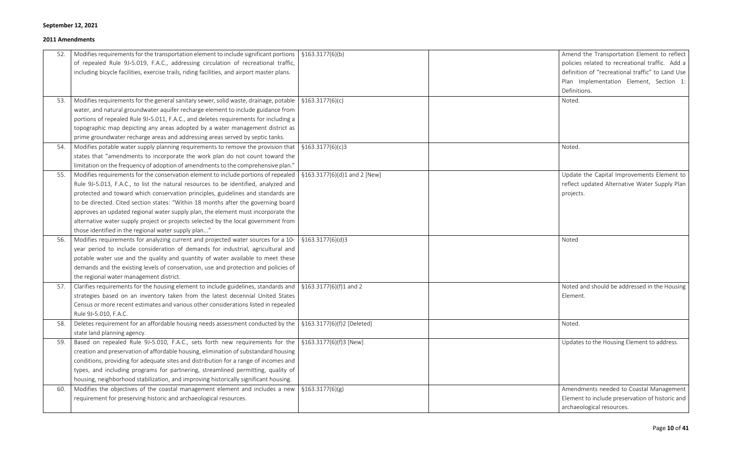| policies related to recreational traffic. Add a<br>of repealed Rule 9J-5.019, F.A.C., addressing circulation of recreational traffic,<br>including bicycle facilities, exercise trails, riding facilities, and airport master plans.<br>definition of "recreational traffic" to Land Use<br>Plan Implementation Element, Section 1:<br>Definitions.<br>Modifies requirements for the general sanitary sewer, solid waste, drainage, potable   $$163.3177(6)(c)$<br>Noted.<br>53.<br>water, and natural groundwater aquifer recharge element to include guidance from<br>portions of repealed Rule 9J-5.011, F.A.C., and deletes requirements for including a<br>topographic map depicting any areas adopted by a water management district as<br>prime groundwater recharge areas and addressing areas served by septic tanks. |  |
|--------------------------------------------------------------------------------------------------------------------------------------------------------------------------------------------------------------------------------------------------------------------------------------------------------------------------------------------------------------------------------------------------------------------------------------------------------------------------------------------------------------------------------------------------------------------------------------------------------------------------------------------------------------------------------------------------------------------------------------------------------------------------------------------------------------------------------|--|
|                                                                                                                                                                                                                                                                                                                                                                                                                                                                                                                                                                                                                                                                                                                                                                                                                                |  |
|                                                                                                                                                                                                                                                                                                                                                                                                                                                                                                                                                                                                                                                                                                                                                                                                                                |  |
|                                                                                                                                                                                                                                                                                                                                                                                                                                                                                                                                                                                                                                                                                                                                                                                                                                |  |
|                                                                                                                                                                                                                                                                                                                                                                                                                                                                                                                                                                                                                                                                                                                                                                                                                                |  |
|                                                                                                                                                                                                                                                                                                                                                                                                                                                                                                                                                                                                                                                                                                                                                                                                                                |  |
|                                                                                                                                                                                                                                                                                                                                                                                                                                                                                                                                                                                                                                                                                                                                                                                                                                |  |
|                                                                                                                                                                                                                                                                                                                                                                                                                                                                                                                                                                                                                                                                                                                                                                                                                                |  |
|                                                                                                                                                                                                                                                                                                                                                                                                                                                                                                                                                                                                                                                                                                                                                                                                                                |  |
|                                                                                                                                                                                                                                                                                                                                                                                                                                                                                                                                                                                                                                                                                                                                                                                                                                |  |
| Modifies potable water supply planning requirements to remove the provision that<br>$\frac{1}{2}$ \$163.3177(6)(c)3<br>Noted.<br>54.                                                                                                                                                                                                                                                                                                                                                                                                                                                                                                                                                                                                                                                                                           |  |
| states that "amendments to incorporate the work plan do not count toward the                                                                                                                                                                                                                                                                                                                                                                                                                                                                                                                                                                                                                                                                                                                                                   |  |
| limitation on the frequency of adoption of amendments to the comprehensive plan."                                                                                                                                                                                                                                                                                                                                                                                                                                                                                                                                                                                                                                                                                                                                              |  |
| Modifies requirements for the conservation element to include portions of repealed   $$163.3177(6)(d)1$ and 2 [New]<br>Update the Capital Improvements Element to<br>55.                                                                                                                                                                                                                                                                                                                                                                                                                                                                                                                                                                                                                                                       |  |
| Rule 9J-5.013, F.A.C., to list the natural resources to be identified, analyzed and<br>reflect updated Alternative Water Supply Plan                                                                                                                                                                                                                                                                                                                                                                                                                                                                                                                                                                                                                                                                                           |  |
| protected and toward which conservation principles, guidelines and standards are<br>projects.                                                                                                                                                                                                                                                                                                                                                                                                                                                                                                                                                                                                                                                                                                                                  |  |
| to be directed. Cited section states: "Within 18 months after the governing board                                                                                                                                                                                                                                                                                                                                                                                                                                                                                                                                                                                                                                                                                                                                              |  |
| approves an updated regional water supply plan, the element must incorporate the                                                                                                                                                                                                                                                                                                                                                                                                                                                                                                                                                                                                                                                                                                                                               |  |
| alternative water supply project or projects selected by the local government from                                                                                                                                                                                                                                                                                                                                                                                                                                                                                                                                                                                                                                                                                                                                             |  |
| those identified in the regional water supply plan"                                                                                                                                                                                                                                                                                                                                                                                                                                                                                                                                                                                                                                                                                                                                                                            |  |
| Modifies requirements for analyzing current and projected water sources for a 10-<br>\$163.3177(6)(d)3<br>Noted<br>56.                                                                                                                                                                                                                                                                                                                                                                                                                                                                                                                                                                                                                                                                                                         |  |
| year period to include consideration of demands for industrial, agricultural and                                                                                                                                                                                                                                                                                                                                                                                                                                                                                                                                                                                                                                                                                                                                               |  |
| potable water use and the quality and quantity of water available to meet these                                                                                                                                                                                                                                                                                                                                                                                                                                                                                                                                                                                                                                                                                                                                                |  |
| demands and the existing levels of conservation, use and protection and policies of                                                                                                                                                                                                                                                                                                                                                                                                                                                                                                                                                                                                                                                                                                                                            |  |
| the regional water management district.                                                                                                                                                                                                                                                                                                                                                                                                                                                                                                                                                                                                                                                                                                                                                                                        |  |
| Clarifies requirements for the housing element to include guidelines, standards and   $$163.3177(6)(f)1$ and 2<br>Noted and should be addressed in the Housing<br>57.                                                                                                                                                                                                                                                                                                                                                                                                                                                                                                                                                                                                                                                          |  |
| strategies based on an inventory taken from the latest decennial United States<br>Element.                                                                                                                                                                                                                                                                                                                                                                                                                                                                                                                                                                                                                                                                                                                                     |  |
| Census or more recent estimates and various other considerations listed in repealed                                                                                                                                                                                                                                                                                                                                                                                                                                                                                                                                                                                                                                                                                                                                            |  |
| Rule 9J-5.010, F.A.C.                                                                                                                                                                                                                                                                                                                                                                                                                                                                                                                                                                                                                                                                                                                                                                                                          |  |
| Deletes requirement for an affordable housing needs assessment conducted by the $\frac{1}{2}$ \$163.3177(6)(f)2 [Deleted]<br>Noted.<br>58.                                                                                                                                                                                                                                                                                                                                                                                                                                                                                                                                                                                                                                                                                     |  |
| state land planning agency.                                                                                                                                                                                                                                                                                                                                                                                                                                                                                                                                                                                                                                                                                                                                                                                                    |  |
| Based on repealed Rule 9J-5.010, F.A.C., sets forth new requirements for the   §163.3177(6)(f)3 [New]<br>Updates to the Housing Element to address.<br>59.                                                                                                                                                                                                                                                                                                                                                                                                                                                                                                                                                                                                                                                                     |  |
| creation and preservation of affordable housing, elimination of substandard housing                                                                                                                                                                                                                                                                                                                                                                                                                                                                                                                                                                                                                                                                                                                                            |  |
| conditions, providing for adequate sites and distribution for a range of incomes and                                                                                                                                                                                                                                                                                                                                                                                                                                                                                                                                                                                                                                                                                                                                           |  |
| types, and including programs for partnering, streamlined permitting, quality of                                                                                                                                                                                                                                                                                                                                                                                                                                                                                                                                                                                                                                                                                                                                               |  |
| housing, neighborhood stabilization, and improving historically significant housing.                                                                                                                                                                                                                                                                                                                                                                                                                                                                                                                                                                                                                                                                                                                                           |  |
| Modifies the objectives of the coastal management element and includes a new   $$163.3177(6)(g)$<br>Amendments needed to Coastal Management<br>60.                                                                                                                                                                                                                                                                                                                                                                                                                                                                                                                                                                                                                                                                             |  |
| requirement for preserving historic and archaeological resources.<br>Element to include preservation of historic and                                                                                                                                                                                                                                                                                                                                                                                                                                                                                                                                                                                                                                                                                                           |  |
| archaeological resources.                                                                                                                                                                                                                                                                                                                                                                                                                                                                                                                                                                                                                                                                                                                                                                                                      |  |

| Amend the Transportation Element to reflect<br>policies related to recreational traffic. Add a<br>definition of "recreational traffic" to Land Use<br>Plan Implementation Element, Section<br>1:<br>Definitions. |
|------------------------------------------------------------------------------------------------------------------------------------------------------------------------------------------------------------------|
| Noted.                                                                                                                                                                                                           |
| Noted.                                                                                                                                                                                                           |
| Update the Capital Improvements Element to<br>reflect updated Alternative Water Supply Plan<br>projects.                                                                                                         |
| Noted                                                                                                                                                                                                            |
| Noted and should be addressed in the Housing<br>Element.                                                                                                                                                         |
| Noted.                                                                                                                                                                                                           |
| Updates to the Housing Element to address.                                                                                                                                                                       |
| Amendments needed to Coastal Management<br>Element to include preservation of historic and<br>archaeological resources.                                                                                          |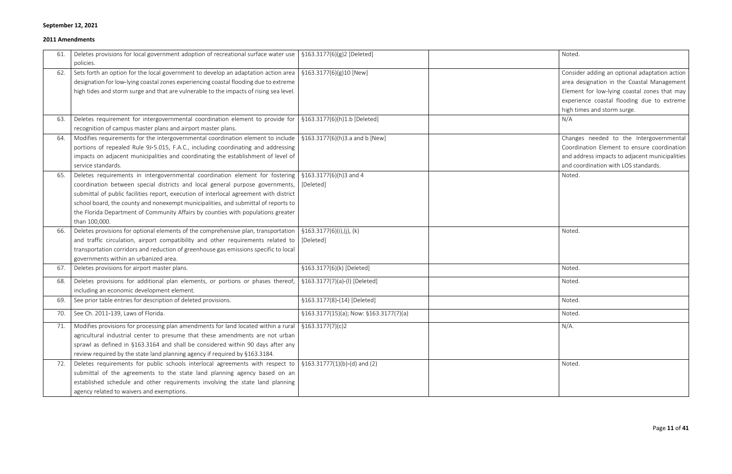| Noted.                                                                                                                                                                                                                   |
|--------------------------------------------------------------------------------------------------------------------------------------------------------------------------------------------------------------------------|
| Consider adding an optional adaptation action<br>area designation in the Coastal Management<br>Element for low-lying coastal zones that may<br>experience coastal flooding due to extreme<br>high times and storm surge. |
| N/A                                                                                                                                                                                                                      |
| Changes needed to the Intergovernmental<br>Coordination Element to ensure coordination<br>and address impacts to adjacent municipalities<br>and coordination with LOS standards.                                         |
| Noted.                                                                                                                                                                                                                   |
| Noted.                                                                                                                                                                                                                   |
| Noted.                                                                                                                                                                                                                   |
| Noted.                                                                                                                                                                                                                   |
| Noted.                                                                                                                                                                                                                   |
| Noted.                                                                                                                                                                                                                   |
| N/A.                                                                                                                                                                                                                     |
| Noted.                                                                                                                                                                                                                   |
|                                                                                                                                                                                                                          |

| 61. | Deletes provisions for local government adoption of recreational surface water use   $$163.3177(6)(g)$ 2 [Deleted]            |                                            | Noted.                                         |
|-----|-------------------------------------------------------------------------------------------------------------------------------|--------------------------------------------|------------------------------------------------|
|     | policies.                                                                                                                     |                                            |                                                |
| 62. | Sets forth an option for the local government to develop an adaptation action area   $\S 163.3177(6)(g)10$ [New]              |                                            | Consider adding an optional adaptation action  |
|     | designation for low-lying coastal zones experiencing coastal flooding due to extreme                                          |                                            | area designation in the Coastal Management     |
|     | high tides and storm surge and that are vulnerable to the impacts of rising sea level.                                        |                                            | Element for low-lying coastal zones that may   |
|     |                                                                                                                               |                                            | experience coastal flooding due to extreme     |
|     |                                                                                                                               |                                            | high times and storm surge.                    |
| 63. | Deletes requirement for intergovernmental coordination element to provide for                                                 | §163.3177(6)(h)1.b [Deleted]               | N/A                                            |
|     | recognition of campus master plans and airport master plans.                                                                  |                                            |                                                |
| 64. | Modifies requirements for the intergovernmental coordination element to include $\frac{1}{2}$ \$163.3177(6)(h)3.a and b [New] |                                            | Changes needed to the Intergovernmental        |
|     | portions of repealed Rule 9J-5.015, F.A.C., including coordinating and addressing                                             |                                            | Coordination Element to ensure coordination    |
|     | impacts on adjacent municipalities and coordinating the establishment of level of                                             |                                            | and address impacts to adjacent municipalities |
|     | service standards.                                                                                                            |                                            | and coordination with LOS standards.           |
| 65. | Deletes requirements in intergovernmental coordination element for fostering   §163.3177(6)(h)3 and 4                         |                                            | Noted.                                         |
|     | coordination between special districts and local general purpose governments, [[Deleted]                                      |                                            |                                                |
|     | submittal of public facilities report, execution of interlocal agreement with district                                        |                                            |                                                |
|     | school board, the county and nonexempt municipalities, and submittal of reports to                                            |                                            |                                                |
|     | the Florida Department of Community Affairs by counties with populations greater                                              |                                            |                                                |
|     | than 100,000.                                                                                                                 |                                            |                                                |
| 66. | Deletes provisions for optional elements of the comprehensive plan, transportation   $\S$ 163.3177(6)(i),(j), (k)             |                                            | Noted.                                         |
|     | and traffic circulation, airport compatibility and other requirements related to $\int$ [Deleted]                             |                                            |                                                |
|     | transportation corridors and reduction of greenhouse gas emissions specific to local                                          |                                            |                                                |
|     | governments within an urbanized area.                                                                                         |                                            |                                                |
| 67. | Deletes provisions for airport master plans.                                                                                  | §163.3177(6)(k) [Deleted]                  | Noted.                                         |
| 68. | Deletes provisions for additional plan elements, or portions or phases thereof,                                               | §163.3177(7)(a)-(l) [Deleted]              | Noted.                                         |
|     | including an economic development element.                                                                                    |                                            |                                                |
| 69. | See prior table entries for description of deleted provisions.                                                                | §163.3177(8)-(14) [Deleted]                | Noted.                                         |
| 70. | See Ch. 2011-139, Laws of Florida.                                                                                            | $$163.3177(15)(a);$ Now: $$163.3177(7)(a)$ | Noted.                                         |
| 71. | Modifies provisions for processing plan amendments for land located within a rural   $$163.3177(7)(c)2$                       |                                            | $N/A$ .                                        |
|     | agricultural industrial center to presume that these amendments are not urban                                                 |                                            |                                                |
|     | sprawl as defined in §163.3164 and shall be considered within 90 days after any                                               |                                            |                                                |
|     | review required by the state land planning agency if required by §163.3184.                                                   |                                            |                                                |
| 72. | Deletes requirements for public schools interlocal agreements with respect to $\frac{1}{3}$ 5163.31777(1)(b)-(d) and (2)      |                                            | Noted.                                         |
|     | submittal of the agreements to the state land planning agency based on an                                                     |                                            |                                                |
|     | established schedule and other requirements involving the state land planning                                                 |                                            |                                                |
|     | agency related to waivers and exemptions.                                                                                     |                                            |                                                |
|     |                                                                                                                               |                                            |                                                |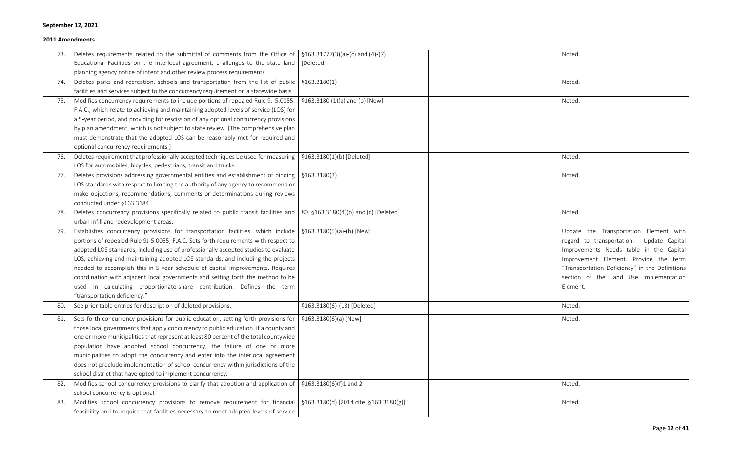| Noted.                                                                                                                                                                                                                                                                         |
|--------------------------------------------------------------------------------------------------------------------------------------------------------------------------------------------------------------------------------------------------------------------------------|
|                                                                                                                                                                                                                                                                                |
| Noted.                                                                                                                                                                                                                                                                         |
| Noted.                                                                                                                                                                                                                                                                         |
|                                                                                                                                                                                                                                                                                |
|                                                                                                                                                                                                                                                                                |
| Noted.                                                                                                                                                                                                                                                                         |
|                                                                                                                                                                                                                                                                                |
| Noted.                                                                                                                                                                                                                                                                         |
|                                                                                                                                                                                                                                                                                |
| Noted.                                                                                                                                                                                                                                                                         |
| Update the Transportation Element with<br>regard to transportation. Update Capital<br>Improvements Needs table in the Capital<br>Improvement Element. Provide the term<br>"Transportation Deficiency" in the Definitions<br>section of the Land Use Implementation<br>Element. |
| Noted.                                                                                                                                                                                                                                                                         |
| Noted.                                                                                                                                                                                                                                                                         |
|                                                                                                                                                                                                                                                                                |
| Noted.                                                                                                                                                                                                                                                                         |
| Noted.                                                                                                                                                                                                                                                                         |

| 73. | Deletes requirements related to the submittal of comments from the Office of $\frac{1}{5}$ \$163.31777(3)(a)-(c) and (4)-(7)      |                             | Noted.                                         |
|-----|-----------------------------------------------------------------------------------------------------------------------------------|-----------------------------|------------------------------------------------|
|     | Educational Facilities on the interlocal agreement, challenges to the state land [[Deleted]                                       |                             |                                                |
|     | planning agency notice of intent and other review process requirements.                                                           |                             |                                                |
| 74. | Deletes parks and recreation, schools and transportation from the list of public $\frac{1}{2}$ \$163.3180(1)                      |                             | Noted.                                         |
|     | facilities and services subject to the concurrency requirement on a statewide basis.                                              |                             |                                                |
| 75. | Modifies concurrency requirements to include portions of repealed Rule 9J-5.0055, $\frac{1}{2}$ \$163.3180 (1)(a) and (b) [New]   |                             | Noted.                                         |
|     | F.A.C., which relate to achieving and maintaining adopted levels of service (LOS) for                                             |                             |                                                |
|     | a 5-year period, and providing for rescission of any optional concurrency provisions                                              |                             |                                                |
|     | by plan amendment, which is not subject to state review. [The comprehensive plan                                                  |                             |                                                |
|     | must demonstrate that the adopted LOS can be reasonably met for required and                                                      |                             |                                                |
|     | optional concurrency requirements.]                                                                                               |                             |                                                |
| 76. | Deletes requirement that professionally accepted techniques be used for measuring   $$163.3180(1)(b)$ [Deleted]                   |                             | Noted.                                         |
|     | LOS for automobiles, bicycles, pedestrians, transit and trucks.                                                                   |                             |                                                |
| 77. | Deletes provisions addressing governmental entities and establishment of binding $\frac{1}{2}$ \$163.3180(3)                      |                             | Noted.                                         |
|     | LOS standards with respect to limiting the authority of any agency to recommend or                                                |                             |                                                |
|     | make objections, recommendations, comments or determinations during reviews                                                       |                             |                                                |
|     | conducted under §163.3184                                                                                                         |                             |                                                |
| 78. | Deletes concurrency provisions specifically related to public transit facilities and   80. $$163.3180(4)(b)$ and (c) [Deleted]    |                             | Noted.                                         |
|     | urban infill and redevelopment areas.                                                                                             |                             |                                                |
| 79. | Establishes concurrency provisions for transportation facilities, which include $\frac{1}{5}$ \$163.3180(5)(a)-(h) [New]          |                             | Update the Transportation Element with         |
|     | portions of repealed Rule 9J-5.0055, F.A.C. Sets forth requirements with respect to                                               |                             | regard to transportation. Update Capital       |
|     | adopted LOS standards, including use of professionally accepted studies to evaluate                                               |                             | Improvements Needs table in the Capital        |
|     | LOS, achieving and maintaining adopted LOS standards, and including the projects                                                  |                             | Improvement Element. Provide the term          |
|     | needed to accomplish this in 5-year schedule of capital improvements. Requires                                                    |                             | "Transportation Deficiency" in the Definitions |
|     | coordination with adjacent local governments and setting forth the method to be                                                   |                             | section of the Land Use Implementation         |
|     | used in calculating proportionate-share contribution. Defines the term                                                            |                             | Element.                                       |
|     | "transportation deficiency."                                                                                                      |                             |                                                |
| 80. | See prior table entries for description of deleted provisions.                                                                    | §163.3180(6)-(13) [Deleted] | Noted.                                         |
| 81. | Sets forth concurrency provisions for public education, setting forth provisions for $\frac{1}{2}$ \$163.3180(6)(a) [New]         |                             | Noted.                                         |
|     | those local governments that apply concurrency to public education. If a county and                                               |                             |                                                |
|     | one or more municipalities that represent at least 80 percent of the total countywide                                             |                             |                                                |
|     | population have adopted school concurrency, the failure of one or more                                                            |                             |                                                |
|     | municipalities to adopt the concurrency and enter into the interlocal agreement                                                   |                             |                                                |
|     | does not preclude implementation of school concurrency within jurisdictions of the                                                |                             |                                                |
|     | school district that have opted to implement concurrency.                                                                         |                             |                                                |
| 82. | Modifies school concurrency provisions to clarify that adoption and application of $\frac{1}{5}$ \$163.3180(6)(f)1 and 2          |                             | Noted.                                         |
|     | school concurrency is optional.                                                                                                   |                             |                                                |
| 83. | Modifies school concurrency provisions to remove requirement for financial $\frac{1}{2}$ \$163.3180(d) [2014 cite: \$163.3180(g)] |                             | Noted.                                         |
|     | feasibility and to require that facilities necessary to meet adopted levels of service                                            |                             |                                                |
|     |                                                                                                                                   |                             |                                                |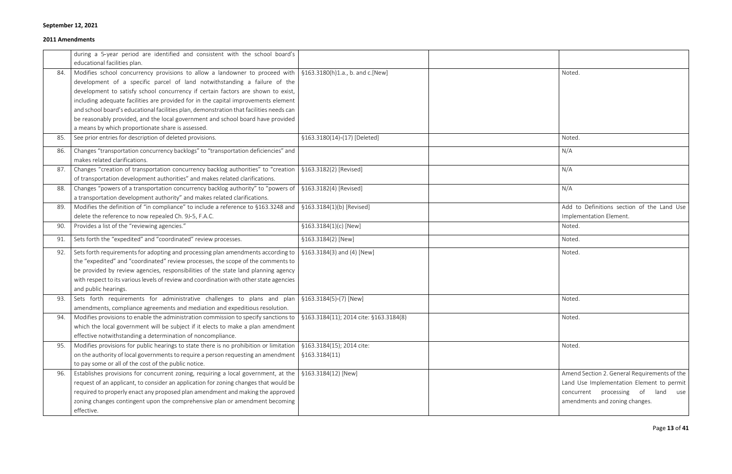| Noted.                                                                                  |
|-----------------------------------------------------------------------------------------|
|                                                                                         |
|                                                                                         |
|                                                                                         |
|                                                                                         |
| Noted.                                                                                  |
| N/A                                                                                     |
| N/A                                                                                     |
| N/A                                                                                     |
| Add to Definitions section of the Land Use<br>Implementation Element.                   |
| Noted.                                                                                  |
| Noted.                                                                                  |
| Noted.                                                                                  |
|                                                                                         |
|                                                                                         |
| Noted.                                                                                  |
| Noted.                                                                                  |
|                                                                                         |
| Noted.                                                                                  |
|                                                                                         |
| Amend Section 2. General Requirements of the                                            |
| Land Use Implementation Element to permit<br>processing of<br>land<br>concurrent<br>use |
| amendments and zoning changes.                                                          |
|                                                                                         |

|     | during a 5-year period are identified and consistent with the school board's                                                 |                              |                                              |
|-----|------------------------------------------------------------------------------------------------------------------------------|------------------------------|----------------------------------------------|
|     | educational facilities plan.                                                                                                 |                              |                                              |
| 84. | Modifies school concurrency provisions to allow a landowner to proceed with $\frac{1}{2}$ \$163.3180(h)1.a., b. and c. [New] |                              | Noted.                                       |
|     | development of a specific parcel of land notwithstanding a failure of the                                                    |                              |                                              |
|     | development to satisfy school concurrency if certain factors are shown to exist,                                             |                              |                                              |
|     | including adequate facilities are provided for in the capital improvements element                                           |                              |                                              |
|     | and school board's educational facilities plan, demonstration that facilities needs can                                      |                              |                                              |
|     | be reasonably provided, and the local government and school board have provided                                              |                              |                                              |
|     | a means by which proportionate share is assessed.                                                                            |                              |                                              |
| 85. | See prior entries for description of deleted provisions.                                                                     | §163.3180(14)-(17) [Deleted] | Noted.                                       |
| 86. | Changes "transportation concurrency backlogs" to "transportation deficiencies" and                                           |                              | N/A                                          |
|     | makes related clarifications.                                                                                                |                              |                                              |
| 87. | Changes "creation of transportation concurrency backlog authorities" to "creation                                            | §163.3182(2) [Revised]       | N/A                                          |
|     | of transportation development authorities" and makes related clarifications.                                                 |                              |                                              |
| 88. | Changes "powers of a transportation concurrency backlog authority" to "powers of                                             | §163.3182(4) [Revised]       | N/A                                          |
|     | a transportation development authority" and makes related clarifications.                                                    |                              |                                              |
| 89. | Modifies the definition of "in compliance" to include a reference to §163.3248 and                                           | §163.3184(1)(b) [Revised]    | Add to Definitions section of the Land Use   |
|     | delete the reference to now repealed Ch. 9J-5, F.A.C.                                                                        |                              | Implementation Element.                      |
| 90. | Provides a list of the "reviewing agencies."                                                                                 | §163.3184(1)(c) [New]        | Noted.                                       |
| 91. | Sets forth the "expedited" and "coordinated" review processes.                                                               | §163.3184(2) [New]           | Noted.                                       |
| 92. | Sets forth requirements for adopting and processing plan amendments according to                                             | §163.3184(3) and (4) [New]   | Noted.                                       |
|     | the "expedited" and "coordinated" review processes, the scope of the comments to                                             |                              |                                              |
|     | be provided by review agencies, responsibilities of the state land planning agency                                           |                              |                                              |
|     | with respect to its various levels of review and coordination with other state agencies                                      |                              |                                              |
|     | and public hearings.                                                                                                         |                              |                                              |
| 93. | Sets forth requirements for administrative challenges to plans and plan                                                      | §163.3184(5)-(7) [New]       | Noted.                                       |
|     | amendments, compliance agreements and mediation and expeditious resolution.                                                  |                              |                                              |
| 94. | Modifies provisions to enable the administration commission to specify sanctions to   §163.3184(11); 2014 cite: §163.3184(8) |                              | Noted.                                       |
|     | which the local government will be subject if it elects to make a plan amendment                                             |                              |                                              |
|     | effective notwithstanding a determination of noncompliance.                                                                  |                              |                                              |
| 95. | Modifies provisions for public hearings to state there is no prohibition or limitation                                       | §163.3184(15); 2014 cite:    | Noted.                                       |
|     | on the authority of local governments to require a person requesting an amendment                                            | §163.3184(11)                |                                              |
|     | to pay some or all of the cost of the public notice.                                                                         |                              |                                              |
| 96. | Establishes provisions for concurrent zoning, requiring a local government, at the                                           | §163.3184(12) [New]          | Amend Section 2. General Requirements of the |
|     | request of an applicant, to consider an application for zoning changes that would be                                         |                              | Land Use Implementation Element to permit    |
|     | required to properly enact any proposed plan amendment and making the approved                                               |                              | concurrent processing<br>of<br>use<br>land   |
|     | zoning changes contingent upon the comprehensive plan or amendment becoming                                                  |                              | amendments and zoning changes.               |
|     | effective.                                                                                                                   |                              |                                              |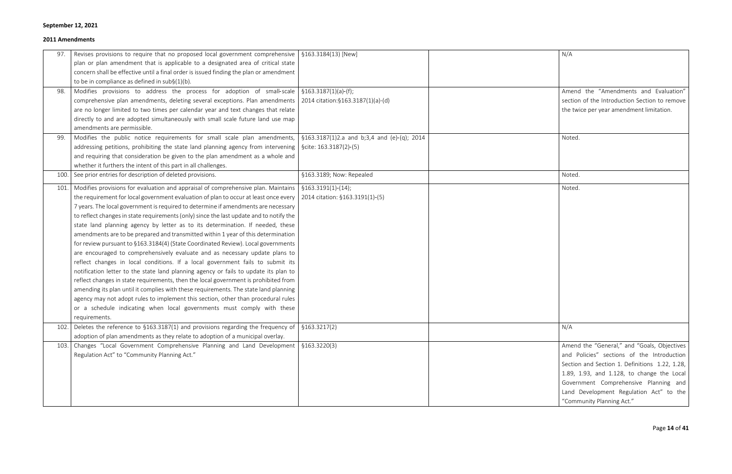| 97.  | Revises provisions to require that no proposed local government comprehensive $\frac{1}{2}$ \$163.3184(13) [New]                   |                                 | N/A                                            |
|------|------------------------------------------------------------------------------------------------------------------------------------|---------------------------------|------------------------------------------------|
|      | plan or plan amendment that is applicable to a designated area of critical state                                                   |                                 |                                                |
|      | concern shall be effective until a final order is issued finding the plan or amendment                                             |                                 |                                                |
|      | to be in compliance as defined in $sub(1)(b)$ .                                                                                    |                                 |                                                |
| 98.  | Modifies provisions to address the process for adoption of small-scale   §163.3187(1)(a)-(f);                                      |                                 | Amend the "Amendments and Evaluation"          |
|      | comprehensive plan amendments, deleting several exceptions. Plan amendments   2014 citation: §163.3187(1)(a)-(d)                   |                                 | section of the Introduction Section to remove  |
|      | are no longer limited to two times per calendar year and text changes that relate                                                  |                                 | the twice per year amendment limitation.       |
|      | directly to and are adopted simultaneously with small scale future land use map                                                    |                                 |                                                |
|      | amendments are permissible.                                                                                                        |                                 |                                                |
| 99.  | Modifies the public notice requirements for small scale plan amendments, $\frac{1}{2}$ 5163.3187(1)2.a and b;3,4 and (e)-(q); 2014 |                                 | Noted.                                         |
|      | addressing petitions, prohibiting the state land planning agency from intervening $\frac{1}{2}$ scite: 163.3187(2)-(5)             |                                 |                                                |
|      | and requiring that consideration be given to the plan amendment as a whole and                                                     |                                 |                                                |
|      | whether it furthers the intent of this part in all challenges.                                                                     |                                 |                                                |
| 100. | See prior entries for description of deleted provisions.                                                                           | §163.3189; Now: Repealed        | Noted.                                         |
| 101. | Modifies provisions for evaluation and appraisal of comprehensive plan. Maintains $\frac{1}{5}$ \$163.3191(1)-(14);                |                                 | Noted.                                         |
|      | the requirement for local government evaluation of plan to occur at least once every                                               | 2014 citation: §163.3191(1)-(5) |                                                |
|      | 7 years. The local government is required to determine if amendments are necessary                                                 |                                 |                                                |
|      | to reflect changes in state requirements (only) since the last update and to notify the                                            |                                 |                                                |
|      | state land planning agency by letter as to its determination. If needed, these                                                     |                                 |                                                |
|      | amendments are to be prepared and transmitted within 1 year of this determination                                                  |                                 |                                                |
|      | for review pursuant to §163.3184(4) (State Coordinated Review). Local governments                                                  |                                 |                                                |
|      | are encouraged to comprehensively evaluate and as necessary update plans to                                                        |                                 |                                                |
|      | reflect changes in local conditions. If a local government fails to submit its                                                     |                                 |                                                |
|      | notification letter to the state land planning agency or fails to update its plan to                                               |                                 |                                                |
|      | reflect changes in state requirements, then the local government is prohibited from                                                |                                 |                                                |
|      | amending its plan until it complies with these requirements. The state land planning                                               |                                 |                                                |
|      | agency may not adopt rules to implement this section, other than procedural rules                                                  |                                 |                                                |
|      | or a schedule indicating when local governments must comply with these                                                             |                                 |                                                |
|      | requirements.                                                                                                                      |                                 |                                                |
| 102. | Deletes the reference to $\S 163.3187(1)$ and provisions regarding the frequency of $\S 163.3217(2)$                               |                                 | N/A                                            |
|      | adoption of plan amendments as they relate to adoption of a municipal overlay.                                                     |                                 |                                                |
| 103. | Changes "Local Government Comprehensive Planning and Land Development   §163.3220(3)                                               |                                 | Amend the "General," and "Goals, Objectives    |
|      | Regulation Act" to "Community Planning Act."                                                                                       |                                 | and Policies" sections of the Introduction     |
|      |                                                                                                                                    |                                 | Section and Section 1. Definitions 1.22, 1.28, |
|      |                                                                                                                                    |                                 | 1.89, 1.93, and 1.128, to change the Local     |
|      |                                                                                                                                    |                                 | Government Comprehensive Planning and          |
|      |                                                                                                                                    |                                 | Land Development Regulation Act" to the        |
|      |                                                                                                                                    |                                 | "Community Planning Act."                      |

| N/A                                                                                                                                                                                                                                                                                                        |
|------------------------------------------------------------------------------------------------------------------------------------------------------------------------------------------------------------------------------------------------------------------------------------------------------------|
| Amend the "Amendments and Evaluation"<br>section of the Introduction Section to remove<br>the twice per year amendment limitation.                                                                                                                                                                         |
| Noted.                                                                                                                                                                                                                                                                                                     |
| Noted.                                                                                                                                                                                                                                                                                                     |
| Noted.                                                                                                                                                                                                                                                                                                     |
| N/A                                                                                                                                                                                                                                                                                                        |
| Amend the "General," and "Goals, Objectives<br>and Policies" sections of the Introduction<br>Section and Section 1. Definitions 1.22, 1.28,<br>1.89, 1.93, and 1.128, to change the Local<br>Government Comprehensive Planning and<br>Land Development Regulation Act" to the<br>"Community Planning Act." |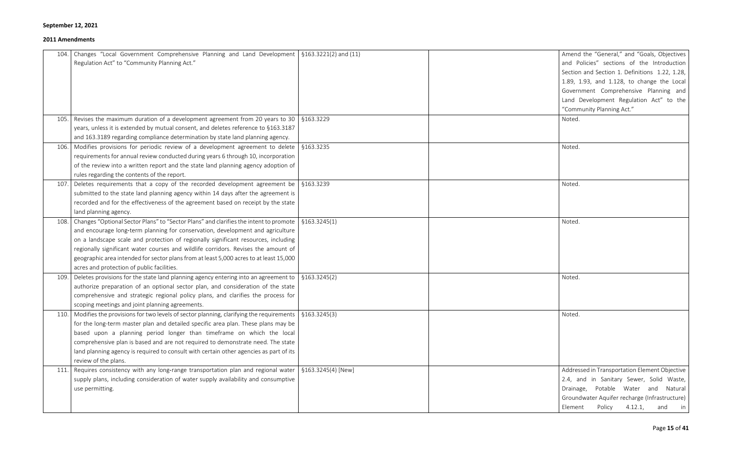| Changes "Local Government Comprehensive Planning and Land Development   §163.3221(2) and (11)<br>104.<br>Regulation Act" to "Community Planning Act."                                                                                                                                                                                                                                                                                                                                                                           |                                  | Amend the "General," and "Goals, Objectives<br>and Policies" sections of the Introduction<br>Section and Section 1. Definitions 1.22, 1.28,<br>1.89, 1.93, and 1.128, to change the Local                                   |
|---------------------------------------------------------------------------------------------------------------------------------------------------------------------------------------------------------------------------------------------------------------------------------------------------------------------------------------------------------------------------------------------------------------------------------------------------------------------------------------------------------------------------------|----------------------------------|-----------------------------------------------------------------------------------------------------------------------------------------------------------------------------------------------------------------------------|
|                                                                                                                                                                                                                                                                                                                                                                                                                                                                                                                                 |                                  | Government Comprehensive Planning and<br>Land Development Regulation Act" to the<br>"Community Planning Act."                                                                                                               |
| Revises the maximum duration of a development agreement from 20 years to 30   §163.3229<br>105.<br>years, unless it is extended by mutual consent, and deletes reference to §163.3187<br>and 163.3189 regarding compliance determination by state land planning agency.                                                                                                                                                                                                                                                         |                                  | Noted.                                                                                                                                                                                                                      |
| Modifies provisions for periodic review of a development agreement to delete $\frac{1}{2}$ \$163.3235<br>106.<br>requirements for annual review conducted during years 6 through 10, incorporation<br>of the review into a written report and the state land planning agency adoption of<br>rules regarding the contents of the report.                                                                                                                                                                                         |                                  | Noted.                                                                                                                                                                                                                      |
| Deletes requirements that a copy of the recorded development agreement be $\frac{1}{2}$ \$163.3239<br>107.<br>submitted to the state land planning agency within 14 days after the agreement is<br>recorded and for the effectiveness of the agreement based on receipt by the state<br>land planning agency.                                                                                                                                                                                                                   |                                  | Noted.                                                                                                                                                                                                                      |
| Changes "Optional Sector Plans" to "Sector Plans" and clarifies the intent to promote $\frac{1}{2}$ \$163.3245(1)<br>108.<br>and encourage long-term planning for conservation, development and agriculture<br>on a landscape scale and protection of regionally significant resources, including<br>regionally significant water courses and wildlife corridors. Revises the amount of<br>geographic area intended for sector plans from at least 5,000 acres to at least 15,000<br>acres and protection of public facilities. |                                  | Noted.                                                                                                                                                                                                                      |
| Deletes provisions for the state land planning agency entering into an agreement to $\frac{1}{2}$ \$163.3245(2)<br>109.<br>authorize preparation of an optional sector plan, and consideration of the state<br>comprehensive and strategic regional policy plans, and clarifies the process for<br>scoping meetings and joint planning agreements.                                                                                                                                                                              |                                  | Noted.                                                                                                                                                                                                                      |
| 110. Modifies the provisions for two levels of sector planning, clarifying the requirements $\frac{1}{2}$ \$163.3245(3)<br>for the long-term master plan and detailed specific area plan. These plans may be<br>based upon a planning period longer than timeframe on which the local<br>comprehensive plan is based and are not required to demonstrate need. The state<br>land planning agency is required to consult with certain other agencies as part of its<br>review of the plans.                                      |                                  | Noted.                                                                                                                                                                                                                      |
| Requires consistency with any long-range transportation plan and regional water<br>111.<br>supply plans, including consideration of water supply availability and consumptive<br>use permitting.                                                                                                                                                                                                                                                                                                                                | $\frac{1}{2}$ §163.3245(4) [New] | Addressed in Transportation Element Objective<br>2.4, and in Sanitary Sewer, Solid Waste,<br>Drainage, Potable Water and Natural<br>Groundwater Aquifer recharge (Infrastructure)<br>Policy<br>4.12.1,<br>Element<br>and in |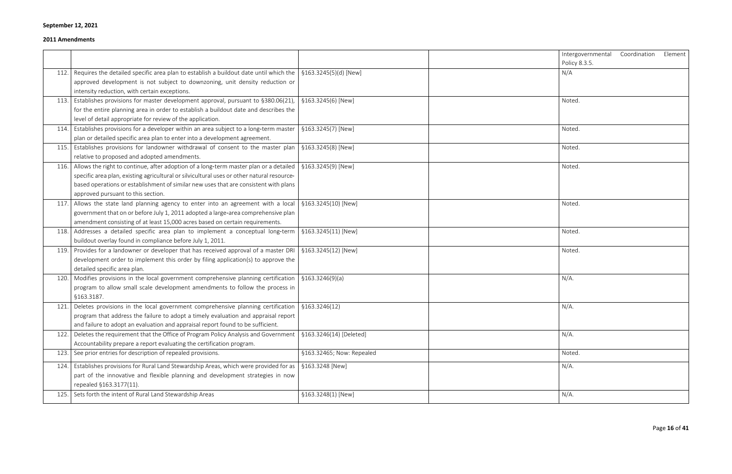| Intergovernmental Coordination Element<br>Policy 8.3.5. |  |
|---------------------------------------------------------|--|
| N/A                                                     |  |
| Noted.                                                  |  |
| Noted.                                                  |  |
| Noted.                                                  |  |
| Noted.                                                  |  |
| Noted.                                                  |  |
| Noted.                                                  |  |
| Noted.                                                  |  |
| N/A.                                                    |  |
| N/A.                                                    |  |
| $N/A$ .                                                 |  |
| Noted.                                                  |  |
| N/A.                                                    |  |
| N/A.                                                    |  |

|      |                                                                                            |                           | Intergo  |
|------|--------------------------------------------------------------------------------------------|---------------------------|----------|
|      |                                                                                            |                           | Policy 8 |
| 112. | Requires the detailed specific area plan to establish a buildout date until which the      | §163.3245(5)(d) [New]     | N/A      |
|      | approved development is not subject to downzoning, unit density reduction or               |                           |          |
|      | intensity reduction, with certain exceptions.                                              |                           |          |
| 113. | Establishes provisions for master development approval, pursuant to §380.06(21),           | §163.3245(6) [New]        | Noted.   |
|      | for the entire planning area in order to establish a buildout date and describes the       |                           |          |
|      | level of detail appropriate for review of the application.                                 |                           |          |
| 114. | Establishes provisions for a developer within an area subject to a long-term master        | §163.3245(7) [New]        | Noted.   |
|      | plan or detailed specific area plan to enter into a development agreement.                 |                           |          |
| 115. | Establishes provisions for landowner withdrawal of consent to the master plan              | §163.3245(8) [New]        | Noted.   |
|      | relative to proposed and adopted amendments.                                               |                           |          |
| 116. | Allows the right to continue, after adoption of a long-term master plan or a detailed      | §163.3245(9) [New]        | Noted.   |
|      | specific area plan, existing agricultural or silvicultural uses or other natural resource- |                           |          |
|      | based operations or establishment of similar new uses that are consistent with plans       |                           |          |
|      | approved pursuant to this section.                                                         |                           |          |
| 117. | Allows the state land planning agency to enter into an agreement with a local              | §163.3245(10) [New]       | Noted.   |
|      | government that on or before July 1, 2011 adopted a large-area comprehensive plan          |                           |          |
|      | amendment consisting of at least 15,000 acres based on certain requirements.               |                           |          |
| 118. | Addresses a detailed specific area plan to implement a conceptual long-term                | §163.3245(11) [New]       | Noted.   |
|      | buildout overlay found in compliance before July 1, 2011.                                  |                           |          |
| 119. | Provides for a landowner or developer that has received approval of a master DRI           | §163.3245(12) [New]       | Noted.   |
|      | development order to implement this order by filing application(s) to approve the          |                           |          |
|      | detailed specific area plan.                                                               |                           |          |
| 120. | Modifies provisions in the local government comprehensive planning certification           | \$163.3246(9)(a)          | $N/A$ .  |
|      | program to allow small scale development amendments to follow the process in               |                           |          |
|      | §163.3187.                                                                                 |                           |          |
| 121. | Deletes provisions in the local government comprehensive planning certification            | §163.3246(12)             | $N/A$ .  |
|      | program that address the failure to adopt a timely evaluation and appraisal report         |                           |          |
|      | and failure to adopt an evaluation and appraisal report found to be sufficient.            |                           |          |
| 122. | Deletes the requirement that the Office of Program Policy Analysis and Government          | §163.3246(14) [Deleted]   | $N/A$ .  |
|      | Accountability prepare a report evaluating the certification program.                      |                           |          |
| 123. | See prior entries for description of repealed provisions.                                  | §163.32465; Now: Repealed | Noted.   |
| 124. | Establishes provisions for Rural Land Stewardship Areas, which were provided for as        | §163.3248 [New]           | $N/A$ .  |
|      | part of the innovative and flexible planning and development strategies in now             |                           |          |
|      | repealed §163.3177(11).                                                                    |                           |          |
| 125. | Sets forth the intent of Rural Land Stewardship Areas                                      | §163.3248(1) [New]        | $N/A$ .  |
|      |                                                                                            |                           |          |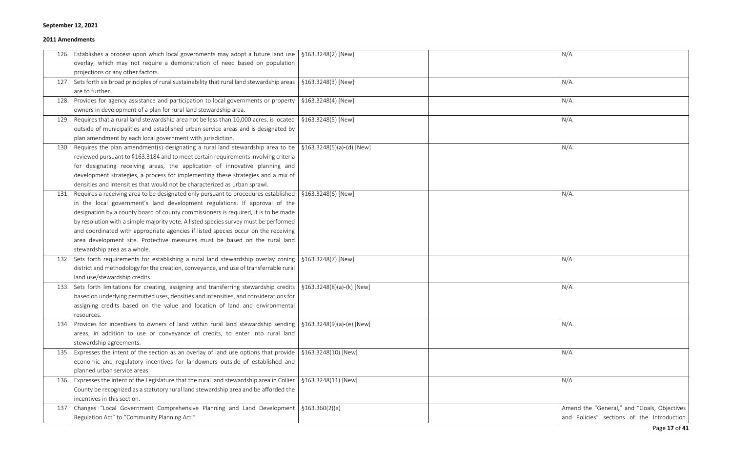|      | [126.] Establishes a process upon which local governments may adopt a future land use   §163.3248(2) [New]           |                     | $N/A$ .                                     |
|------|----------------------------------------------------------------------------------------------------------------------|---------------------|---------------------------------------------|
|      | overlay, which may not require a demonstration of need based on population                                           |                     |                                             |
|      | projections or any other factors.                                                                                    |                     |                                             |
|      | 127. Sets forth six broad principles of rural sustainability that rural land stewardship areas   §163.3248(3) [New]  |                     | $N/A$ .                                     |
|      | are to further.                                                                                                      |                     |                                             |
|      | 128. Provides for agency assistance and participation to local governments or property                               | §163.3248(4) [New]  | $N/A$ .                                     |
|      | owners in development of a plan for rural land stewardship area.                                                     |                     |                                             |
| 129. | Requires that a rural land stewardship area not be less than 10,000 acres, is located                                | §163.3248(5) [New]  | $N/A$ .                                     |
|      | outside of municipalities and established urban service areas and is designated by                                   |                     |                                             |
|      | plan amendment by each local government with jurisdiction.                                                           |                     |                                             |
|      | 130. Requires the plan amendment(s) designating a rural land stewardship area to be   $$163.3248(5)(a)-(d)$ [New]    |                     | $N/A$ .                                     |
|      | reviewed pursuant to §163.3184 and to meet certain requirements involving criteria                                   |                     |                                             |
|      | for designating receiving areas, the application of innovative planning and                                          |                     |                                             |
|      | development strategies, a process for implementing these strategies and a mix of                                     |                     |                                             |
|      | densities and intensities that would not be characterized as urban sprawl.                                           |                     |                                             |
|      | 131. Requires a receiving area to be designated only pursuant to procedures established   §163.3248(6) [New]         |                     | $N/A$ .                                     |
|      | in the local government's land development regulations. If approval of the                                           |                     |                                             |
|      | designation by a county board of county commissioners is required, it is to be made                                  |                     |                                             |
|      | by resolution with a simple majority vote. A listed species survey must be performed                                 |                     |                                             |
|      | and coordinated with appropriate agencies if listed species occur on the receiving                                   |                     |                                             |
|      | area development site. Protective measures must be based on the rural land                                           |                     |                                             |
|      | stewardship area as a whole.                                                                                         |                     |                                             |
|      | [5163.3248] [5163.3248] Sets forth requirements for establishing a rural land stewardship overlay zoning             |                     | $N/A$ .                                     |
|      | district and methodology for the creation, conveyance, and use of transferrable rural                                |                     |                                             |
|      | land use/stewardship credits.                                                                                        |                     |                                             |
|      | 133. Sets forth limitations for creating, assigning and transferring stewardship credits   §163.3248(8)(a)-(k) [New] |                     | $N/A$ .                                     |
|      | based on underlying permitted uses, densities and intensities, and considerations for                                |                     |                                             |
|      | assigning credits based on the value and location of land and environmental                                          |                     |                                             |
|      | resources.                                                                                                           |                     |                                             |
| 134. | Provides for incentives to owners of land within rural land stewardship sending   §163.3248(9)(a)-(e) [New]          |                     | $N/A$ .                                     |
|      | areas, in addition to use or conveyance of credits, to enter into rural land                                         |                     |                                             |
|      | stewardship agreements.                                                                                              |                     |                                             |
|      | 135. Expresses the intent of the section as an overlay of land use options that provide   $$163.3248(10)$ [New]      |                     | $N/A$ .                                     |
|      | economic and regulatory incentives for landowners outside of established and                                         |                     |                                             |
|      | planned urban service areas.                                                                                         |                     |                                             |
|      | 136. Expresses the intent of the Legislature that the rural land stewardship area in Collier                         | §163.3248(11) [New] | $N/A$ .                                     |
|      | County be recognized as a statutory rural land stewardship area and be afforded the                                  |                     |                                             |
|      | incentives in this section.                                                                                          |                     |                                             |
|      | 137. Changes "Local Government Comprehensive Planning and Land Development   §163.360(2)(a)                          |                     | Amend the "General," and "Goals, Objectives |
|      | Regulation Act" to "Community Planning Act."                                                                         |                     | and Policies" sections of the Introduction  |

| $N/A$ .                                                                                   |
|-------------------------------------------------------------------------------------------|
|                                                                                           |
| $N/A$ .                                                                                   |
| $N/A$ .                                                                                   |
| $N/A$ .                                                                                   |
| $N/A$ .                                                                                   |
|                                                                                           |
|                                                                                           |
| $N/A$ .                                                                                   |
|                                                                                           |
|                                                                                           |
|                                                                                           |
| $N/A$ .                                                                                   |
| N/A.                                                                                      |
|                                                                                           |
| N/A.                                                                                      |
|                                                                                           |
| $N/A$ .                                                                                   |
|                                                                                           |
| $N/A$ .                                                                                   |
|                                                                                           |
| Amend the "General," and "Goals, Objectives<br>and Policies" sections of the Introduction |
|                                                                                           |

Page **17** of **41**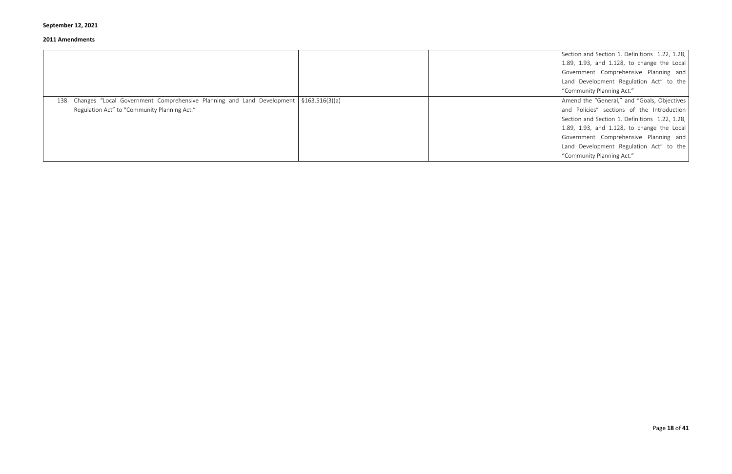|                                                                                             | Section and Section 1. Definitions 1.22, 1.28,<br>1.89, 1.93, and 1.128, to change the Local<br>Government Comprehensive Planning and |
|---------------------------------------------------------------------------------------------|---------------------------------------------------------------------------------------------------------------------------------------|
|                                                                                             | Land Development Regulation Act" to the                                                                                               |
|                                                                                             | "Community Planning Act."                                                                                                             |
| 138. Changes "Local Government Comprehensive Planning and Land Development   §163.516(3)(a) | Amend the "General," and "Goals, Objectives                                                                                           |
| Regulation Act" to "Community Planning Act."                                                | and Policies" sections of the Introduction                                                                                            |
|                                                                                             | Section and Section 1. Definitions 1.22, 1.28,                                                                                        |
|                                                                                             | 1.89, 1.93, and 1.128, to change the Local                                                                                            |
|                                                                                             | Government Comprehensive Planning and                                                                                                 |
|                                                                                             | Land Development Regulation Act" to the                                                                                               |
|                                                                                             | "Community Planning Act."                                                                                                             |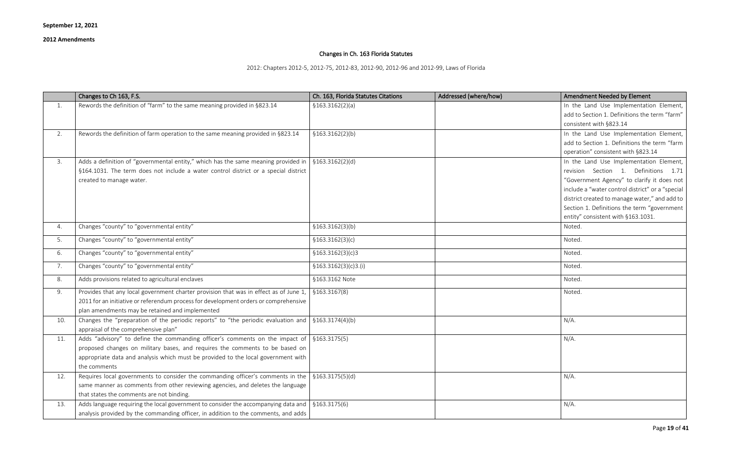Page **19** of **41**

# Changes in Ch. 163 Florida Statutes

2012: Chapters 2012-5, 2012-75, 2012-83, 2012-90, 2012-96 and 2012-99, Laws of Florida

| <b>Amendment Needed by Element</b>               |
|--------------------------------------------------|
| In the Land Use Implementation Element,          |
| add to Section 1. Definitions the term "farm"    |
| consistent with §823.14                          |
| In the Land Use Implementation Element,          |
| add to Section 1. Definitions the term "farm     |
| operation" consistent with §823.14               |
| In the Land Use Implementation Element,          |
| 1. Definitions<br>Section<br>1.71<br>revision    |
| "Government Agency" to clarify it does not       |
| include a "water control district" or a "special |
| district created to manage water," and add to    |
| Section 1. Definitions the term "government      |
| entity" consistent with §163.1031.               |
| Noted.                                           |
| Noted.                                           |
| Noted.                                           |
| Noted.                                           |
| Noted.                                           |
| Noted.                                           |
|                                                  |
|                                                  |
| $N/A$ .                                          |
| $N/A$ .                                          |
|                                                  |
|                                                  |
|                                                  |
| $N/A$ .                                          |
|                                                  |
|                                                  |
| $N/A$ .                                          |
|                                                  |

|     | Changes to Ch 163, F.S.                                                                                          | Ch. 163, Florida Statutes Citations | Addressed (where/how) | Amendment Needed by Element                      |
|-----|------------------------------------------------------------------------------------------------------------------|-------------------------------------|-----------------------|--------------------------------------------------|
| 1.  | Rewords the definition of "farm" to the same meaning provided in §823.14                                         | \$163.3162(2)(a)                    |                       | In the Land Use Implementation Element,          |
|     |                                                                                                                  |                                     |                       | add to Section 1. Definitions the term "farm"    |
|     |                                                                                                                  |                                     |                       | consistent with §823.14                          |
| 2.  | Rewords the definition of farm operation to the same meaning provided in §823.14                                 | \$163.3162(2)(b)                    |                       | In the Land Use Implementation Element,          |
|     |                                                                                                                  |                                     |                       | add to Section 1. Definitions the term "farm     |
|     |                                                                                                                  |                                     |                       | operation" consistent with §823.14               |
| 3.  | Adds a definition of "governmental entity," which has the same meaning provided in                               | $\frac{1}{2}$ \$163.3162(2)(d)      |                       | In the Land Use Implementation Element,          |
|     | §164.1031. The term does not include a water control district or a special district                              |                                     |                       | revision Section 1. Definitions 1.71             |
|     | created to manage water.                                                                                         |                                     |                       | "Government Agency" to clarify it does not       |
|     |                                                                                                                  |                                     |                       | include a "water control district" or a "special |
|     |                                                                                                                  |                                     |                       | district created to manage water," and add to    |
|     |                                                                                                                  |                                     |                       | Section 1. Definitions the term "government      |
|     |                                                                                                                  |                                     |                       | entity" consistent with §163.1031.               |
| 4.  | Changes "county" to "governmental entity"                                                                        | \$163.3162(3)(b)                    |                       | Noted.                                           |
| 5.  | Changes "county" to "governmental entity"                                                                        | \$163.3162(3)(c)                    |                       | Noted.                                           |
| 6.  | Changes "county" to "governmental entity"                                                                        | \$163.3162(3)(c)3                   |                       | Noted.                                           |
| 7.  | Changes "county" to "governmental entity"                                                                        | \$163.3162(3)(c)3.(i)               |                       | Noted.                                           |
| 8.  | Adds provisions related to agricultural enclaves                                                                 | §163.3162 Note                      |                       | Noted.                                           |
| 9.  | Provides that any local government charter provision that was in effect as of June 1,                            | \$163.3167(8)                       |                       | Noted.                                           |
|     | 2011 for an initiative or referendum process for development orders or comprehensive                             |                                     |                       |                                                  |
|     | plan amendments may be retained and implemented                                                                  |                                     |                       |                                                  |
| 10. | Changes the "preparation of the periodic reports" to "the periodic evaluation and $\frac{1}{2}$ \$163.3174(4)(b) |                                     |                       | $N/A$ .                                          |
|     | appraisal of the comprehensive plan"                                                                             |                                     |                       |                                                  |
| 11. | Adds "advisory" to define the commanding officer's comments on the impact of $\frac{1}{2}$ \$163.3175(5)         |                                     |                       | $N/A$ .                                          |
|     | proposed changes on military bases, and requires the comments to be based on                                     |                                     |                       |                                                  |
|     | appropriate data and analysis which must be provided to the local government with                                |                                     |                       |                                                  |
|     | the comments                                                                                                     |                                     |                       |                                                  |
| 12. | Requires local governments to consider the commanding officer's comments in the $\frac{1}{5163.3175(5)(d)}$      |                                     |                       | $N/A$ .                                          |
|     | same manner as comments from other reviewing agencies, and deletes the language                                  |                                     |                       |                                                  |
|     | that states the comments are not binding.                                                                        |                                     |                       |                                                  |
| 13. | Adds language requiring the local government to consider the accompanying data and $\int$ §163.3175(6)           |                                     |                       | $N/A$ .                                          |
|     | analysis provided by the commanding officer, in addition to the comments, and adds                               |                                     |                       |                                                  |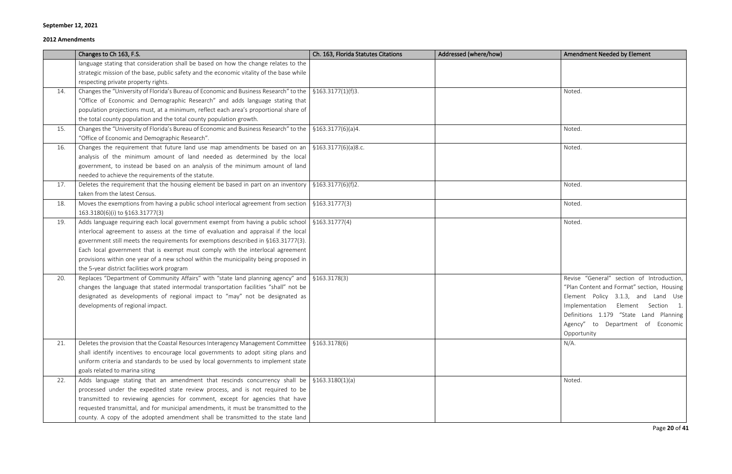|     | Changes to Ch 163, F.S.                                                                                                | Ch. 163, Florida Statutes Citations | Addressed (where/how) | Amendment Needed by Element                |
|-----|------------------------------------------------------------------------------------------------------------------------|-------------------------------------|-----------------------|--------------------------------------------|
|     | language stating that consideration shall be based on how the change relates to the                                    |                                     |                       |                                            |
|     | strategic mission of the base, public safety and the economic vitality of the base while                               |                                     |                       |                                            |
|     | respecting private property rights.                                                                                    |                                     |                       |                                            |
| 14. | Changes the "University of Florida's Bureau of Economic and Business Research" to the $\frac{1}{5}$ \$163.3177(1)(f)3. |                                     |                       | Noted.                                     |
|     | "Office of Economic and Demographic Research" and adds language stating that                                           |                                     |                       |                                            |
|     | population projections must, at a minimum, reflect each area's proportional share of                                   |                                     |                       |                                            |
|     | the total county population and the total county population growth.                                                    |                                     |                       |                                            |
| 15. | Changes the "University of Florida's Bureau of Economic and Business Research" to the   $$163.3177(6)(a)4$ .           |                                     |                       | Noted.                                     |
|     | "Office of Economic and Demographic Research".                                                                         |                                     |                       |                                            |
| 16. | Changes the requirement that future land use map amendments be based on an $\frac{1}{5}163.3177(6)(a)8.c.$             |                                     |                       | Noted.                                     |
|     | analysis of the minimum amount of land needed as determined by the local                                               |                                     |                       |                                            |
|     | government, to instead be based on an analysis of the minimum amount of land                                           |                                     |                       |                                            |
|     | needed to achieve the requirements of the statute.                                                                     |                                     |                       |                                            |
| 17. | Deletes the requirement that the housing element be based in part on an inventory   $\S 163.3177(6)(f)2$ .             |                                     |                       | Noted.                                     |
|     | taken from the latest Census.                                                                                          |                                     |                       |                                            |
| 18. | Moves the exemptions from having a public school interlocal agreement from section $\frac{1}{5163.31777(3)}$           |                                     |                       | Noted.                                     |
|     | 163.3180(6)(i) to §163.31777(3)                                                                                        |                                     |                       |                                            |
| 19. | Adds language requiring each local government exempt from having a public school $\frac{1}{5}$ \$163.31777(4)          |                                     |                       | Noted.                                     |
|     | interlocal agreement to assess at the time of evaluation and appraisal if the local                                    |                                     |                       |                                            |
|     | government still meets the requirements for exemptions described in §163.31777(3).                                     |                                     |                       |                                            |
|     | Each local government that is exempt must comply with the interlocal agreement                                         |                                     |                       |                                            |
|     | provisions within one year of a new school within the municipality being proposed in                                   |                                     |                       |                                            |
|     | the 5-year district facilities work program                                                                            |                                     |                       |                                            |
| 20. | Replaces "Department of Community Affairs" with "state land planning agency" and $\frac{1}{5}$ \$163.3178(3)           |                                     |                       | Revise "General" section of Introduction,  |
|     | changes the language that stated intermodal transportation facilities "shall" not be                                   |                                     |                       | "Plan Content and Format" section, Housing |
|     | designated as developments of regional impact to "may" not be designated as                                            |                                     |                       | Element Policy 3.1.3, and Land Use         |
|     | developments of regional impact.                                                                                       |                                     |                       | Element Section 1.<br>Implementation       |
|     |                                                                                                                        |                                     |                       | Definitions 1.179 "State Land Planning     |
|     |                                                                                                                        |                                     |                       | Department of Economic<br>Agency"<br>to    |
|     |                                                                                                                        |                                     |                       | Opportunity                                |
| 21. | Deletes the provision that the Coastal Resources Interagency Management Committee $\frac{1}{2}$ §163.3178(6)           |                                     |                       | $N/A$ .                                    |
|     | shall identify incentives to encourage local governments to adopt siting plans and                                     |                                     |                       |                                            |
|     | uniform criteria and standards to be used by local governments to implement state                                      |                                     |                       |                                            |
|     | goals related to marina siting                                                                                         |                                     |                       |                                            |
| 22. | Adds language stating that an amendment that rescinds concurrency shall be $\frac{1}{2}$ \$163.3180(1)(a)              |                                     |                       | Noted.                                     |
|     | processed under the expedited state review process, and is not required to be                                          |                                     |                       |                                            |
|     | transmitted to reviewing agencies for comment, except for agencies that have                                           |                                     |                       |                                            |
|     | requested transmittal, and for municipal amendments, it must be transmitted to the                                     |                                     |                       |                                            |
|     | county. A copy of the adopted amendment shall be transmitted to the state land                                         |                                     |                       |                                            |

| Amendment Needed by Element                                                                                                                                                                                                                                         |
|---------------------------------------------------------------------------------------------------------------------------------------------------------------------------------------------------------------------------------------------------------------------|
|                                                                                                                                                                                                                                                                     |
| Noted.                                                                                                                                                                                                                                                              |
| Noted.                                                                                                                                                                                                                                                              |
| Noted.                                                                                                                                                                                                                                                              |
| Noted.                                                                                                                                                                                                                                                              |
| Noted.                                                                                                                                                                                                                                                              |
| Noted.                                                                                                                                                                                                                                                              |
| Revise "General" section of Introduction,<br>"Plan Content and Format" section, Housing<br>Element Policy 3.1.3, and Land Use<br>Implementation Element Section<br>1.<br>Definitions 1.179 "State Land Planning<br>Agency" to Department of Economic<br>Opportunity |
| $N/A$ .                                                                                                                                                                                                                                                             |
| Noted.                                                                                                                                                                                                                                                              |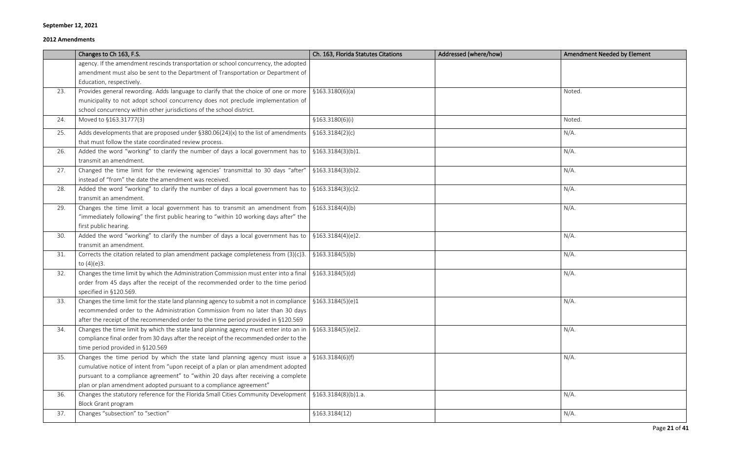Page **21** of **41**

|     | Changes to Ch 163, F.S.                                                                                     | Ch. 163, Florida Statutes Citations | Addressed (where/how) | <b>Amendment Needed by Element</b> |
|-----|-------------------------------------------------------------------------------------------------------------|-------------------------------------|-----------------------|------------------------------------|
|     | agency. If the amendment rescinds transportation or school concurrency, the adopted                         |                                     |                       |                                    |
|     | amendment must also be sent to the Department of Transportation or Department of                            |                                     |                       |                                    |
|     | Education, respectively.                                                                                    |                                     |                       |                                    |
| 23. | Provides general rewording. Adds language to clarify that the choice of one or more                         | \$163.3180(6)(a)                    |                       | Noted.                             |
|     | municipality to not adopt school concurrency does not preclude implementation of                            |                                     |                       |                                    |
|     | school concurrency within other jurisdictions of the school district.                                       |                                     |                       |                                    |
| 24. | Moved to §163.31777(3)                                                                                      | \$163.3180(6)(i)                    |                       | Noted.                             |
| 25. | Adds developments that are proposed under $\S 380.06(24)(x)$ to the list of amendments                      | \$163.3184(2)(c)                    |                       | $N/A$ .                            |
|     | that must follow the state coordinated review process.                                                      |                                     |                       |                                    |
| 26. | Added the word "working" to clarify the number of days a local government has to                            | \$163.3184(3)(b)1.                  |                       | $N/A$ .                            |
|     | transmit an amendment.                                                                                      |                                     |                       |                                    |
| 27. | Changed the time limit for the reviewing agencies' transmittal to 30 days "after"                           | \$163.3184(3)(b)2.                  |                       | $N/A$ .                            |
|     | instead of "from" the date the amendment was received.                                                      |                                     |                       |                                    |
| 28. | Added the word "working" to clarify the number of days a local government has to                            | \$163.3184(3)(c)2.                  |                       | $N/A$ .                            |
|     | transmit an amendment.                                                                                      |                                     |                       |                                    |
| 29. | Changes the time limit a local government has to transmit an amendment from                                 | \$163.3184(4)(b)                    |                       | $N/A$ .                            |
|     | "immediately following" the first public hearing to "within 10 working days after" the                      |                                     |                       |                                    |
|     | first public hearing.                                                                                       |                                     |                       |                                    |
| 30. | Added the word "working" to clarify the number of days a local government has to                            | \$163.3184(4)(e)2.                  |                       | $N/A$ .                            |
|     | transmit an amendment.                                                                                      |                                     |                       |                                    |
| 31. | Corrects the citation related to plan amendment package completeness from $(3)(c)$ 3.                       | \$163.3184(5)(b)                    |                       | $N/A$ .                            |
|     | to $(4)(e)3$ .                                                                                              |                                     |                       |                                    |
| 32. | Changes the time limit by which the Administration Commission must enter into a final                       | \$163.3184(5)(d)                    |                       | $N/A$ .                            |
|     | order from 45 days after the receipt of the recommended order to the time period                            |                                     |                       |                                    |
|     | specified in §120.569.                                                                                      |                                     |                       |                                    |
| 33. | Changes the time limit for the state land planning agency to submit a not in compliance                     | \$163.3184(5)(e)1                   |                       | $N/A$ .                            |
|     | recommended order to the Administration Commission from no later than 30 days                               |                                     |                       |                                    |
|     | after the receipt of the recommended order to the time period provided in §120.569                          |                                     |                       |                                    |
| 34. | Changes the time limit by which the state land planning agency must enter into an in                        | \$163.3184(5)(e)2.                  |                       | $N/A$ .                            |
|     | compliance final order from 30 days after the receipt of the recommended order to the                       |                                     |                       |                                    |
|     | time period provided in §120.569                                                                            |                                     |                       |                                    |
| 35. | Changes the time period by which the state land planning agency must issue a $\frac{1}{2}$ \$163.3184(6)(f) |                                     |                       | $N/A$ .                            |
|     | cumulative notice of intent from "upon receipt of a plan or plan amendment adopted                          |                                     |                       |                                    |
|     | pursuant to a compliance agreement" to "within 20 days after receiving a complete                           |                                     |                       |                                    |
|     | plan or plan amendment adopted pursuant to a compliance agreement"                                          |                                     |                       |                                    |
| 36. | Changes the statutory reference for the Florida Small Cities Community Development                          | \$163.3184(8)(b)1.a.                |                       | $N/A$ .                            |
|     | <b>Block Grant program</b>                                                                                  |                                     |                       |                                    |
| 37. | Changes "subsection" to "section"                                                                           | \$163.3184(12)                      |                       | $N/A$ .                            |

| Amendment Needed by Element |
|-----------------------------|
|                             |
|                             |
| Noted.                      |
|                             |
| Noted.                      |
| $N/A$ .                     |
|                             |
| $N/A$ .                     |
|                             |
| $N/A$ .                     |
| $N/A$ .                     |
|                             |
| $N/A$ .                     |
|                             |
| $N/A$ .                     |
| $N/A$ .                     |
|                             |
| $N/A$ .                     |
|                             |
| $N/A$ .                     |
|                             |
|                             |
| $N/A$ .                     |
|                             |
| $N/A$ .                     |
|                             |
|                             |
| $N/A$ .                     |
| N/A.                        |
|                             |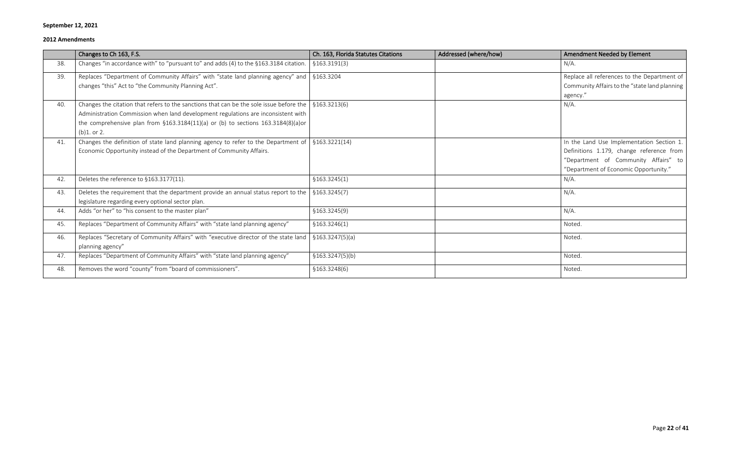|     | Changes to Ch 163, F.S.                                                                 | Ch. 163, Florida Statutes Citations | Addressed (where/how) | Amendment Needed by Element                   |
|-----|-----------------------------------------------------------------------------------------|-------------------------------------|-----------------------|-----------------------------------------------|
| 38. | Changes "in accordance with" to "pursuant to" and adds (4) to the §163.3184 citation.   | \$163.3191(3)                       |                       | $N/A$ .                                       |
| 39. | Replaces "Department of Community Affairs" with "state land planning agency" and        | §163.3204                           |                       | Replace all references to the Department of   |
|     | changes "this" Act to "the Community Planning Act".                                     |                                     |                       | Community Affairs to the "state land planning |
|     |                                                                                         |                                     |                       | agency."                                      |
| 40. | Changes the citation that refers to the sanctions that can be the sole issue before the | \$163.3213(6)                       |                       | $N/A$ .                                       |
|     | Administration Commission when land development regulations are inconsistent with       |                                     |                       |                                               |
|     | the comprehensive plan from $$163.3184(11)(a)$ or (b) to sections 163.3184(8)(a)or      |                                     |                       |                                               |
|     | $(b)1.$ or 2.                                                                           |                                     |                       |                                               |
| 41. | Changes the definition of state land planning agency to refer to the Department of      | \$163.3221(14)                      |                       | In the Land Use Implementation Section 1.     |
|     | Economic Opportunity instead of the Department of Community Affairs.                    |                                     |                       | Definitions 1.179, change reference from      |
|     |                                                                                         |                                     |                       | "Department of Community Affairs" to          |
|     |                                                                                         |                                     |                       | "Department of Economic Opportunity."         |
| 42. | Deletes the reference to §163.3177(11).                                                 | \$163.3245(1)                       |                       | $N/A$ .                                       |
| 43. | Deletes the requirement that the department provide an annual status report to the      | \$163.3245(7)                       |                       | $N/A$ .                                       |
|     | legislature regarding every optional sector plan.                                       |                                     |                       |                                               |
| 44. | Adds "or her" to "his consent to the master plan"                                       | \$163.3245(9)                       |                       | $N/A$ .                                       |
| 45. | Replaces "Department of Community Affairs" with "state land planning agency"            | \$163.3246(1)                       |                       | Noted.                                        |
| 46. | Replaces "Secretary of Community Affairs" with "executive director of the state land    | \$163.3247(5)(a)                    |                       | Noted.                                        |
|     | planning agency"                                                                        |                                     |                       |                                               |
| 47. | Replaces "Department of Community Affairs" with "state land planning agency"            | \$163.3247(5)(b)                    |                       | Noted.                                        |
| 48. | Removes the word "county" from "board of commissioners".                                | \$163.3248(6)                       |                       | Noted.                                        |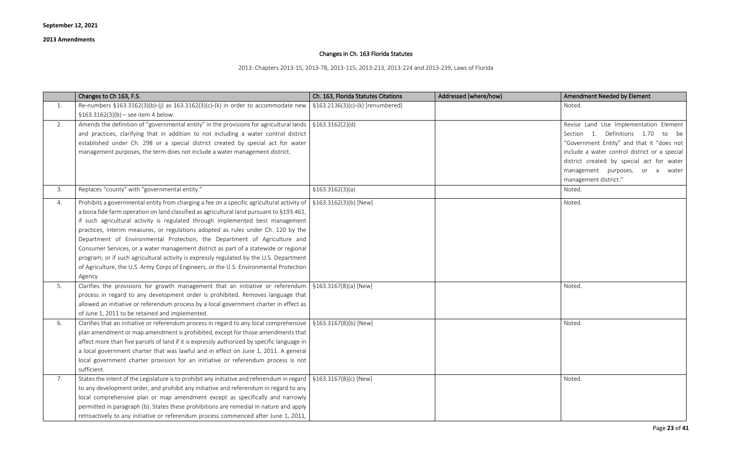## Changes in Ch. 163 Florida Statutes

2013: Chapters 2013-15, 2013-78, 2013-115, 2013-213, 2013-224 and 2013-239, Laws of Florida

| <b>Amendment Needed by Element</b>                                                                                                                                                                                                                                                    |
|---------------------------------------------------------------------------------------------------------------------------------------------------------------------------------------------------------------------------------------------------------------------------------------|
| Noted.                                                                                                                                                                                                                                                                                |
| Revise Land Use Implementation Element<br>1. Definitions 1.70 to be<br>Section<br>"Government Entity" and that it "does not<br>include a water control district or a special<br>district created by special act for water<br>management purposes, or a water<br>management district." |
| Noted.                                                                                                                                                                                                                                                                                |
| Noted.                                                                                                                                                                                                                                                                                |
| Noted.                                                                                                                                                                                                                                                                                |
| Noted.                                                                                                                                                                                                                                                                                |
| Noted.                                                                                                                                                                                                                                                                                |

|    | Changes to Ch 163, F.S.                                                                                                                                                                                                                                                                                                                                                                                                                                                                                                                                                                                                                                                                                                            | Ch. 163, Florida Statutes Citations            | Addressed (where/how) | Amendment Needed by Element                                                                                                                                                                                                                                                           |
|----|------------------------------------------------------------------------------------------------------------------------------------------------------------------------------------------------------------------------------------------------------------------------------------------------------------------------------------------------------------------------------------------------------------------------------------------------------------------------------------------------------------------------------------------------------------------------------------------------------------------------------------------------------------------------------------------------------------------------------------|------------------------------------------------|-----------------------|---------------------------------------------------------------------------------------------------------------------------------------------------------------------------------------------------------------------------------------------------------------------------------------|
| 1. | Re-numbers $$163.3162(3)(b)-(j)$ as $163.3162(3)(c)-(k)$ in order to accommodate new<br>$$163.3162(3)(b) - see item 4 below.$                                                                                                                                                                                                                                                                                                                                                                                                                                                                                                                                                                                                      | $\frac{1}{2}$ §163.2136(3)(c)-(k) [renumbered] |                       | Noted.                                                                                                                                                                                                                                                                                |
| 2. | Amends the definition of "governmental entity" in the provisions for agricultural lands $\frac{1}{5}$ \$163.3162(2)(d)<br>and practices, clarifying that in addition to not including a water control district<br>established under Ch. 298 or a special district created by special act for water<br>management purposes, the term does not include a water management district.                                                                                                                                                                                                                                                                                                                                                  |                                                |                       | Revise Land Use Implementation Element<br>Section 1. Definitions 1.70<br>to be<br>"Government Entity" and that it "does not<br>include a water control district or a special<br>district created by special act for water<br>management purposes, or a water<br>management district." |
| 3. | Replaces "county" with "governmental entity."                                                                                                                                                                                                                                                                                                                                                                                                                                                                                                                                                                                                                                                                                      | \$163.3162(3)(a)                               |                       | Noted.                                                                                                                                                                                                                                                                                |
| 4. | Prohibits a governmental entity from charging a fee on a specific agricultural activity of<br>a bona fide farm operation on land classified as agricultural land pursuant to §193.461,<br>if such agricultural activity is regulated through implemented best management<br>practices, interim measures, or regulations adopted as rules under Ch. 120 by the<br>Department of Environmental Protection, the Department of Agriculture and<br>Consumer Services, or a water management district as part of a statewide or regional<br>program; or if such agricultural activity is expressly regulated by the U.S. Department<br>of Agriculture, the U.S. Army Corps of Engineers, or the U.S. Environmental Protection<br>Agency. | $\frac{5163.3162(3)(b)}{New}$                  |                       | Noted.                                                                                                                                                                                                                                                                                |
| 5. | Clarifies the provisions for growth management that an initiative or referendum $\frac{1}{2}$ \$163.3167(8)(a) [New]<br>process in regard to any development order is prohibited. Removes language that<br>allowed an initiative or referendum process by a local government charter in effect as<br>of June 1, 2011 to be retained and implemented.                                                                                                                                                                                                                                                                                                                                                                               |                                                |                       | Noted.                                                                                                                                                                                                                                                                                |
| 6. | Clarifies that an initiative or referendum process in regard to any local comprehensive   $$163.3167(8)(b)$ [New]<br>plan amendment or map amendment is prohibited, except for those amendments that<br>affect more than five parcels of land if it is expressly authorized by specific language in<br>a local government charter that was lawful and in effect on June 1, 2011. A general<br>local government charter provision for an initiative or referendum process is not<br>sufficient.                                                                                                                                                                                                                                     |                                                |                       | Noted.                                                                                                                                                                                                                                                                                |
| 7. | States the intent of the Legislature is to prohibit any initiative and referendum in regard   $\S163.3167(8)(c)$ [New]<br>to any development order, and prohibit any initiative and referendum in regard to any<br>local comprehensive plan or map amendment except as specifically and narrowly<br>permitted in paragraph (b). States these prohibitions are remedial in nature and apply<br>retroactively to any initiative or referendum process commenced after June 1, 2011,                                                                                                                                                                                                                                                  |                                                |                       | Noted.                                                                                                                                                                                                                                                                                |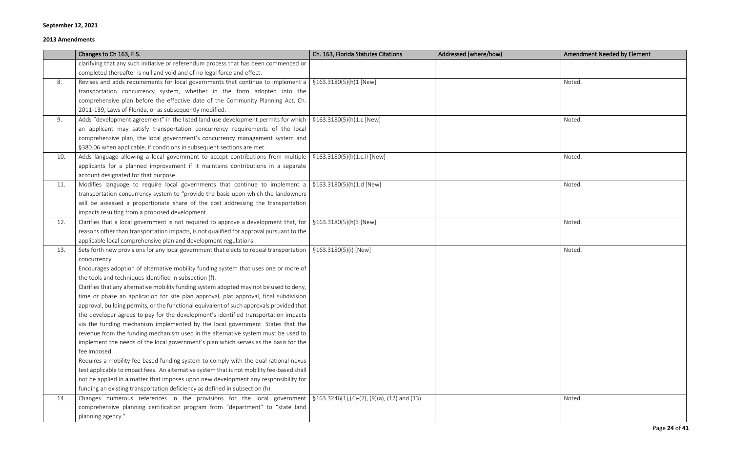|     | Changes to Ch 163, F.S.                                                                                                           | Ch. 163, Florida Statutes Citations | Addressed (where/how) | <b>Amendment Needed by Element</b> |
|-----|-----------------------------------------------------------------------------------------------------------------------------------|-------------------------------------|-----------------------|------------------------------------|
|     | clarifying that any such initiative or referendum process that has been commenced or                                              |                                     |                       |                                    |
|     | completed thereafter is null and void and of no legal force and effect.                                                           |                                     |                       |                                    |
| 8.  | Revises and adds requirements for local governments that continue to implement a $\frac{1}{2}$ \$163.3180(5)(h)1 [New]            |                                     |                       | Noted.                             |
|     | transportation concurrency system, whether in the form adopted into the                                                           |                                     |                       |                                    |
|     | comprehensive plan before the effective date of the Community Planning Act, Ch.                                                   |                                     |                       |                                    |
|     | 2011-139, Laws of Florida, or as subsequently modified.                                                                           |                                     |                       |                                    |
| 9.  | Adds "development agreement" in the listed land use development permits for which   $$163.3180(5)(h)1.c$ [New]                    |                                     |                       | Noted.                             |
|     | an applicant may satisfy transportation concurrency requirements of the local                                                     |                                     |                       |                                    |
|     | comprehensive plan, the local government's concurrency management system and                                                      |                                     |                       |                                    |
|     | §380.06 when applicable, if conditions in subsequent sections are met.                                                            |                                     |                       |                                    |
| 10. | Adds language allowing a local government to accept contributions from multiple $\frac{1}{2}$ \$163.3180(5)(h)1.c.II [New]        |                                     |                       | Noted.                             |
|     | applicants for a planned improvement if it maintains contributions in a separate                                                  |                                     |                       |                                    |
|     | account designated for that purpose.                                                                                              |                                     |                       |                                    |
| 11. | Modifies language to require local governments that continue to implement a $\frac{1}{2}$ \$163.3180(5)(h)1.d [New]               |                                     |                       | Noted.                             |
|     | transportation concurrency system to "provide the basis upon which the landowners                                                 |                                     |                       |                                    |
|     | will be assessed a proportionate share of the cost addressing the transportation                                                  |                                     |                       |                                    |
|     | impacts resulting from a proposed development.                                                                                    |                                     |                       |                                    |
| 12. | Clarifies that a local government is not required to approve a development that, for                                              | §163.3180(5)(h)3 [New]              |                       | Noted.                             |
|     | reasons other than transportation impacts, is not qualified for approval pursuant to the                                          |                                     |                       |                                    |
|     | applicable local comprehensive plan and development regulations.                                                                  |                                     |                       |                                    |
| 13. | Sets forth new provisions for any local government that elects to repeal transportation                                           | §163.3180(5)(i) [New]               |                       | Noted.                             |
|     | concurrency.                                                                                                                      |                                     |                       |                                    |
|     | Encourages adoption of alternative mobility funding system that uses one or more of                                               |                                     |                       |                                    |
|     | the tools and techniques identified in subsection (f).                                                                            |                                     |                       |                                    |
|     | Clarifies that any alternative mobility funding system adopted may not be used to deny,                                           |                                     |                       |                                    |
|     | time or phase an application for site plan approval, plat approval, final subdivision                                             |                                     |                       |                                    |
|     | approval, building permits, or the functional equivalent of such approvals provided that                                          |                                     |                       |                                    |
|     | the developer agrees to pay for the development's identified transportation impacts                                               |                                     |                       |                                    |
|     | via the funding mechanism implemented by the local government. States that the                                                    |                                     |                       |                                    |
|     | revenue from the funding mechanism used in the alternative system must be used to                                                 |                                     |                       |                                    |
|     | implement the needs of the local government's plan which serves as the basis for the                                              |                                     |                       |                                    |
|     | fee imposed.                                                                                                                      |                                     |                       |                                    |
|     | Requires a mobility fee-based funding system to comply with the dual rational nexus                                               |                                     |                       |                                    |
|     | test applicable to impact fees. An alternative system that is not mobility fee-based shall                                        |                                     |                       |                                    |
|     | not be applied in a matter that imposes upon new development any responsibility for                                               |                                     |                       |                                    |
|     | funding an existing transportation deficiency as defined in subsection (h).                                                       |                                     |                       |                                    |
| 14. | Changes numerous references in the provisions for the local government $\frac{1}{2}$ \$163.3246(1),(4)-(7), (9)(a), (12) and (13) |                                     |                       | Noted.                             |
|     | comprehensive planning certification program from "department" to "state land                                                     |                                     |                       |                                    |
|     | planning agency."                                                                                                                 |                                     |                       |                                    |

| <b>Amendment Needed by Element</b> |
|------------------------------------|
|                                    |
| Noted.                             |
| Noted.                             |
| Noted.                             |
| Noted.                             |
| Noted.                             |
| Noted.                             |
| Noted.                             |
|                                    |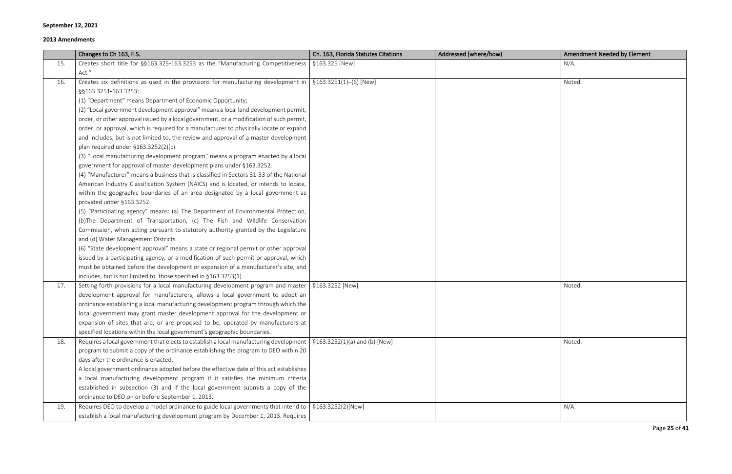#### **2013 Amendments**

Page **25** of **41**

|     | Changes to Ch 163, F.S.                                                                                                  | Ch. 163, Florida Statutes Citations | Addressed (where/how) | <b>Amendment Needed by Element</b> |
|-----|--------------------------------------------------------------------------------------------------------------------------|-------------------------------------|-----------------------|------------------------------------|
| 15. | Creates short title for §§163.325-163.3253 as the "Manufacturing Competitiveness                                         | §163.325 [New]                      |                       | $N/A$ .                            |
|     | Act."                                                                                                                    |                                     |                       |                                    |
| 16. | Creates six definitions as used in the provisions for manufacturing development in                                       | $$163.3251(1)–(6)$ [New]            |                       | Noted.                             |
|     | §§163.3251-163.3253:                                                                                                     |                                     |                       |                                    |
|     | (1) "Department" means Department of Economic Opportunity;                                                               |                                     |                       |                                    |
|     | (2) "Local government development approval" means a local land development permit,                                       |                                     |                       |                                    |
|     | order, or other approval issued by a local government, or a modification of such permit,                                 |                                     |                       |                                    |
|     | order, or approval, which is required for a manufacturer to physically locate or expand                                  |                                     |                       |                                    |
|     | and includes, but is not limited to, the review and approval of a master development                                     |                                     |                       |                                    |
|     | plan required under $$163.3252(2)(c)$ .                                                                                  |                                     |                       |                                    |
|     | (3) "Local manufacturing development program" means a program enacted by a local                                         |                                     |                       |                                    |
|     | government for approval of master development plans under §163.3252.                                                     |                                     |                       |                                    |
|     | (4) "Manufacturer" means a business that is classified in Sectors 31-33 of the National                                  |                                     |                       |                                    |
|     | American Industry Classification System (NAICS) and is located, or intends to locate,                                    |                                     |                       |                                    |
|     | within the geographic boundaries of an area designated by a local government as                                          |                                     |                       |                                    |
|     | provided under §163.3252.                                                                                                |                                     |                       |                                    |
|     | (5) "Participating agency" means: (a) The Department of Environmental Protection,                                        |                                     |                       |                                    |
|     | (b)The Department of Transportation, (c) The Fish and Wildlife Conservation                                              |                                     |                       |                                    |
|     | Commission, when acting pursuant to statutory authority granted by the Legislature                                       |                                     |                       |                                    |
|     | and (d) Water Management Districts.                                                                                      |                                     |                       |                                    |
|     | (6) "State development approval" means a state or regional permit or other approval                                      |                                     |                       |                                    |
|     | issued by a participating agency, or a modification of such permit or approval, which                                    |                                     |                       |                                    |
|     | must be obtained before the development or expansion of a manufacturer's site, and                                       |                                     |                       |                                    |
|     | includes, but is not limited to, those specified in §163.3253(1).                                                        |                                     |                       |                                    |
| 17. | Setting forth provisions for a local manufacturing development program and master $\frac{1}{2}$ \$163.3252 [New]         |                                     |                       | Noted.                             |
|     | development approval for manufacturers, allows a local government to adopt an                                            |                                     |                       |                                    |
|     | ordinance establishing a local manufacturing development program through which the                                       |                                     |                       |                                    |
|     | local government may grant master development approval for the development or                                            |                                     |                       |                                    |
|     | expansion of sites that are, or are proposed to be, operated by manufacturers at                                         |                                     |                       |                                    |
|     | specified locations within the local government's geographic boundaries.                                                 |                                     |                       |                                    |
| 18. | Requires a local government that elects to establish a local manufacturing development   $$163.3252(1)(a)$ and (b) [New] |                                     |                       | Noted.                             |
|     | program to submit a copy of the ordinance establishing the program to DEO within 20                                      |                                     |                       |                                    |
|     | days after the ordinance is enacted.                                                                                     |                                     |                       |                                    |
|     | A local government ordinance adopted before the effective date of this act establishes                                   |                                     |                       |                                    |
|     | a local manufacturing development program if it satisfies the minimum criteria                                           |                                     |                       |                                    |
|     | established in subsection (3) and if the local government submits a copy of the                                          |                                     |                       |                                    |
|     | ordinance to DEO on or before September 1, 2013.                                                                         |                                     |                       |                                    |
| 19. | Requires DEO to develop a model ordinance to guide local governments that intend to                                      | §163.3252(2)[New]                   |                       | $N/A$ .                            |
|     | establish a local manufacturing development program by December 1, 2013. Requires                                        |                                     |                       |                                    |

| Amendment Needed by Element |
|-----------------------------|
| $N/A$ .                     |
|                             |
| Noted.                      |
|                             |
|                             |
|                             |
|                             |
|                             |
|                             |
|                             |
|                             |
|                             |
|                             |
|                             |
|                             |
|                             |
|                             |
|                             |
|                             |
|                             |
| Noted.                      |
|                             |
|                             |
|                             |
|                             |
|                             |
| Noted.                      |
|                             |
|                             |
|                             |
|                             |
|                             |
| $N/A$ .                     |
|                             |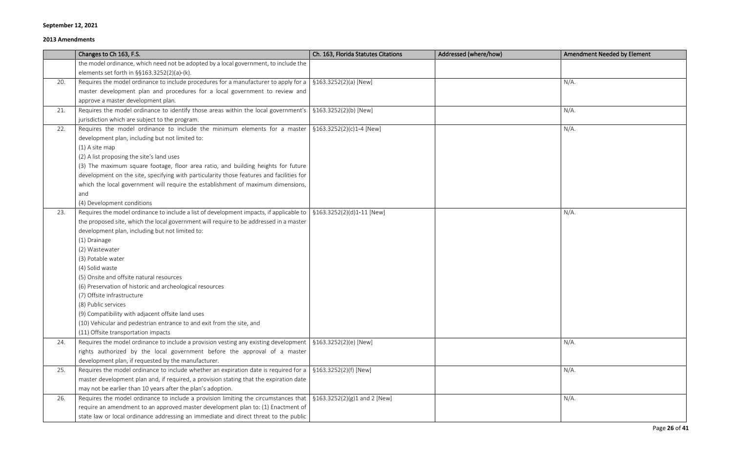#### **2013 Amendments**

Page **26** of **41**

|     | Changes to Ch 163, F.S.                                                                                                          | Ch. 163, Florida Statutes Citations         | Addressed (where/how) | <b>Amendment Needed by Element</b> |
|-----|----------------------------------------------------------------------------------------------------------------------------------|---------------------------------------------|-----------------------|------------------------------------|
|     | the model ordinance, which need not be adopted by a local government, to include the                                             |                                             |                       |                                    |
|     | elements set forth in §§163.3252(2)(a)-(k).                                                                                      |                                             |                       |                                    |
| 20. | Requires the model ordinance to include procedures for a manufacturer to apply for a   $$163.3252(2)(a)$ [New]                   |                                             |                       | $N/A$ .                            |
|     | master development plan and procedures for a local government to review and                                                      |                                             |                       |                                    |
|     | approve a master development plan.                                                                                               |                                             |                       |                                    |
| 21. | Requires the model ordinance to identify those areas within the local government's $\frac{1}{2}$ \$163.3252(2)(b) [New]          |                                             |                       | $N/A$ .                            |
|     | jurisdiction which are subject to the program.                                                                                   |                                             |                       |                                    |
| 22. | Requires the model ordinance to include the minimum elements for a master                                                        | $\frac{5163.3252(2)(c)1-4}{New}$            |                       | $N/A$ .                            |
|     | development plan, including but not limited to:                                                                                  |                                             |                       |                                    |
|     | $(1)$ A site map                                                                                                                 |                                             |                       |                                    |
|     | (2) A list proposing the site's land uses                                                                                        |                                             |                       |                                    |
|     | (3) The maximum square footage, floor area ratio, and building heights for future                                                |                                             |                       |                                    |
|     | development on the site, specifying with particularity those features and facilities for                                         |                                             |                       |                                    |
|     | which the local government will require the establishment of maximum dimensions,                                                 |                                             |                       |                                    |
|     | and                                                                                                                              |                                             |                       |                                    |
|     | (4) Development conditions                                                                                                       |                                             |                       |                                    |
| 23. | Requires the model ordinance to include a list of development impacts, if applicable to $\frac{1}{2}$ \$163.3252(2)(d)1-11 [New] |                                             |                       | $N/A$ .                            |
|     | the proposed site, which the local government will require to be addressed in a master                                           |                                             |                       |                                    |
|     | development plan, including but not limited to:                                                                                  |                                             |                       |                                    |
|     | (1) Drainage                                                                                                                     |                                             |                       |                                    |
|     | (2) Wastewater                                                                                                                   |                                             |                       |                                    |
|     | (3) Potable water                                                                                                                |                                             |                       |                                    |
|     | (4) Solid waste                                                                                                                  |                                             |                       |                                    |
|     | (5) Onsite and offsite natural resources                                                                                         |                                             |                       |                                    |
|     | (6) Preservation of historic and archeological resources                                                                         |                                             |                       |                                    |
|     | (7) Offsite infrastructure                                                                                                       |                                             |                       |                                    |
|     | (8) Public services                                                                                                              |                                             |                       |                                    |
|     | (9) Compatibility with adjacent offsite land uses                                                                                |                                             |                       |                                    |
|     | (10) Vehicular and pedestrian entrance to and exit from the site, and                                                            |                                             |                       |                                    |
|     | (11) Offsite transportation impacts                                                                                              |                                             |                       |                                    |
| 24. | Requires the model ordinance to include a provision vesting any existing development $\frac{1}{2}$ \$163.3252(2)(e) [New]        |                                             |                       | $N/A$ .                            |
|     | rights authorized by the local government before the approval of a master                                                        |                                             |                       |                                    |
|     | development plan, if requested by the manufacturer.                                                                              |                                             |                       |                                    |
| 25. | Requires the model ordinance to include whether an expiration date is required for a                                             | §163.3252(2)(f) [New]                       |                       | $N/A$ .                            |
|     | master development plan and, if required, a provision stating that the expiration date                                           |                                             |                       |                                    |
|     | may not be earlier than 10 years after the plan's adoption.                                                                      |                                             |                       |                                    |
| 26. | Requires the model ordinance to include a provision limiting the circumstances that                                              | $\frac{1}{2}$ \$163.3252(2)(g)1 and 2 [New] |                       | $N/A$ .                            |
|     | require an amendment to an approved master development plan to: (1) Enactment of                                                 |                                             |                       |                                    |
|     | state law or local ordinance addressing an immediate and direct threat to the public                                             |                                             |                       |                                    |

| <b>Amendment Needed by Element</b> |
|------------------------------------|
|                                    |
| $N/A$ .                            |
|                                    |
| $N/A$ .                            |
| $N/A$ .                            |
|                                    |
|                                    |
|                                    |
|                                    |
| $N/A$ .                            |
|                                    |
|                                    |
|                                    |
|                                    |
|                                    |
|                                    |
|                                    |
| $N/A$ .                            |
|                                    |
| $N/A$ .                            |
|                                    |
| $N/A$ .                            |
|                                    |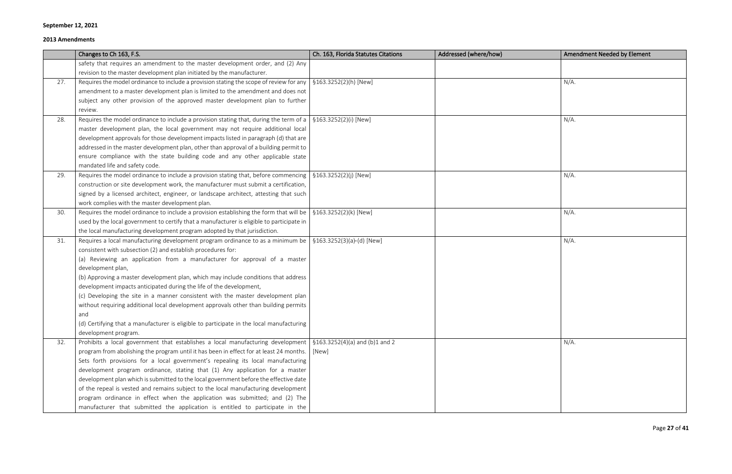|     | Changes to Ch 163, F.S.                                                                                                      | Ch. 163, Florida Statutes Citations | Addressed (where/how) | <b>Amendment Needed by Element</b> |
|-----|------------------------------------------------------------------------------------------------------------------------------|-------------------------------------|-----------------------|------------------------------------|
|     | safety that requires an amendment to the master development order, and (2) Any                                               |                                     |                       |                                    |
|     | revision to the master development plan initiated by the manufacturer.                                                       |                                     |                       |                                    |
| 27. | Requires the model ordinance to include a provision stating the scope of review for any                                      | §163.3252(2)(h) [New]               |                       | $N/A$ .                            |
|     | amendment to a master development plan is limited to the amendment and does not                                              |                                     |                       |                                    |
|     | subject any other provision of the approved master development plan to further                                               |                                     |                       |                                    |
|     | review.                                                                                                                      |                                     |                       |                                    |
| 28. | Requires the model ordinance to include a provision stating that, during the term of a   $\S 163.3252(2)(i)$ [New]           |                                     |                       | $N/A$ .                            |
|     | master development plan, the local government may not require additional local                                               |                                     |                       |                                    |
|     | development approvals for those development impacts listed in paragraph (d) that are                                         |                                     |                       |                                    |
|     | addressed in the master development plan, other than approval of a building permit to                                        |                                     |                       |                                    |
|     | ensure compliance with the state building code and any other applicable state                                                |                                     |                       |                                    |
|     | mandated life and safety code.                                                                                               |                                     |                       |                                    |
| 29. | Requires the model ordinance to include a provision stating that, before commencing                                          | §163.3252(2)(j) [New]               |                       | $N/A$ .                            |
|     | construction or site development work, the manufacturer must submit a certification,                                         |                                     |                       |                                    |
|     | signed by a licensed architect, engineer, or landscape architect, attesting that such                                        |                                     |                       |                                    |
|     | work complies with the master development plan.                                                                              |                                     |                       |                                    |
| 30. | Requires the model ordinance to include a provision establishing the form that will be                                       | §163.3252(2)(k) [New]               |                       | $N/A$ .                            |
|     | used by the local government to certify that a manufacturer is eligible to participate in                                    |                                     |                       |                                    |
|     | the local manufacturing development program adopted by that jurisdiction.                                                    |                                     |                       |                                    |
| 31. | Requires a local manufacturing development program ordinance to as a minimum be                                              | §163.3252(3)(a)-(d) [New]           |                       | $N/A$ .                            |
|     | consistent with subsection (2) and establish procedures for:                                                                 |                                     |                       |                                    |
|     | (a) Reviewing an application from a manufacturer for approval of a master                                                    |                                     |                       |                                    |
|     | development plan,                                                                                                            |                                     |                       |                                    |
|     | (b) Approving a master development plan, which may include conditions that address                                           |                                     |                       |                                    |
|     | development impacts anticipated during the life of the development,                                                          |                                     |                       |                                    |
|     | (c) Developing the site in a manner consistent with the master development plan                                              |                                     |                       |                                    |
|     | without requiring additional local development approvals other than building permits                                         |                                     |                       |                                    |
|     | and                                                                                                                          |                                     |                       |                                    |
|     | (d) Certifying that a manufacturer is eligible to participate in the local manufacturing                                     |                                     |                       |                                    |
|     | development program.                                                                                                         |                                     |                       |                                    |
| 32. | Prohibits a local government that establishes a local manufacturing development $\frac{1}{5}$ 5163.3252(4)(a) and (b)1 and 2 |                                     |                       | $N/A$ .                            |
|     | program from abolishing the program until it has been in effect for at least 24 months.                                      | [New]                               |                       |                                    |
|     | Sets forth provisions for a local government's repealing its local manufacturing                                             |                                     |                       |                                    |
|     | development program ordinance, stating that (1) Any application for a master                                                 |                                     |                       |                                    |
|     | development plan which is submitted to the local government before the effective date                                        |                                     |                       |                                    |
|     | of the repeal is vested and remains subject to the local manufacturing development                                           |                                     |                       |                                    |
|     | program ordinance in effect when the application was submitted; and (2) The                                                  |                                     |                       |                                    |
|     | manufacturer that submitted the application is entitled to participate in the                                                |                                     |                       |                                    |

| <b>Amendment Needed by Element</b> |
|------------------------------------|
|                                    |
| $N/A$ .                            |
|                                    |
| $N/A$ .                            |
|                                    |
|                                    |
| $N/A$ .                            |
|                                    |
| $N/A$ .                            |
| $N/A$ .                            |
|                                    |
|                                    |
|                                    |
|                                    |
| $N/A$ .                            |
|                                    |
|                                    |
|                                    |
|                                    |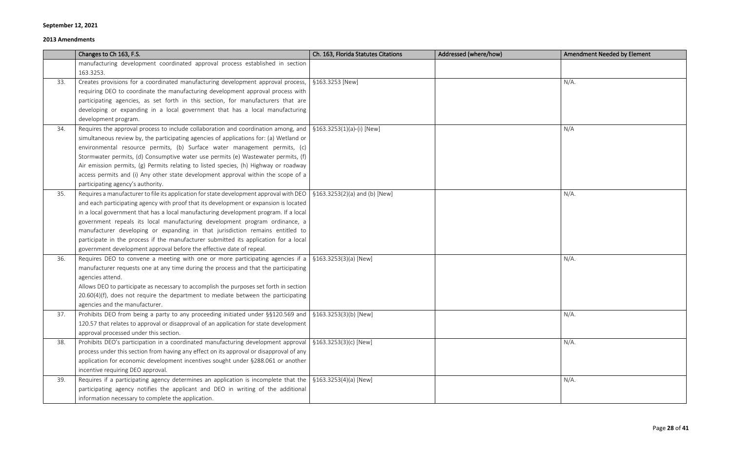|     | Changes to Ch 163, F.S.                                                                                                     | Ch. 163, Florida Statutes Citations | Addressed (where/how) | <b>Amendment Needed by Element</b> |
|-----|-----------------------------------------------------------------------------------------------------------------------------|-------------------------------------|-----------------------|------------------------------------|
|     | manufacturing development coordinated approval process established in section                                               |                                     |                       |                                    |
|     | 163.3253.                                                                                                                   |                                     |                       |                                    |
| 33. | Creates provisions for a coordinated manufacturing development approval process,   §163.3253 [New]                          |                                     |                       | $N/A$ .                            |
|     | requiring DEO to coordinate the manufacturing development approval process with                                             |                                     |                       |                                    |
|     | participating agencies, as set forth in this section, for manufacturers that are                                            |                                     |                       |                                    |
|     | developing or expanding in a local government that has a local manufacturing                                                |                                     |                       |                                    |
|     | development program.                                                                                                        |                                     |                       |                                    |
| 34. | Requires the approval process to include collaboration and coordination among, and $\frac{1}{2}$ \$163.3253(1)(a)-(i) [New] |                                     |                       | N/A                                |
|     | simultaneous review by, the participating agencies of applications for: (a) Wetland or                                      |                                     |                       |                                    |
|     | environmental resource permits, (b) Surface water management permits, (c)                                                   |                                     |                       |                                    |
|     | Stormwater permits, (d) Consumptive water use permits (e) Wastewater permits, (f)                                           |                                     |                       |                                    |
|     | Air emission permits, (g) Permits relating to listed species, (h) Highway or roadway                                        |                                     |                       |                                    |
|     | access permits and (i) Any other state development approval within the scope of a                                           |                                     |                       |                                    |
|     | participating agency's authority.                                                                                           |                                     |                       |                                    |
| 35. | Requires a manufacturer to file its application for state development approval with DEO   $\S$ 163.3253(2)(a) and (b) [New] |                                     |                       | $N/A$ .                            |
|     | and each participating agency with proof that its development or expansion is located                                       |                                     |                       |                                    |
|     | in a local government that has a local manufacturing development program. If a local                                        |                                     |                       |                                    |
|     | government repeals its local manufacturing development program ordinance, a                                                 |                                     |                       |                                    |
|     | manufacturer developing or expanding in that jurisdiction remains entitled to                                               |                                     |                       |                                    |
|     | participate in the process if the manufacturer submitted its application for a local                                        |                                     |                       |                                    |
|     | government development approval before the effective date of repeal.                                                        |                                     |                       |                                    |
| 36. | Requires DEO to convene a meeting with one or more participating agencies if a $\frac{1}{2}$ \$163.3253(3)(a) [New]         |                                     |                       | $N/A$ .                            |
|     | manufacturer requests one at any time during the process and that the participating                                         |                                     |                       |                                    |
|     | agencies attend.                                                                                                            |                                     |                       |                                    |
|     | Allows DEO to participate as necessary to accomplish the purposes set forth in section                                      |                                     |                       |                                    |
|     | $20.60(4)(f)$ , does not require the department to mediate between the participating                                        |                                     |                       |                                    |
|     | agencies and the manufacturer.                                                                                              |                                     |                       |                                    |
| 37. | Prohibits DEO from being a party to any proceeding initiated under $\S$ \$120.569 and   \$163.3253(3)(b) [New]              |                                     |                       | $N/A$ .                            |
|     | 120.57 that relates to approval or disapproval of an application for state development                                      |                                     |                       |                                    |
|     | approval processed under this section.                                                                                      |                                     |                       |                                    |
| 38. | Prohibits DEO's participation in a coordinated manufacturing development approval                                           | §163.3253(3)(c) [New]               |                       | $N/A$ .                            |
|     | process under this section from having any effect on its approval or disapproval of any                                     |                                     |                       |                                    |
|     | application for economic development incentives sought under §288.061 or another                                            |                                     |                       |                                    |
|     | incentive requiring DEO approval.                                                                                           |                                     |                       |                                    |
| 39. | Requires if a participating agency determines an application is incomplete that the                                         | $$163.3253(4)(a)$ [New]             |                       | $N/A$ .                            |
|     | participating agency notifies the applicant and DEO in writing of the additional                                            |                                     |                       |                                    |
|     | information necessary to complete the application.                                                                          |                                     |                       |                                    |

| Amendment Needed by Element |
|-----------------------------|
|                             |
| $N/A$ .                     |
|                             |
|                             |
| N/A                         |
|                             |
|                             |
|                             |
| $N/A$ .                     |
|                             |
|                             |
|                             |
| $N/A$ .                     |
|                             |
|                             |
|                             |
| $N/A$ .                     |
|                             |
| $N/A$ .                     |
|                             |
| $N/A$ .                     |
|                             |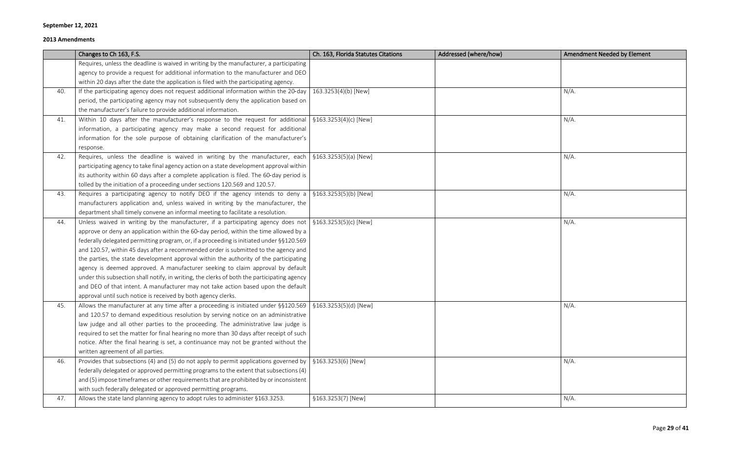|     | Changes to Ch 163, F.S.                                                                                               | Ch. 163, Florida Statutes Citations | Addressed (where/how) | <b>Amendment Needed by Element</b> |
|-----|-----------------------------------------------------------------------------------------------------------------------|-------------------------------------|-----------------------|------------------------------------|
|     | Requires, unless the deadline is waived in writing by the manufacturer, a participating                               |                                     |                       |                                    |
|     | agency to provide a request for additional information to the manufacturer and DEO                                    |                                     |                       |                                    |
|     | within 20 days after the date the application is filed with the participating agency.                                 |                                     |                       |                                    |
| 40. | If the participating agency does not request additional information within the 20-day                                 | 163.3253(4)(b) [New]                |                       | $N/A$ .                            |
|     | period, the participating agency may not subsequently deny the application based on                                   |                                     |                       |                                    |
|     | the manufacturer's failure to provide additional information.                                                         |                                     |                       |                                    |
| 41. | Within 10 days after the manufacturer's response to the request for additional $\frac{1}{2}$ \$163.3253(4)(c) [New]   |                                     |                       | $N/A$ .                            |
|     | information, a participating agency may make a second request for additional                                          |                                     |                       |                                    |
|     | information for the sole purpose of obtaining clarification of the manufacturer's                                     |                                     |                       |                                    |
|     | response.                                                                                                             |                                     |                       |                                    |
| 42. | Requires, unless the deadline is waived in writing by the manufacturer, each $\frac{1}{2}$ \$163.3253(5)(a) [New]     |                                     |                       | $N/A$ .                            |
|     | participating agency to take final agency action on a state development approval within                               |                                     |                       |                                    |
|     | its authority within 60 days after a complete application is filed. The 60-day period is                              |                                     |                       |                                    |
|     | tolled by the initiation of a proceeding under sections 120.569 and 120.57.                                           |                                     |                       |                                    |
| 43. | Requires a participating agency to notify DEO if the agency intends to deny a $\frac{1}{2}$ \$163.3253(5)(b) [New]    |                                     |                       | $N/A$ .                            |
|     | manufacturers application and, unless waived in writing by the manufacturer, the                                      |                                     |                       |                                    |
|     | department shall timely convene an informal meeting to facilitate a resolution.                                       |                                     |                       |                                    |
| 44. | Unless waived in writing by the manufacturer, if a participating agency does not $\frac{1}{2}$ \$163.3253(5)(c) [New] |                                     |                       | $N/A$ .                            |
|     | approve or deny an application within the 60-day period, within the time allowed by a                                 |                                     |                       |                                    |
|     | federally delegated permitting program, or, if a proceeding is initiated under §§120.569                              |                                     |                       |                                    |
|     | and 120.57, within 45 days after a recommended order is submitted to the agency and                                   |                                     |                       |                                    |
|     | the parties, the state development approval within the authority of the participating                                 |                                     |                       |                                    |
|     | agency is deemed approved. A manufacturer seeking to claim approval by default                                        |                                     |                       |                                    |
|     | under this subsection shall notify, in writing, the clerks of both the participating agency                           |                                     |                       |                                    |
|     | and DEO of that intent. A manufacturer may not take action based upon the default                                     |                                     |                       |                                    |
|     | approval until such notice is received by both agency clerks.                                                         |                                     |                       |                                    |
| 45. | Allows the manufacturer at any time after a proceeding is initiated under $\S$ \$120.569   \$163.3253(5)(d) [New]     |                                     |                       | $N/A$ .                            |
|     | and 120.57 to demand expeditious resolution by serving notice on an administrative                                    |                                     |                       |                                    |
|     | law judge and all other parties to the proceeding. The administrative law judge is                                    |                                     |                       |                                    |
|     | required to set the matter for final hearing no more than 30 days after receipt of such                               |                                     |                       |                                    |
|     | notice. After the final hearing is set, a continuance may not be granted without the                                  |                                     |                       |                                    |
|     | written agreement of all parties.                                                                                     |                                     |                       |                                    |
| 46. | Provides that subsections (4) and (5) do not apply to permit applications governed by                                 | §163.3253(6) [New]                  |                       | $N/A$ .                            |
|     | federally delegated or approved permitting programs to the extent that subsections (4)                                |                                     |                       |                                    |
|     | and (5) impose timeframes or other requirements that are prohibited by or inconsistent                                |                                     |                       |                                    |
|     | with such federally delegated or approved permitting programs.                                                        |                                     |                       |                                    |
| 47. | Allows the state land planning agency to adopt rules to administer §163.3253.                                         | §163.3253(7) [New]                  |                       | $N/A$ .                            |
|     |                                                                                                                       |                                     |                       |                                    |

| <b>Amendment Needed by Element</b> |
|------------------------------------|
|                                    |
|                                    |
| $N/A$ .                            |
|                                    |
|                                    |
| $N/A$ .                            |
|                                    |
|                                    |
| $N/A$ .                            |
|                                    |
|                                    |
| $N/A$ .                            |
|                                    |
| $N/A$ .                            |
|                                    |
|                                    |
|                                    |
|                                    |
|                                    |
|                                    |
| $N/A$ .                            |
|                                    |
|                                    |
|                                    |
|                                    |
| $N/A$ .                            |
|                                    |
|                                    |
| $N/A$ .                            |
|                                    |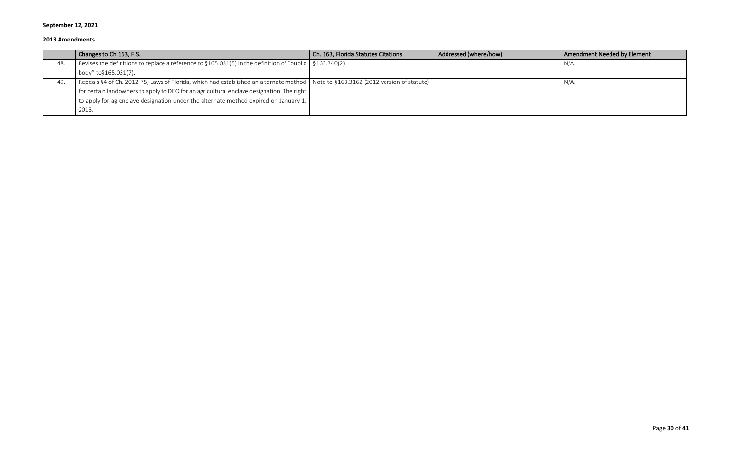|     | Changes to Ch 163, F.S.                                                                                                             | Ch. 163, Florida Statutes Citations | Addressed (where/how) | Amendment Needed by Element |
|-----|-------------------------------------------------------------------------------------------------------------------------------------|-------------------------------------|-----------------------|-----------------------------|
| 48. | Revises the definitions to replace a reference to $\S165.031(5)$ in the definition of "public $\mid \S163.340(2)$                   |                                     |                       | N/A                         |
|     | body" to§165.031(7).                                                                                                                |                                     |                       |                             |
| 49. | Repeals §4 of Ch. 2012-75, Laws of Florida, which had established an alternate method   Note to §163.3162 (2012 version of statute) |                                     |                       | $N/A$ .                     |
|     | $^{\prime}$ for certain landowners to apply to DEO for an agricultural enclave designation. The right $\, \,$                       |                                     |                       |                             |
|     | to apply for ag enclave designation under the alternate method expired on January 1, $\parallel$                                    |                                     |                       |                             |
|     | 2013.                                                                                                                               |                                     |                       |                             |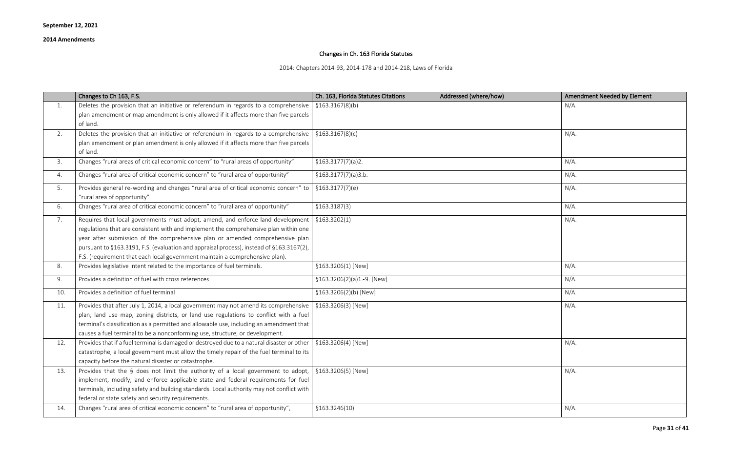## Changes in Ch. 163 Florida Statutes

2014: Chapters 2014-93, 2014-178 and 2014-218, Laws of Florida

|     | Changes to Ch 163, F.S.                                                                                                                                                                                                                                                                                                                                                                                                              | Ch. 163, Florida Statutes Citations | Addressed (where/how) | <b>Amendment Needed by Element</b> |
|-----|--------------------------------------------------------------------------------------------------------------------------------------------------------------------------------------------------------------------------------------------------------------------------------------------------------------------------------------------------------------------------------------------------------------------------------------|-------------------------------------|-----------------------|------------------------------------|
| 1.  | Deletes the provision that an initiative or referendum in regards to a comprehensive                                                                                                                                                                                                                                                                                                                                                 | \$163.3167(8)(b)                    |                       | $N/A$ .                            |
|     | plan amendment or map amendment is only allowed if it affects more than five parcels                                                                                                                                                                                                                                                                                                                                                 |                                     |                       |                                    |
|     | of land.                                                                                                                                                                                                                                                                                                                                                                                                                             |                                     |                       |                                    |
| 2.  | Deletes the provision that an initiative or referendum in regards to a comprehensive                                                                                                                                                                                                                                                                                                                                                 | \$163.3167(8)(c)                    |                       | $N/A$ .                            |
|     | plan amendment or plan amendment is only allowed if it affects more than five parcels<br>of land.                                                                                                                                                                                                                                                                                                                                    |                                     |                       |                                    |
| 3.  | Changes "rural areas of critical economic concern" to "rural areas of opportunity"                                                                                                                                                                                                                                                                                                                                                   | \$163.3177(7)(a)2.                  |                       | $N/A$ .                            |
| 4.  | Changes "rural area of critical economic concern" to "rural area of opportunity"                                                                                                                                                                                                                                                                                                                                                     | \$163.3177(7)(a)3.b.                |                       | $N/A$ .                            |
| 5.  | Provides general re-wording and changes "rural area of critical economic concern" to<br>"rural area of opportunity"                                                                                                                                                                                                                                                                                                                  | \$163.3177(7)(e)                    |                       | $N/A$ .                            |
| 6.  | Changes "rural area of critical economic concern" to "rural area of opportunity"                                                                                                                                                                                                                                                                                                                                                     | \$163.3187(3)                       |                       | $N/A$ .                            |
| 7.  | Requires that local governments must adopt, amend, and enforce land development<br>regulations that are consistent with and implement the comprehensive plan within one<br>year after submission of the comprehensive plan or amended comprehensive plan<br>pursuant to §163.3191, F.S. (evaluation and appraisal process), instead of §163.3167(2),<br>F.S. (requirement that each local government maintain a comprehensive plan). | \$163.3202(1)                       |                       | $N/A$ .                            |
| 8.  | Provides legislative intent related to the importance of fuel terminals.                                                                                                                                                                                                                                                                                                                                                             | §163.3206(1) [New]                  |                       | $N/A$ .                            |
| 9.  | Provides a definition of fuel with cross references                                                                                                                                                                                                                                                                                                                                                                                  | §163.3206(2)(a)1.-9. [New]          |                       | $N/A$ .                            |
| 10. | Provides a definition of fuel terminal                                                                                                                                                                                                                                                                                                                                                                                               | §163.3206(2)(b) [New]               |                       | $N/A$ .                            |
| 11. | Provides that after July 1, 2014, a local government may not amend its comprehensive<br>plan, land use map, zoning districts, or land use regulations to conflict with a fuel<br>terminal's classification as a permitted and allowable use, including an amendment that<br>causes a fuel terminal to be a nonconforming use, structure, or development.                                                                             | §163.3206(3) [New]                  |                       | $N/A$ .                            |
| 12. | Provides that if a fuel terminal is damaged or destroyed due to a natural disaster or other<br>catastrophe, a local government must allow the timely repair of the fuel terminal to its<br>capacity before the natural disaster or catastrophe.                                                                                                                                                                                      | §163.3206(4) [New]                  |                       | $N/A$ .                            |
| 13. | Provides that the § does not limit the authority of a local government to adopt,<br>implement, modify, and enforce applicable state and federal requirements for fuel<br>terminals, including safety and building standards. Local authority may not conflict with<br>federal or state safety and security requirements.                                                                                                             | §163.3206(5) [New]                  |                       | $N/A$ .                            |
| 14. | Changes "rural area of critical economic concern" to "rural area of opportunity",                                                                                                                                                                                                                                                                                                                                                    | §163.3246(10)                       |                       | $N/A$ .                            |

| Amendment Needed by Element |
|-----------------------------|
| N/A.                        |
|                             |
| $N/A$ .                     |
|                             |
| $N/A$ .                     |
| $N/A$ .                     |
| $N/A$ .                     |
|                             |
| $N/A$ .                     |
| $N/A$ .                     |
|                             |
|                             |
| $N/A$ .                     |
| $N/A$ .                     |
| $N/A$ .                     |
| $N/A$ .                     |
|                             |
|                             |
| $N/A$ .                     |
|                             |
| $N/A$ .                     |
|                             |
|                             |
| $N/A$ .                     |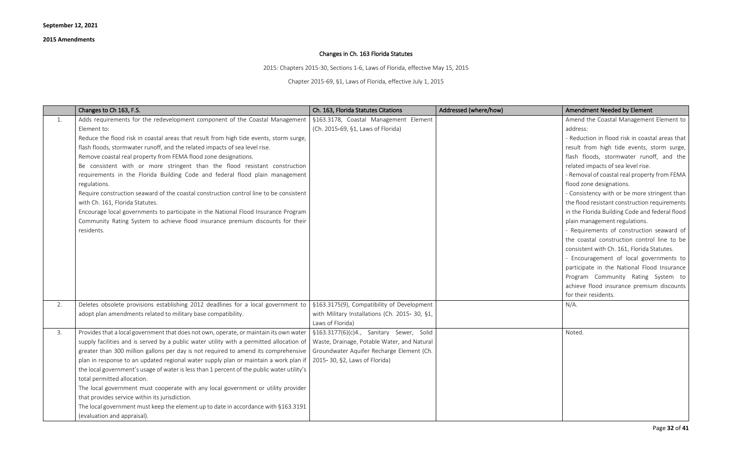# Changes in Ch. 163 Florida Statutes

2015: Chapters 2015-30, Sections 1-6, Laws of Florida, effective May 15, 2015

Chapter 2015-69, §1, Laws of Florida, effective July 1, 2015

|    | Changes to Ch 163, F.S.                                                                                                                                                                                                                                                                                                                                                                                                                                                                                                                                                                                                                                                                                                                                                                                                                 | Ch. 163, Florida Statutes Citations                                                                                                                                   | Addressed (where/how) | <b>Amendment Needed by Element</b>                                                                                                                                                                                                                                                                                                                                                                                                                                                                                                                                                                                                                                            |
|----|-----------------------------------------------------------------------------------------------------------------------------------------------------------------------------------------------------------------------------------------------------------------------------------------------------------------------------------------------------------------------------------------------------------------------------------------------------------------------------------------------------------------------------------------------------------------------------------------------------------------------------------------------------------------------------------------------------------------------------------------------------------------------------------------------------------------------------------------|-----------------------------------------------------------------------------------------------------------------------------------------------------------------------|-----------------------|-------------------------------------------------------------------------------------------------------------------------------------------------------------------------------------------------------------------------------------------------------------------------------------------------------------------------------------------------------------------------------------------------------------------------------------------------------------------------------------------------------------------------------------------------------------------------------------------------------------------------------------------------------------------------------|
| 1. | Adds requirements for the redevelopment component of the Coastal Management<br>Element to:<br>Reduce the flood risk in coastal areas that result from high tide events, storm surge,<br>flash floods, stormwater runoff, and the related impacts of sea level rise.<br>Remove coastal real property from FEMA flood zone designations.<br>Be consistent with or more stringent than the flood resistant construction<br>requirements in the Florida Building Code and federal flood plain management<br>regulations.<br>Require construction seaward of the coastal construction control line to be consistent<br>with Ch. 161, Florida Statutes.<br>Encourage local governments to participate in the National Flood Insurance Program<br>Community Rating System to achieve flood insurance premium discounts for their<br>residents. | §163.3178, Coastal Management Element<br>(Ch. 2015-69, §1, Laws of Florida)                                                                                           |                       | Amend the Coastal Managemen<br>address:<br>- Reduction in flood risk in coast<br>result from high tide events, s<br>flash floods, stormwater rund<br>related impacts of sea level rise.<br>- Removal of coastal real propert<br>flood zone designations.<br>- Consistency with or be more st<br>the flood resistant construction r<br>in the Florida Building Code and<br>plain management regulations.<br>- Requirements of construction<br>the coastal construction contro<br>consistent with Ch. 161, Florida 9<br>- Encouragement of local gove<br>participate in the National Floo<br>Program Community Rating<br>achieve flood insurance premiu<br>for their residents. |
| 2. | Deletes obsolete provisions establishing 2012 deadlines for a local government to<br>adopt plan amendments related to military base compatibility.                                                                                                                                                                                                                                                                                                                                                                                                                                                                                                                                                                                                                                                                                      | §163.3175(9), Compatibility of Development<br>with Military Installations (Ch. 2015- 30, §1,<br>Laws of Florida)                                                      |                       | $N/A$ .                                                                                                                                                                                                                                                                                                                                                                                                                                                                                                                                                                                                                                                                       |
| 3. | Provides that a local government that does not own, operate, or maintain its own water<br>supply facilities and is served by a public water utility with a permitted allocation of<br>greater than 300 million gallons per day is not required to amend its comprehensive<br>plan in response to an updated regional water supply plan or maintain a work plan if<br>the local government's usage of water is less than 1 percent of the public water utility's<br>total permitted allocation.<br>The local government must cooperate with any local government or utility provider<br>that provides service within its jurisdiction.<br>The local government must keep the element up to date in accordance with §163.3191<br>(evaluation and appraisal).                                                                              | §163.3177(6)(c)4., Sanitary Sewer, Solid<br>Waste, Drainage, Potable Water, and Natural<br>Groundwater Aquifer Recharge Element (Ch.<br>2015-30, §2, Laws of Florida) |                       | Noted.                                                                                                                                                                                                                                                                                                                                                                                                                                                                                                                                                                                                                                                                        |

| <b>Amendment Needed by Element</b>              |
|-------------------------------------------------|
| Amend the Coastal Management Element to         |
| address:                                        |
| - Reduction in flood risk in coastal areas that |
| result from high tide events, storm surge,      |
| flash floods, stormwater runoff, and the        |
| related impacts of sea level rise.              |
| - Removal of coastal real property from FEMA    |
| flood zone designations.                        |
| - Consistency with or be more stringent than    |
| the flood resistant construction requirements   |
| in the Florida Building Code and federal flood  |
| plain management regulations.                   |
| - Requirements of construction seaward of       |
| the coastal construction control line to be     |
| consistent with Ch. 161, Florida Statutes.      |
| - Encouragement of local governments to         |
| participate in the National Flood Insurance     |
| Program Community Rating System<br>to           |
| achieve flood insurance premium discounts       |
| for their residents.                            |
| $N/A$ .                                         |
|                                                 |
| Noted.                                          |
|                                                 |
|                                                 |
|                                                 |
|                                                 |
|                                                 |
|                                                 |
|                                                 |
|                                                 |
|                                                 |
|                                                 |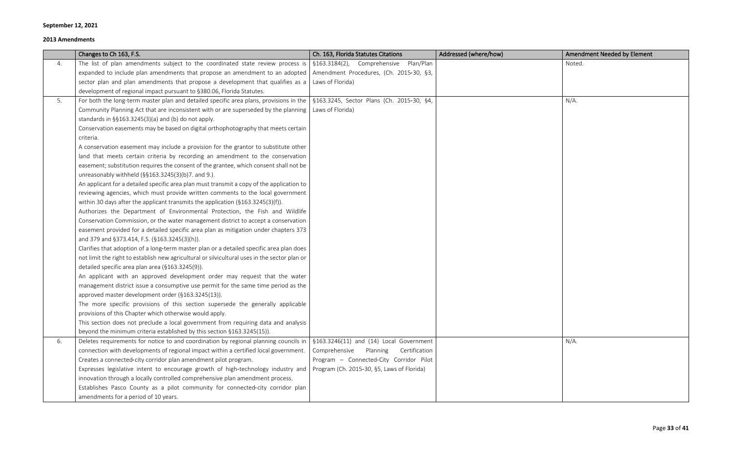|    | Changes to Ch 163, F.S.                                                                                                                          | Ch. 163, Florida Statutes Citations        | Addressed (where/how) | <b>Amendment Needed by Element</b> |
|----|--------------------------------------------------------------------------------------------------------------------------------------------------|--------------------------------------------|-----------------------|------------------------------------|
| 4. | The list of plan amendments subject to the coordinated state review process is                                                                   | §163.3184(2), Comprehensive Plan/Plan      |                       | Noted.                             |
|    | expanded to include plan amendments that propose an amendment to an adopted   Amendment Procedures, (Ch. 2015-30, §3,                            |                                            |                       |                                    |
|    | sector plan and plan amendments that propose a development that qualifies as a                                                                   | Laws of Florida)                           |                       |                                    |
|    | development of regional impact pursuant to §380.06, Florida Statutes.                                                                            |                                            |                       |                                    |
| 5. | For both the long-term master plan and detailed specific area plans, provisions in the $\frac{1}{2}$ \$163.3245, Sector Plans (Ch. 2015-30, \$4, |                                            |                       | $N/A$ .                            |
|    | Community Planning Act that are inconsistent with or are superseded by the planning                                                              | Laws of Florida)                           |                       |                                    |
|    | standards in §§163.3245(3)(a) and (b) do not apply.                                                                                              |                                            |                       |                                    |
|    | Conservation easements may be based on digital orthophotography that meets certain                                                               |                                            |                       |                                    |
|    | criteria.                                                                                                                                        |                                            |                       |                                    |
|    | A conservation easement may include a provision for the grantor to substitute other                                                              |                                            |                       |                                    |
|    | land that meets certain criteria by recording an amendment to the conservation                                                                   |                                            |                       |                                    |
|    | easement; substitution requires the consent of the grantee, which consent shall not be                                                           |                                            |                       |                                    |
|    | unreasonably withheld (§§163.3245(3)(b)7. and 9.).                                                                                               |                                            |                       |                                    |
|    | An applicant for a detailed specific area plan must transmit a copy of the application to                                                        |                                            |                       |                                    |
|    | reviewing agencies, which must provide written comments to the local government                                                                  |                                            |                       |                                    |
|    | within 30 days after the applicant transmits the application (§163.3245(3)(f)).                                                                  |                                            |                       |                                    |
|    | Authorizes the Department of Environmental Protection, the Fish and Wildlife                                                                     |                                            |                       |                                    |
|    | Conservation Commission, or the water management district to accept a conservation                                                               |                                            |                       |                                    |
|    | easement provided for a detailed specific area plan as mitigation under chapters 373                                                             |                                            |                       |                                    |
|    | and 379 and §373.414, F.S. (§163.3245(3)(h)).                                                                                                    |                                            |                       |                                    |
|    | Clarifies that adoption of a long-term master plan or a detailed specific area plan does                                                         |                                            |                       |                                    |
|    | not limit the right to establish new agricultural or silvicultural uses in the sector plan or                                                    |                                            |                       |                                    |
|    | detailed specific area plan area (§163.3245(9)).                                                                                                 |                                            |                       |                                    |
|    | An applicant with an approved development order may request that the water                                                                       |                                            |                       |                                    |
|    | management district issue a consumptive use permit for the same time period as the                                                               |                                            |                       |                                    |
|    | approved master development order (§163.3245(13)).                                                                                               |                                            |                       |                                    |
|    | The more specific provisions of this section supersede the generally applicable                                                                  |                                            |                       |                                    |
|    | provisions of this Chapter which otherwise would apply.                                                                                          |                                            |                       |                                    |
|    | This section does not preclude a local government from requiring data and analysis                                                               |                                            |                       |                                    |
|    | beyond the minimum criteria established by this section §163.3245(15)).                                                                          |                                            |                       |                                    |
| 6. | Deletes requirements for notice to and coordination by regional planning councils in                                                             | §163.3246(11) and (14) Local Government    |                       | $N/A$ .                            |
|    | connection with developments of regional impact within a certified local government.                                                             | Comprehensive<br>Certification<br>Planning |                       |                                    |
|    | Creates a connected-city corridor plan amendment pilot program.                                                                                  | Program - Connected-City Corridor Pilot    |                       |                                    |
|    | Expresses legislative intent to encourage growth of high-technology industry and                                                                 | Program (Ch. 2015-30, §5, Laws of Florida) |                       |                                    |
|    | innovation through a locally controlled comprehensive plan amendment process.                                                                    |                                            |                       |                                    |
|    | Establishes Pasco County as a pilot community for connected-city corridor plan                                                                   |                                            |                       |                                    |
|    | amendments for a period of 10 years.                                                                                                             |                                            |                       |                                    |

| Amendment Needed by Element |
|-----------------------------|
| Noted.                      |
|                             |
|                             |
| $N/A$ .                     |
|                             |
|                             |
|                             |
|                             |
|                             |
|                             |
|                             |
|                             |
|                             |
|                             |
|                             |
|                             |
|                             |
|                             |
|                             |
|                             |
|                             |
|                             |
|                             |
|                             |
|                             |
| $N/A$ .                     |
|                             |
|                             |
|                             |
|                             |
|                             |
|                             |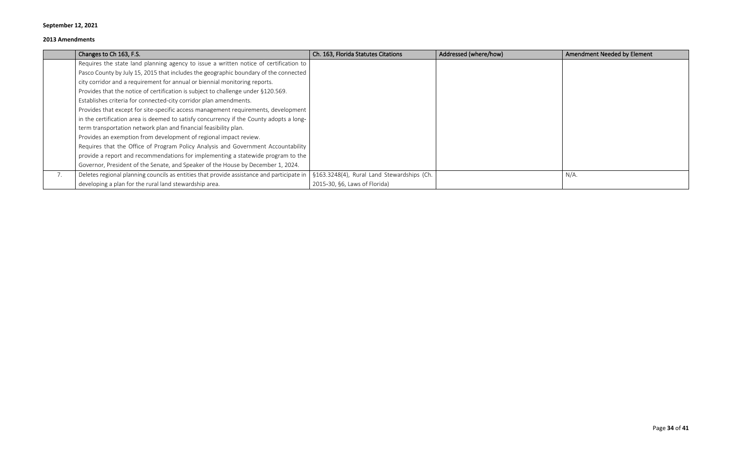|    | Changes to Ch 163, F.S.                                                                   | Ch. 163, Florida Statutes Citations        | Addressed (where/how) | <b>Amendment Needed by Element</b> |
|----|-------------------------------------------------------------------------------------------|--------------------------------------------|-----------------------|------------------------------------|
|    | Requires the state land planning agency to issue a written notice of certification to     |                                            |                       |                                    |
|    | Pasco County by July 15, 2015 that includes the geographic boundary of the connected      |                                            |                       |                                    |
|    | city corridor and a requirement for annual or biennial monitoring reports.                |                                            |                       |                                    |
|    | Provides that the notice of certification is subject to challenge under §120.569.         |                                            |                       |                                    |
|    | Establishes criteria for connected-city corridor plan amendments.                         |                                            |                       |                                    |
|    | Provides that except for site-specific access management requirements, development        |                                            |                       |                                    |
|    | in the certification area is deemed to satisfy concurrency if the County adopts a long-   |                                            |                       |                                    |
|    | term transportation network plan and financial feasibility plan.                          |                                            |                       |                                    |
|    | Provides an exemption from development of regional impact review.                         |                                            |                       |                                    |
|    | Requires that the Office of Program Policy Analysis and Government Accountability         |                                            |                       |                                    |
|    | provide a report and recommendations for implementing a statewide program to the          |                                            |                       |                                    |
|    | Governor, President of the Senate, and Speaker of the House by December 1, 2024.          |                                            |                       |                                    |
| 7. | Deletes regional planning councils as entities that provide assistance and participate in | §163.3248(4), Rural Land Stewardships (Ch. |                       | $N/A$ .                            |
|    | developing a plan for the rural land stewardship area.                                    | 2015-30, §6, Laws of Florida)              |                       |                                    |

| Amendment Needed by Element |
|-----------------------------|
|                             |
|                             |
|                             |
|                             |
|                             |
|                             |
|                             |
|                             |
|                             |
|                             |
| $N/A$ .                     |
|                             |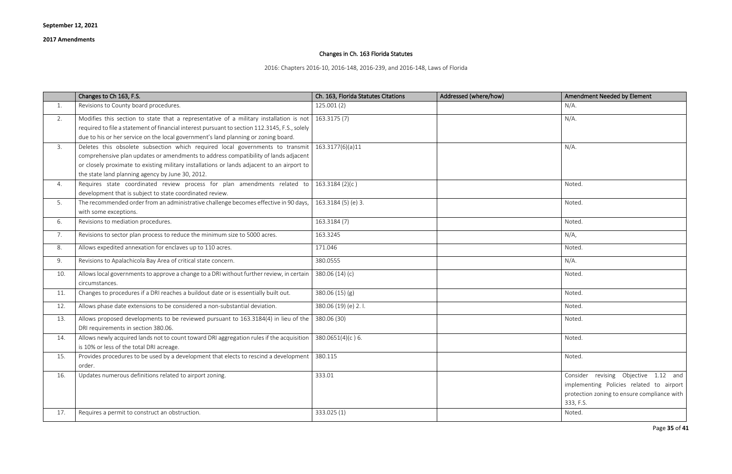## Changes in Ch. 163 Florida Statutes

2016: Chapters 2016-10, 2016-148, 2016-239, and 2016-148, Laws of Florida

|     | Changes to Ch 163, F.S.                                                                                                                                                                                                                                                                                                | Ch. 163, Florida Statutes Citations | Addressed (where/how) | <b>Amendment Needed by Element</b>                                                                                                           |
|-----|------------------------------------------------------------------------------------------------------------------------------------------------------------------------------------------------------------------------------------------------------------------------------------------------------------------------|-------------------------------------|-----------------------|----------------------------------------------------------------------------------------------------------------------------------------------|
| 1.  | Revisions to County board procedures.                                                                                                                                                                                                                                                                                  | 125.001(2)                          |                       | $N/A$ .                                                                                                                                      |
| 2.  | Modifies this section to state that a representative of a military installation is not   163.3175 (7)<br>required to file a statement of financial interest pursuant to section 112.3145, F.S., solely<br>due to his or her service on the local government's land planning or zoning board.                           |                                     |                       | $N/A$ .                                                                                                                                      |
| 3.  | Deletes this obsolete subsection which required local governments to transmit<br>comprehensive plan updates or amendments to address compatibility of lands adjacent<br>or closely proximate to existing military installations or lands adjacent to an airport to<br>the state land planning agency by June 30, 2012. | 163.3177(6)(a)11                    |                       | $N/A$ .                                                                                                                                      |
| 4.  | Requires state coordinated review process for plan amendments related to<br>development that is subject to state coordinated review.                                                                                                                                                                                   | 163.3184(2)(c)                      |                       | Noted                                                                                                                                        |
| 5.  | The recommended order from an administrative challenge becomes effective in 90 days,<br>with some exceptions.                                                                                                                                                                                                          | 163.3184 (5) (e) 3.                 |                       | Noted.                                                                                                                                       |
| 6.  | Revisions to mediation procedures.                                                                                                                                                                                                                                                                                     | 163.3184 (7)                        |                       | Noted.                                                                                                                                       |
| 7.  | Revisions to sector plan process to reduce the minimum size to 5000 acres.                                                                                                                                                                                                                                             | 163.3245                            |                       | N/A                                                                                                                                          |
| 8.  | Allows expedited annexation for enclaves up to 110 acres.                                                                                                                                                                                                                                                              | 171.046                             |                       | Noted.                                                                                                                                       |
| 9.  | Revisions to Apalachicola Bay Area of critical state concern.                                                                                                                                                                                                                                                          | 380.0555                            |                       | $N/A$ .                                                                                                                                      |
| 10. | Allows local governments to approve a change to a DRI without further review, in certain<br>circumstances.                                                                                                                                                                                                             | 380.06 (14) (c)                     |                       | <b>Noted</b>                                                                                                                                 |
| 11. | Changes to procedures if a DRI reaches a buildout date or is essentially built out.                                                                                                                                                                                                                                    | 380.06 (15) (g)                     |                       | Noted.                                                                                                                                       |
| 12. | Allows phase date extensions to be considered a non-substantial deviation.                                                                                                                                                                                                                                             | 380.06 (19) (e) 2.l.                |                       | Noted.                                                                                                                                       |
| 13. | Allows proposed developments to be reviewed pursuant to 163.3184(4) in lieu of the<br>DRI requirements in section 380.06.                                                                                                                                                                                              | 380.06 (30)                         |                       | Noted.                                                                                                                                       |
| 14. | Allows newly acquired lands not to count toward DRI aggregation rules if the acquisition<br>is 10% or less of the total DRI acreage.                                                                                                                                                                                   | 380.0651(4)(c)6.                    |                       | Noted.                                                                                                                                       |
| 15. | Provides procedures to be used by a development that elects to rescind a development   380.115<br>order.                                                                                                                                                                                                               |                                     |                       | Noted.                                                                                                                                       |
| 16. | Updates numerous definitions related to airport zoning.                                                                                                                                                                                                                                                                | 333.01                              |                       | Consider revising Objective 1.12 and<br>implementing Policies related to airport<br>protection zoning to ensure compliance with<br>333, F.S. |
| 17. | Requires a permit to construct an obstruction.                                                                                                                                                                                                                                                                         | 333.025 (1)                         |                       | Noted.                                                                                                                                       |

| Amendment Needed by Element                                                                                                                     |
|-------------------------------------------------------------------------------------------------------------------------------------------------|
| N/A.                                                                                                                                            |
| N/A.                                                                                                                                            |
|                                                                                                                                                 |
| $N/A$ .                                                                                                                                         |
|                                                                                                                                                 |
|                                                                                                                                                 |
| Noted.                                                                                                                                          |
| Noted.                                                                                                                                          |
| Noted.                                                                                                                                          |
| N/A                                                                                                                                             |
| Noted.                                                                                                                                          |
| N/A.                                                                                                                                            |
| Noted.                                                                                                                                          |
| Noted.                                                                                                                                          |
| Noted.                                                                                                                                          |
| Noted.                                                                                                                                          |
| Noted.                                                                                                                                          |
| Noted.                                                                                                                                          |
| Consider revising Objective 1.12<br>and<br>implementing Policies related to airport<br>protection zoning to ensure compliance with<br>333, F.S. |
| Noted.                                                                                                                                          |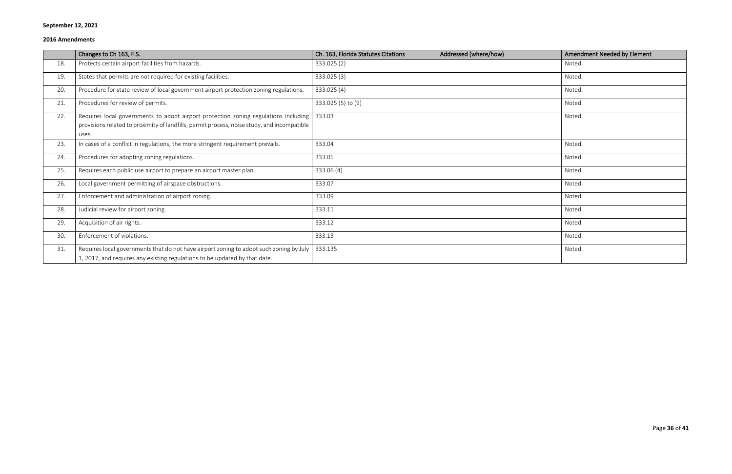|     | Changes to Ch 163, F.S.                                                                                                                                                                     | Ch. 163, Florida Statutes Citations | Addressed (where/how) | Amendment Needed by Element |
|-----|---------------------------------------------------------------------------------------------------------------------------------------------------------------------------------------------|-------------------------------------|-----------------------|-----------------------------|
| 18. | Protects certain airport facilities from hazards.                                                                                                                                           | 333.025 (2)                         |                       | Noted.                      |
| 19. | States that permits are not required for existing facilities.                                                                                                                               | 333.025 (3)                         |                       | Noted.                      |
| 20. | Procedure for state review of local government airport protection zoning regulations.                                                                                                       | 333.025 (4)                         |                       | Noted.                      |
| 21. | Procedures for review of permits.                                                                                                                                                           | 333.025 (5) to (9)                  |                       | Noted.                      |
| 22. | Requires local governments to adopt airport protection zoning regulations including<br>provisions related to proximity of landfills, permit process, noise study, and incompatible<br>uses. | 333.03                              |                       | Noted.                      |
| 23. | In cases of a conflict in regulations, the more stringent requirement prevails.                                                                                                             | 333.04                              |                       | Noted.                      |
| 24. | Procedures for adopting zoning regulations.                                                                                                                                                 | 333.05                              |                       | Noted.                      |
| 25. | Requires each public use airport to prepare an airport master plan.                                                                                                                         | 333.06 (4)                          |                       | Noted.                      |
| 26. | Local government permitting of airspace obstructions.                                                                                                                                       | 333.07                              |                       | Noted.                      |
| 27. | Enforcement and administration of airport zoning.                                                                                                                                           | 333.09                              |                       | Noted.                      |
| 28. | Judicial review for airport zoning.                                                                                                                                                         | 333.11                              |                       | Noted.                      |
| 29. | Acquisition of air rights.                                                                                                                                                                  | 333.12                              |                       | Noted.                      |
| 30. | Enforcement of violations.                                                                                                                                                                  | 333.13                              |                       | Noted.                      |
| 31. | Requires local governments that do not have airport zoning to adopt such zoning by July<br>1, 2017, and requires any existing regulations to be updated by that date.                       | 333.135                             |                       | Noted.                      |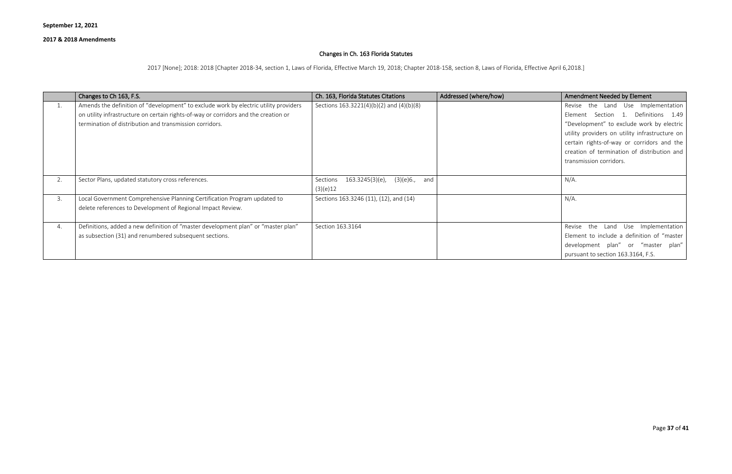#### **2017 & 2018 Amendments**

## Changes in Ch. 163 Florida Statutes

2017 [None]; 2018: 2018 [Chapter 2018-34, section 1, Laws of Florida, Effective March 19, 2018; Chapter 2018-158, section 8, Laws of Florida, Effective April 6,2018.]

|    | Changes to Ch 163, F.S.                                                              | Ch. 163, Florida Statutes Citations                     | Addressed (where/how) | Amendment Needed by Element                    |
|----|--------------------------------------------------------------------------------------|---------------------------------------------------------|-----------------------|------------------------------------------------|
| T. | Amends the definition of "development" to exclude work by electric utility providers | Sections $163.3221(4)(b)(2)$ and $(4)(b)(8)$            |                       | Revise the Land Use Implementation             |
|    | on utility infrastructure on certain rights-of-way or corridors and the creation or  |                                                         |                       | Element Section 1. Definitions 1.49            |
|    | termination of distribution and transmission corridors.                              |                                                         |                       | "Development" to exclude work by electric      |
|    |                                                                                      |                                                         |                       | utility providers on utility infrastructure on |
|    |                                                                                      |                                                         |                       | certain rights-of-way or corridors and the     |
|    |                                                                                      |                                                         |                       | creation of termination of distribution and    |
|    |                                                                                      |                                                         |                       | transmission corridors.                        |
|    |                                                                                      |                                                         |                       |                                                |
| 2. | Sector Plans, updated statutory cross references.                                    | (3)(e)6. <i>,</i><br>163.3245(3)(e),<br>and<br>Sections |                       | $N/A$ .                                        |
|    |                                                                                      | (3)(e)12                                                |                       |                                                |
| 3. | Local Government Comprehensive Planning Certification Program updated to             | Sections 163.3246 (11), (12), and (14)                  |                       | $N/A$ .                                        |
|    | delete references to Development of Regional Impact Review.                          |                                                         |                       |                                                |
|    |                                                                                      |                                                         |                       |                                                |
| 4. | Definitions, added a new definition of "master development plan" or "master plan"    | Section 163.3164                                        |                       | Revise the Land Use Implementation             |
|    | as subsection (31) and renumbered subsequent sections.                               |                                                         |                       | Element to include a definition of "master     |
|    |                                                                                      |                                                         |                       | development plan" or "master plan"             |
|    |                                                                                      |                                                         |                       | pursuant to section 163.3164, F.S.             |
|    |                                                                                      |                                                         |                       |                                                |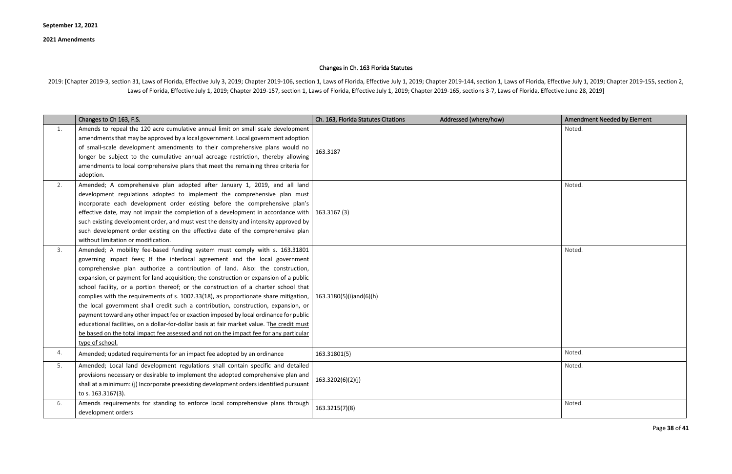Page **38** of **41**

# Changes in Ch. 163 Florida Statutes

2019: [Chapter 2019-3, section 31, Laws of Florida, Effective July 3, 2019; Chapter 2019-106, section 1, Laws of Florida, Effective July 1, 2019; Chapter 2019-144, section 1, Laws of Florida, Effective July 1, 2019; Chapte Laws of Florida, Effective July 1, 2019; Chapter 2019-157, section 1, Laws of Florida, Effective July 1, 2019; Chapter 2019-165, sections 3-7, Laws of Florida, Effective June 28, 2019]

|    | Changes to Ch 163, F.S.                                                                                                                                                                                                                                                                                                                                                                                                                                                                                                                                                                                                                                                                                                                                                                                                                                                                                     | Ch. 163, Florida Statutes Citations | Addressed (where/how) | <b>Amendment Needed by Element</b> |
|----|-------------------------------------------------------------------------------------------------------------------------------------------------------------------------------------------------------------------------------------------------------------------------------------------------------------------------------------------------------------------------------------------------------------------------------------------------------------------------------------------------------------------------------------------------------------------------------------------------------------------------------------------------------------------------------------------------------------------------------------------------------------------------------------------------------------------------------------------------------------------------------------------------------------|-------------------------------------|-----------------------|------------------------------------|
| 1. | Amends to repeal the 120 acre cumulative annual limit on small scale development<br>amendments that may be approved by a local government. Local government adoption<br>of small-scale development amendments to their comprehensive plans would no<br>longer be subject to the cumulative annual acreage restriction, thereby allowing<br>amendments to local comprehensive plans that meet the remaining three criteria for<br>adoption.                                                                                                                                                                                                                                                                                                                                                                                                                                                                  | 163.3187                            |                       | Noted.                             |
| 2. | Amended; A comprehensive plan adopted after January 1, 2019, and all land<br>development regulations adopted to implement the comprehensive plan must<br>incorporate each development order existing before the comprehensive plan's<br>effective date, may not impair the completion of a development in accordance with<br>such existing development order, and must vest the density and intensity approved by<br>such development order existing on the effective date of the comprehensive plan<br>without limitation or modification.                                                                                                                                                                                                                                                                                                                                                                 | 163.3167 (3)                        |                       | Noted.                             |
| 3. | Amended; A mobility fee-based funding system must comply with s. 163.31801<br>governing impact fees; If the interlocal agreement and the local government<br>comprehensive plan authorize a contribution of land. Also: the construction,<br>expansion, or payment for land acquisition; the construction or expansion of a public<br>school facility, or a portion thereof; or the construction of a charter school that<br>complies with the requirements of s. 1002.33(18), as proportionate share mitigation,<br>the local government shall credit such a contribution, construction, expansion, or<br>payment toward any other impact fee or exaction imposed by local ordinance for public<br>educational facilities, on a dollar-for-dollar basis at fair market value. The credit must<br>be based on the total impact fee assessed and not on the impact fee for any particular<br>type of school. | 163.3180(5)(i)and(6)(h)             |                       | Noted.                             |
| 4. | Amended; updated requirements for an impact fee adopted by an ordinance                                                                                                                                                                                                                                                                                                                                                                                                                                                                                                                                                                                                                                                                                                                                                                                                                                     | 163.31801(5)                        |                       | Noted.                             |
| 5. | Amended; Local land development regulations shall contain specific and detailed<br>provisions necessary or desirable to implement the adopted comprehensive plan and<br>shall at a minimum: (j) Incorporate preexisting development orders identified pursuant<br>to s. 163.3167(3).                                                                                                                                                                                                                                                                                                                                                                                                                                                                                                                                                                                                                        | 163.3202(6)(2)(j)                   |                       | Noted.                             |
| 6. | Amends requirements for standing to enforce local comprehensive plans through<br>development orders                                                                                                                                                                                                                                                                                                                                                                                                                                                                                                                                                                                                                                                                                                                                                                                                         | 163.3215(7)(8)                      |                       | Noted.                             |

| <b>Amendment Needed by Element</b> |
|------------------------------------|
| Noted.                             |
|                                    |
|                                    |
|                                    |
|                                    |
| Noted.                             |
|                                    |
|                                    |
|                                    |
|                                    |
|                                    |
| Noted.                             |
|                                    |
|                                    |
|                                    |
|                                    |
|                                    |
|                                    |
|                                    |
|                                    |
| Noted.                             |
| Noted.                             |
|                                    |
|                                    |
| Noted.                             |
|                                    |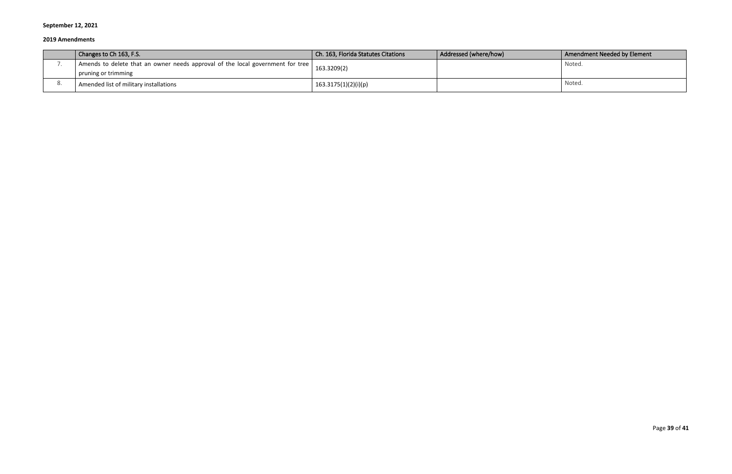| $\vert$ Changes to Ch 163, F.S.                                                                       | Ch. 163, Florida Statutes Citations | Addressed (where/how) | Amendment Needed by Element |
|-------------------------------------------------------------------------------------------------------|-------------------------------------|-----------------------|-----------------------------|
| Amends to delete that an owner needs approval of the local government for tree<br>pruning or trimming | 163.3209(2)                         |                       | Noted.                      |
| Amended list of military installations                                                                | 163.3175(1)(2)(i)(p)                |                       | Noted.                      |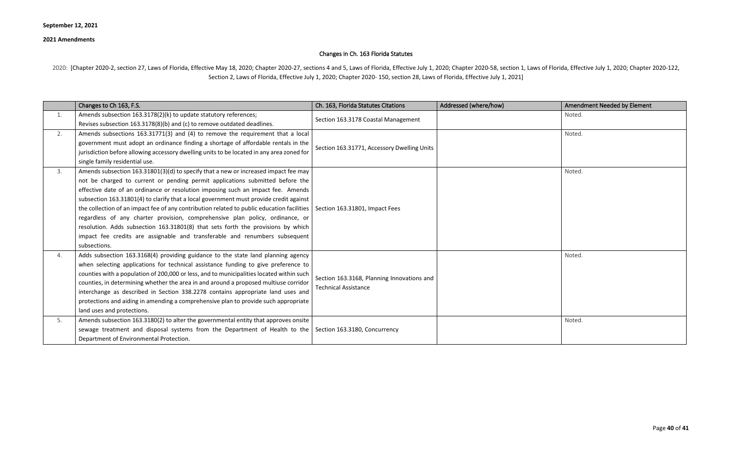Page **40** of **41**

## Changes in Ch. 163 Florida Statutes

2020: [Chapter 2020-2, section 27, Laws of Florida, Effective May 18, 2020; Chapter 2020-27, sections 4 and 5, Laws of Florida, Effective July 1, 2020; Chapter 2020-58, section 1, Laws of Florida, Effective July 1, 2020; C Section 2, Laws of Florida, Effective July 1, 2020; Chapter 2020- 150, section 28, Laws of Florida, Effective July 1, 2021]

|    | Changes to Ch 163, F.S.                                                                                                                                                                                                                                                                                                                                                                                                                                                                                                                                                                                                                                                                                                                               | Ch. 163, Florida Statutes Citations                                       | Addressed (where/how) | Amendment Needed by Element |
|----|-------------------------------------------------------------------------------------------------------------------------------------------------------------------------------------------------------------------------------------------------------------------------------------------------------------------------------------------------------------------------------------------------------------------------------------------------------------------------------------------------------------------------------------------------------------------------------------------------------------------------------------------------------------------------------------------------------------------------------------------------------|---------------------------------------------------------------------------|-----------------------|-----------------------------|
| 1. | Amends subsection 163.3178(2)(k) to update statutory references;<br>Revises subsection 163.3178(8)(b) and (c) to remove outdated deadlines.                                                                                                                                                                                                                                                                                                                                                                                                                                                                                                                                                                                                           | Section 163.3178 Coastal Management                                       |                       | Noted.                      |
| 2. | Amends subsections 163.31771(3) and (4) to remove the requirement that a local<br>government must adopt an ordinance finding a shortage of affordable rentals in the<br>jurisdiction before allowing accessory dwelling units to be located in any area zoned for<br>single family residential use.                                                                                                                                                                                                                                                                                                                                                                                                                                                   | Section 163.31771, Accessory Dwelling Units                               |                       | Noted.                      |
| 3. | Amends subsection 163.31801(3)(d) to specify that a new or increased impact fee may<br>not be charged to current or pending permit applications submitted before the<br>effective date of an ordinance or resolution imposing such an impact fee. Amends<br>subsection 163.31801(4) to clarify that a local government must provide credit against<br>the collection of an impact fee of any contribution related to public education facilities   Section 163.31801, Impact Fees<br>regardless of any charter provision, comprehensive plan policy, ordinance, or<br>resolution. Adds subsection 163.31801(8) that sets forth the provisions by which<br>impact fee credits are assignable and transferable and renumbers subsequent<br>subsections. |                                                                           |                       | Noted.                      |
| 4. | Adds subsection 163.3168(4) providing guidance to the state land planning agency<br>when selecting applications for technical assistance funding to give preference to<br>counties with a population of 200,000 or less, and to municipalities located within such<br>counties, in determining whether the area in and around a proposed multiuse corridor<br>interchange as described in Section 338.2278 contains appropriate land uses and<br>protections and aiding in amending a comprehensive plan to provide such appropriate<br>land uses and protections.                                                                                                                                                                                    | Section 163.3168, Planning Innovations and<br><b>Technical Assistance</b> |                       | Noted.                      |
| 5. | Amends subsection 163.3180(2) to alter the governmental entity that approves onsite<br>sewage treatment and disposal systems from the Department of Health to the Section 163.3180, Concurrency<br>Department of Environmental Protection.                                                                                                                                                                                                                                                                                                                                                                                                                                                                                                            |                                                                           |                       | Noted.                      |